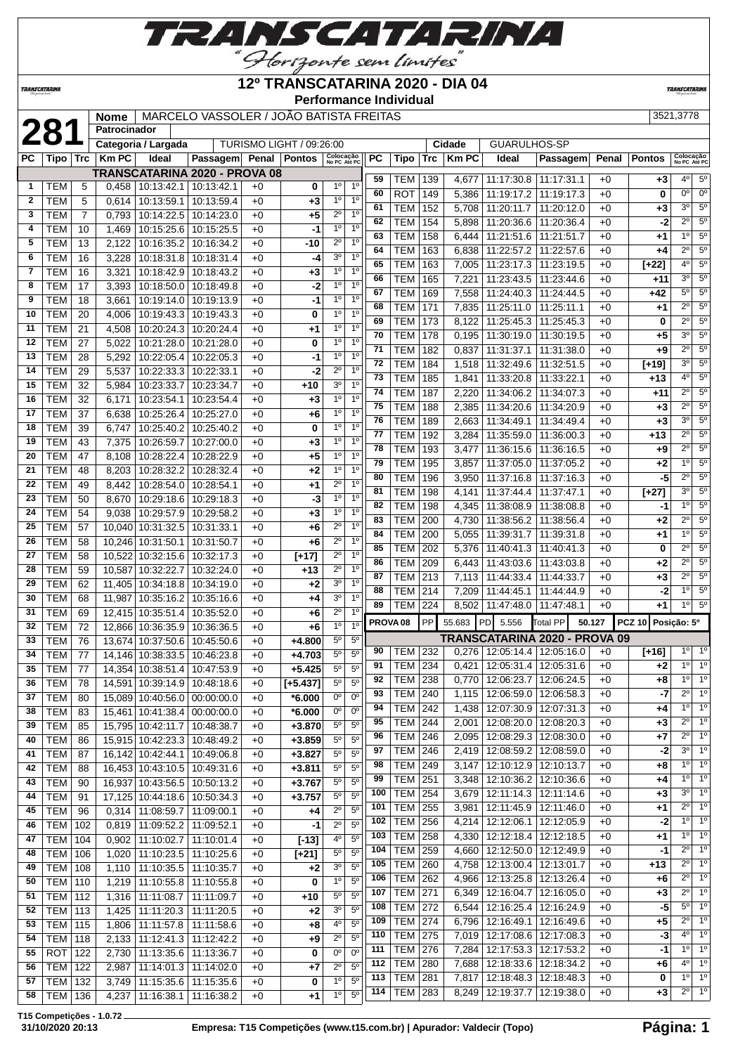

### **12º TRANSCATARINA 2020 - DIA 04**

 TEM 262 4,966 12:13:25.8 12:13:26.4 +0 **+6** 2º 1º TEM 271 6,349 12:16:04.7 12:16:05.0 +0 **+3** 2º 1º TEM 272 6,544 12:16:25.4 12:16:24.9 +0 **-5** 5º 1º TEM 274 6,796 12:16:49.1 12:16:49.6 +0 **+5** 2º 1º TEM 275 7,019 12:17:08.6 12:17:08.3 +0 **-3** 4º 1º TEM 276 7,284 12:17:53.3 12:17:53.2 +0 **-1** 1º 1º TEM 280 7,688 12:18:33.6 12:18:34.2 +0 **+6** 4º 1º TEM 281 7,817 12:18:48.3 12:18:48.3 +0 **0** 1º 1º TEM 283 8,249 12:19:37.7 12:19:38.0 +0 **+3** 2º 1º

**Performance Individual**

**TRANSCATARI** 

|              |            |                | <b>Nome</b>  |                     | MARCELO VASSOLER / JOÃO BATISTA FREITAS |      |                          |                                  |           |            |            |              |                     |            |       |               | 3521.3778              |  |
|--------------|------------|----------------|--------------|---------------------|-----------------------------------------|------|--------------------------|----------------------------------|-----------|------------|------------|--------------|---------------------|------------|-------|---------------|------------------------|--|
|              | 281        |                | Patrocinador |                     |                                         |      |                          |                                  |           |            |            |              |                     |            |       |               |                        |  |
|              |            |                |              | Categoria / Largada |                                         |      | TURISMO LIGHT / 09:26:00 |                                  |           |            |            | Cidade       | <b>GUARULHOS-SP</b> |            |       |               |                        |  |
| <b>PC</b>    | Tipo       | <b>Trc</b>     | <b>Km PC</b> | Ideal               | Passagem Penal                          |      | Pontos                   | Colocação<br>No PC Até PC        | <b>PC</b> | Tipo       | <b>Trc</b> | <b>Km PC</b> | Ideal               | Passagem   | Penal | <b>Pontos</b> | Colocaç<br>No PC At    |  |
|              |            |                |              |                     | TRANSCATARINA 2020 - PROVA 08           |      |                          |                                  |           |            |            |              |                     |            |       |               |                        |  |
| 1            | <b>TEM</b> | 5              | 0,458        | 10:13:42.1          | 10:13:42.1                              | $+0$ | 0                        | 10<br>1 <sup>0</sup>             | 59        | <b>TEM</b> | 139        | 4.677        | 11:17:30.8          | 11:17:31.1 | $+0$  | $+3$          | $4^{\circ}$            |  |
| $\mathbf{2}$ | <b>TEM</b> | 5              | 0.614        | 10:13:59.1          | 10:13:59.4                              | $+0$ | $+3$                     | 1 <sup>0</sup><br>1 <sup>0</sup> | 60        | <b>ROT</b> | 149        | 5.386        | 11:19:17.2          | 11:19:17.3 | $+0$  | 0             | 0 <sup>o</sup>         |  |
| 3            | <b>TEM</b> | $\overline{7}$ | 0.793        | 10:14:22.5          | 10:14:23.0                              | $+0$ | $+5$                     | $2^{\circ}$<br>1 <sup>0</sup>    | 61        | <b>TEM</b> | 152        | 5.708        | 11:20:11.7          | 11:20:12.0 | $+0$  | $+3$          | 3 <sup>o</sup>         |  |
| 4            | <b>TEM</b> | 10             | 1,469        | 10:15:25.6          | 10:15:25.5                              | $+0$ | -1                       | 1 <sup>0</sup><br>1 <sup>0</sup> | 62        | <b>TEM</b> | 154        | 5,898        | 11:20:36.6          | 11:20:36.4 | $+0$  | $-2$          | $\overline{2^0}$       |  |
| 5            | <b>TEM</b> | 13             | 2,122        | 10:16:35.2          | 10:16:34.2                              | $+0$ | -10                      | $2^{\circ}$<br>10                | 63        | <b>TEM</b> | 158        | 6.444        | 11:21:51.6          | 11:21:51.7 | $+0$  | $+1$          | 1 <sup>°</sup>         |  |
| 6            | <b>TEM</b> | 16             | 3,228        | 10:18:31.8          | 10:18:31.4                              | $+0$ | -4                       | 3 <sup>o</sup><br>1 <sup>0</sup> | 64        | <b>TEM</b> | 163        | 6,838        | 11:22:57.2          | 11:22:57.6 | $+0$  | $+4$          | $2^{\circ}$            |  |
| 7            | <b>TEM</b> | 16             | 3.321        |                     | 10:18:42.9 10:18:43.2                   | $+0$ | $+3$                     | 1 <sup>0</sup><br>10             | 65        | <b>TEM</b> | 163        | 7,005        | 11:23:17.3          | 11:23:19.5 | $+0$  | $[+22]$       | 4 <sup>0</sup>         |  |
| 8            | <b>TEM</b> | 17             | 3.393        |                     | 10:18:50.0   10:18:49.8                 | $+0$ | $-2$                     | 1 <sup>0</sup><br>1 <sup>0</sup> | 66        | <b>TEM</b> | 165        | 7,221        | 11:23:43.5          | 11:23:44.6 | $+0$  | $+11$         | $3^\circ$              |  |
| 9            | <b>TEM</b> | 18             | 3.661        | 10:19:14.0          | 10:19:13.9                              | $+0$ | -1                       | 1 <sup>0</sup><br>10             | 67        | <b>TEM</b> | 169        | 7,558        | 11:24:40.3          | 11:24:44.5 | $+0$  | $+42$         | $5^{\circ}$            |  |
| 10           | <b>TEM</b> | 20             | 4.006        | 10:19:43.3          | 10:19:43.3                              | $+0$ | $\bf{0}$                 | 10<br>10 <sup>°</sup>            | 68        | <b>TEM</b> | 171        | 7.835        | 11:25:11.0          | 11:25:11.1 | $+0$  | $+1$          | $\overline{2^0}$       |  |
| 11           | <b>TEM</b> | 21             | 4.508        |                     | 10:20:24.3 10:20:24.4                   | $+0$ | $+1$                     | 10<br>$1^{\circ}$                | 69        | <b>TEM</b> | 173        | 8.122        | 11:25:45.3          | 11:25:45.3 | $+0$  | 0             | $2^{\circ}$            |  |
| 12           | <b>TEM</b> | 27             | 5.022        | 10:21:28.0          | 10:21:28.0                              | $+0$ | $\bf{0}$                 | 1 <sup>0</sup><br>1 <sup>0</sup> | 70        | <b>TEM</b> | 178        | 0,195        | 11:30:19.0          | 11:30:19.5 | $+0$  | $+5$          | $\overline{3^0}$       |  |
| 13           | <b>TEM</b> | 28             | 5,292        | 10:22:05.4          | 10:22:05.3                              | $+0$ | -1                       | 10<br>10 <sup>1</sup>            | 71        | <b>TEM</b> | 182        | 0.837        | 11:31:37.1          | 11:31:38.0 | $+0$  | $+9$          | $\overline{2^0}$       |  |
| 14           |            |                |              |                     |                                         |      |                          | $2^{\circ}$<br>10                | 72        | <b>TEM</b> | 184        | 1.518        | 11:32:49.6          | 11:32:51.5 | $+0$  | $[+19]$       | $\overline{3^0}$       |  |
| 15           | <b>TEM</b> | 29             | 5.537        | 10:22:33.3          | 10:22:33.1                              | $+0$ | -2                       | 10<br>3 <sup>0</sup>             | 73        | <b>TEM</b> | 185        | 1.841        | 11:33:20.8          | 11:33:22.1 | $+0$  | $+13$         | 4 <sup>0</sup>         |  |
|              | <b>TEM</b> | 32             | 5,984        |                     | 10:23:33.7   10:23:34.7                 | $+0$ | $+10$                    | 1 <sup>0</sup><br>1 <sup>°</sup> | 74        | <b>TEM</b> | 187        | 2.220        | 11:34:06.2          | 11:34:07.3 | $+0$  | $+11$         | $\overline{2^0}$       |  |
| 16           | <b>TEM</b> | 32             | 6.171        | 10:23:54.1          | 10:23:54.4                              | $+0$ | $+3$                     | 10<br>1 <sup>0</sup>             | 75        | <b>TEM</b> | 188        | 2.385        | 11:34:20.6          | 11:34:20.9 | $+0$  | $+3$          | $\overline{2^{\circ}}$ |  |
| 17           | <b>TEM</b> | 37             | 6.638        | 10:25:26.4          | 10:25:27.0                              | $+0$ | $+6$                     | 10                               | 76        | <b>TEM</b> | 189        | 2.663        | 11:34:49.1          | 11:34:49.4 | $+0$  | $+3$          | 3 <sup>0</sup>         |  |
| 18           | <b>TEM</b> | 39             | 6.747        | 10:25:40.2          | 10:25:40.2                              | $+0$ | $\bf{0}$                 | 1 <sup>0</sup>                   | 77        | <b>TEM</b> | 192        | 3,284        | 11:35:59.0          | 11:36:00.3 | $+0$  | $+13$         | $2^{\circ}$            |  |
| 19           | <b>TEM</b> | 43             | 7,375        | 10:26:59.7          | 10:27:00.0                              | $+0$ | $+3$                     | 1 <sup>°</sup><br>10             | 78        | <b>TEM</b> | 193        | 3,477        | 11:36:15.6          | 11:36:16.5 | $+0$  | $+9$          | $\overline{2^{\circ}}$ |  |
| 20           | <b>TEM</b> | 47             | 8.108        | 10:28:22.4          | 10:28:22.9                              | $+0$ | $+5$                     | 1 <sup>0</sup><br>1 <sup>0</sup> | 79        | <b>TEM</b> | 195        | 3.857        | 11:37:05.0          | 11:37:05.2 | $+0$  | $+2$          | 1 <sup>°</sup>         |  |
| 21           | <b>TEM</b> | 48             | 8.203        |                     | 10:28:32.2 10:28:32.4                   | $+0$ | $+2$                     | 10<br>10                         | 80        | <b>TEM</b> | 196        | 3.950        | 11:37:16.8          | 11:37:16.3 | $+0$  | -5            | $2^{\circ}$            |  |
| 22           | <b>TEM</b> | 49             | 8.442        |                     | 10:28:54.0 10:28:54.1                   | $+0$ | $+1$                     | $2^{\circ}$<br>10                |           |            |            |              |                     |            |       |               |                        |  |

*TRANSCATARINA* 

|                          |                |     | -, . -- |                                   |                                 |      |             |                                       | 64              |                          |            |                |                                   |                                       |              |                    | $2^{\circ}$                           | $5^\circ$              |
|--------------------------|----------------|-----|---------|-----------------------------------|---------------------------------|------|-------------|---------------------------------------|-----------------|--------------------------|------------|----------------|-----------------------------------|---------------------------------------|--------------|--------------------|---------------------------------------|------------------------|
| 6                        | TEM            | 16  |         |                                   | 3,228   10:18:31.8   10:18:31.4 | $+0$ | -4          | 3 <sup>o</sup><br>1 <sup>0</sup>      | 65              | TEM<br><b>TEM</b>        | 163<br>163 |                | 6,838   11:22:57.2   11:22:57.6   |                                       | +0           | $+4$               | 4 <sup>0</sup>                        | $\overline{5^{\circ}}$ |
| $\overline{\phantom{a}}$ | <b>TEM</b>     | 16  | 3,321   |                                   | 10:18:42.9 10:18:43.2           | $+0$ | $+3$        | $1^{\circ}$<br>1 <sup>0</sup>         | 66              |                          |            |                | 7,005   11:23:17.3                | 11:23:19.5<br>11:23:43.5 11:23:44.6   | $+0$         | $[+22]$            | $3^{\circ}$                           | 5 <sup>o</sup>         |
| 8                        | <b>TEM</b>     | 17  | 3,393   |                                   | 10:18:50.0   10:18:49.8         | $+0$ | $-2$        | 1 <sup>0</sup><br>1 <sup>0</sup>      | 67              | TEM                      | 165        | 7,221          |                                   |                                       | $+0$         | $+11$              | $5^{\circ}$                           | 5 <sup>o</sup>         |
| 9                        | <b>TEM</b>     | 18  | 3,661   |                                   | 10:19:14.0   10:19:13.9         | $+0$ | $-1$        | 1 <sup>0</sup><br>1 <sup>0</sup>      | 68              | TEM                      | 169        |                | 7,558 11:24:40.3                  | 11:24:44.5                            | $+0$         | $+42$              | $2^{\circ}$                           | $5^\circ$              |
| 10                       | <b>TEM</b>     | 20  | 4.006   |                                   | 10:19:43.3 10:19:43.3           | $+0$ | 0           | 1 <sup>0</sup><br>1 <sup>0</sup>      | 69              | TEM                      | 171<br>173 |                | 7,835 11:25:11.0                  | 11:25:11.1                            | $+0$         | $+1$               | $2^{\circ}$                           | $\overline{5^{\circ}}$ |
| 11                       | <b>TEM</b>     | 21  | 4,508   |                                   | 10:20:24.3 10:20:24.4           | $+0$ | $+1$        | 1 <sup>0</sup><br>1 <sup>o</sup>      | 70              | <b>TEM</b><br>TEM        | 178        | 0,195          | 8,122   11:25:45.3   11:25:45.3   | 11:30:19.0 11:30:19.5                 | $+0$<br>$+0$ | 0<br>$+5$          | $3^{\circ}$                           | 5 <sup>o</sup>         |
| 12                       | <b>TEM</b>     | 27  | 5,022   |                                   | 10:21:28.0   10:21:28.0         | $+0$ | 0           | $1^{\circ}$<br>1 <sup>0</sup>         | $\overline{71}$ |                          | 182        |                | 11:31:37.1                        |                                       |              |                    | $2^{\circ}$                           | 5 <sup>o</sup>         |
| 13                       | <b>TEM</b>     | 28  | 5,292   |                                   | 10:22:05.4   10:22:05.3         | $+0$ | -1          | 1 <sup>0</sup><br>1 <sup>0</sup>      | 72              | TEM<br>TEM               | 184        | 0,837          | 1,518   11:32:49.6   11:32:51.5   | 11:31:38.0                            | $+0$         | $+9$               | $3^{\circ}$                           | 5 <sup>o</sup>         |
| 14                       | <b>TEM</b>     | 29  | 5,537   |                                   | 10:22:33.3 10:22:33.1           | $+0$ | -2          | $2^{\circ}$<br>1 <sup>0</sup>         | $\overline{73}$ | TEM                      | 185        | 1,841          | 11:33:20.8                        | 11:33:22.1                            | $+0$<br>$+0$ | $[+19]$<br>$+13$   | 4 <sup>0</sup>                        | 5 <sup>o</sup>         |
| 15                       | <b>TEM</b>     | 32  | 5,984   |                                   | 10:23:33.7   10:23:34.7         | $+0$ | $+10$       | $3^{\rm o}$<br>$1^{\circ}$            | 74              | <b>TEM</b>               |            |                | 2,220 11:34:06.2                  |                                       |              |                    | $2^{\circ}$                           | 5 <sup>o</sup>         |
| 16                       | TEM            | 32  | 6,171   | 10:23:54.1                        | 10:23:54.4                      | $+0$ | $+3$        | 1 <sup>0</sup><br>1 <sup>0</sup>      | 75              | TEM                      | 187<br>188 |                | 11:34:20.6                        | 11:34:07.3                            | $+0$<br>$+0$ | $+11$              | $2^{\circ}$                           | 5 <sup>o</sup>         |
| 17                       | <b>TEM</b>     | 37  | 6,638   |                                   | 10:25:26.4   10:25:27.0         | $+0$ | $+6$        | 1 <sup>o</sup><br>1 <sup>0</sup>      | $\overline{76}$ | TEM                      | 189        | 2,385<br>2.663 | 11:34:49.1                        | 11:34:20.9<br>11:34:49.4              | $+0$         | $+3$<br>$+3$       | 3 <sup>o</sup>                        | 5 <sup>o</sup>         |
| 18                       | <b>TEM</b>     | 39  | 6,747   |                                   | 10:25:40.2   10:25:40.2         | $+0$ | $\mathbf 0$ | 1 <sup>0</sup><br>1 <sup>o</sup>      | 77              | TEM                      | 192        |                | 3,284   11:35:59.0                | 11:36:00.3                            | $+0$         | $+13$              | $2^{\circ}$                           | $\overline{5^{\circ}}$ |
| 19                       | <b>TEM</b>     | 43  | 7,375   | 10:26:59.7                        | 10:27:00.0                      | $+0$ | $+3$        | 1 <sup>0</sup><br>1 <sup>0</sup>      | 78              | TEM                      | 193        | 3,477          | 11:36:15.6                        | 11:36:16.5                            | $+0$         | $+9$               | $\overline{2^0}$                      | $\overline{5^{\circ}}$ |
| 20                       | <b>TEM</b>     | 47  | 8,108   |                                   | 10:28:22.4   10:28:22.9         | $+0$ | $+5$        | $1^{\circ}$<br>1 <sup>0</sup>         | 79              | TEM                      | 195        | 3,857          |                                   | 11:37:05.0   11:37:05.2               | $+0$         | $+2$               | 1 <sup>°</sup>                        | $\overline{5^{\circ}}$ |
| 21                       | <b>TEM</b>     | 48  | 8,203   |                                   | 10:28:32.2 10:28:32.4           | $+0$ | $+2$        | 1 <sup>0</sup><br>1 <sup>o</sup>      | 80              | TEM                      | 196        | 3,950          | 11:37:16.8                        | 11:37:16.3                            | $+0$         | -5                 | $2^{\circ}$                           | 5 <sup>c</sup>         |
| 22                       | <b>TEM</b>     | 49  |         | 8,442   10:28:54.0   10:28:54.1   |                                 | $+0$ | $+1$        | $\overline{2^0}$<br>1 <sup>0</sup>    | 81              | TEM                      | 198        | 4,141          | 11:37:44.4                        | 11:37:47.1                            | $+0$         | $\boxed{+27}$      | $3^{\circ}$                           | 5 <sup>o</sup>         |
| 23                       | <b>TEM</b>     | 50  | 8,670   |                                   | 10:29:18.6   10:29:18.3         | $+0$ | -3          | 1 <sup>0</sup><br>1 <sup>0</sup>      | 82              | TEM                      | 198        |                | 4,345   11:38:08.9                | 11:38:08.8                            | $+0$         | -1                 | 10                                    | $\overline{5^{\circ}}$ |
| 24                       | <b>TEM</b>     | 54  |         | 9,038   10:29:57.9   10:29:58.2   |                                 | $+0$ | $+3$        | 1 <sup>0</sup><br>$1^{\circ}$         | 83              | TEM                      | 200        | 4,730          | 11:38:56.2                        | 11:38:56.4                            | $+0$         | $+2$               | $2^{\circ}$                           | 5 <sup>o</sup>         |
| 25                       | <b>TEM</b>     | 57  |         | 10,040 10:31:32.5 10:31:33.1      |                                 | $+0$ | $+6$        | $2^{\circ}$<br>$1^{\circ}$            | 84              | TEM                      | 200        |                | $5,055$   11:39:31.7              | 11:39:31.8                            | $+0$         | $+1$               | $1^{\circ}$                           | 5 <sup>o</sup>         |
| 26                       | <b>TEM</b>     | 58  |         | 10,246 10:31:50.1 10:31:50.7      |                                 | $+0$ | $+6$        | $2^{\circ}$<br>$1^{\circ}$            | 85              | TEM                      | 202        |                | 5,376 11:40:41.3                  | 11:40:41.3                            | $+0$         | 0                  | $\overline{2^{\circ}}$                | 5 <sup>o</sup>         |
| 27                       | <b>TEM</b>     | 58  |         | 10,522 10:32:15.6 10:32:17.3      |                                 | $+0$ | $[+17]$     | $2^{\circ}$<br>1 <sup>0</sup>         | 86              | <b>TEM</b>               | 209        |                | 6,443 11:43:03.6                  | 11:43:03.8                            | $+0$         | $+2$               | $\overline{2^{\circ}}$                | $\overline{5^{\circ}}$ |
| 28                       | <b>TEM</b>     | 59  |         | 10,587 10:32:22.7 10:32:24.0      |                                 | $+0$ | $+13$       | $2^{\circ}$<br>1 <sup>0</sup>         | 87              | <b>TEM</b>               | 213        |                | 7,113   11:44:33.4                | 11:44:33.7                            | $+0$         | $+3$               | $2^{\circ}$                           | 5 <sup>o</sup>         |
| 29                       | <b>TEM</b>     | 62  |         | 11,405   10:34:18.8   10:34:19.0  |                                 | $+0$ | $+2$        | 3 <sup>o</sup><br>1 <sup>0</sup>      | 88              | <b>TEM</b>               | 214        |                | 7,209   11:44:45.1                | 11:44:44.9                            | $+0$         | $-2$               | 1 <sup>°</sup>                        | $\overline{5^{\circ}}$ |
| 30                       | <b>TEM</b>     | 68  |         | 11,987 10:35:16.2 10:35:16.6      |                                 | $+0$ | $+4$        | 3 <sup>o</sup><br>1 <sup>0</sup>      | 89              | <b>TEM</b>               | 224        |                | 8,502   11:47:48.0   11:47:48.1   |                                       | $+0$         | $+1$               | $1^{\circ}$                           | $\overline{5^{\circ}}$ |
| 31                       | <b>TEM</b>     | 69  |         | 12,415 10:35:51.4 10:35:52.0      |                                 | $+0$ | $+6$        | $2^{\circ}$<br>1 <sup>0</sup>         |                 |                          | PP         |                | 55.683 PD 5.556                   |                                       |              | PCZ 10 Posição: 5º |                                       |                        |
| 32                       | <b>TEM</b>     | 72  |         | 12,866 10:36:35.9 10:36:36.5      |                                 | $+0$ | $+6$        | 1 <sup>0</sup><br>1 <sup>0</sup>      |                 | PROVA <sub>08</sub>      |            |                |                                   | Total PP                              | 50.127       |                    |                                       |                        |
| 33                       | <b>TEM</b>     | 76  |         | 13,674 10:37:50.6 10:45:50.6      |                                 | $+0$ | +4.800      | $5^{\circ}$<br>5 <sup>0</sup>         |                 |                          |            |                | TRANSCATARINA 2020 - PROVA 09     |                                       |              |                    |                                       | 1 <sup>0</sup>         |
| 34                       | <b>TEM</b>     | 77  |         | 14,146 10:38:33.5 10:46:23.8      |                                 | $+0$ | $+4.703$    | 5 <sup>o</sup><br>5 <sup>0</sup>      | 90              | TEM                      | 232        |                | $0,276$   12:05:14.4   12:05:16.0 |                                       | $+0$         | $[+16]$            | $1^{\circ}$<br>$1^{\circ}$            | 1 <sup>0</sup>         |
| 35                       | <b>TEM</b>     | 77  |         | 14,354 10:38:51.4 10:47:53.9      |                                 | $+0$ | $+5.425$    | $5^{\circ}$<br>$5^{\circ}$            | 91              | TEM                      | 234        | 0,421          |                                   | 12:05:31.4   12:05:31.6               | $+0$         | $+2$               |                                       | 1 <sup>0</sup>         |
| 36                       | <b>TEM</b>     | 78  |         | 14,591 10:39:14.9 10:48:18.6      |                                 | $+0$ | $[t+5.437]$ | $5^{\circ}$<br>$5^{\circ}$            | 92<br>93        | TEM                      | 238        |                | $0,770$   12:06:23.7              | 12:06:24.5                            | $+0$         | $+8$               | $1^{\circ}$<br>$\overline{2^{\circ}}$ | $\overline{1^{\circ}}$ |
| 37                       | <b>TEM</b>     | 80  |         | 15,089 10:40:56.0 00:00:00.0      |                                 | $+0$ | *6.000      | $0^{\circ}$<br>$0^{\circ}$            |                 | TEM                      | 240        |                | 1,115   12:06:59.0   12:06:58.3   |                                       | $+0$         | $-7$               | 1 <sup>0</sup>                        | 1 <sup>°</sup>         |
| 38                       | <b>TEM</b>     | 83  |         | 15,461 10:41:38.4 00:00:00.0      |                                 | +0   | $*6.000$    | $\overline{0^{\circ}}$<br>$0^{\circ}$ | 94<br>95        | TEM                      | 242        |                | 1,438   12:07:30.9   12:07:31.3   |                                       | $+0$         | $+4$               | $2^{\circ}$                           | $\overline{1^{\circ}}$ |
| 39                       | <b>TEM</b>     | 85  |         | 15,795 10:42:11.7 10:48:38.7      |                                 | $+0$ | +3.870      | $5^{\circ}$<br>$5^{\circ}$            | 96              | <b>TEM</b>               | 244        | 2,001          |                                   | 12:08:20.0   12:08:20.3               | $+0$         | $+3$               | $2^{\circ}$                           | 1 <sup>c</sup>         |
| 40                       | <b>TEM</b>     | 86  |         | 15,915 10:42:23.3 10:48:49.2      |                                 | $+0$ | $+3.859$    | $5^{\circ}$<br>$5^{\circ}$            | 97              | TEM                      | 246        |                | 2,095   12:08:29.3   12:08:30.0   |                                       | $+0$         | $+7$<br>$-2$       | $3^{\circ}$                           | $\overline{1^{\circ}}$ |
| 41                       | <b>TEM</b>     | 87  |         | 16,142 10:42:44.1 10:49:06.8      |                                 | $+0$ | $+3.827$    | 5 <sup>0</sup><br>$5^{\rm o}$         | 98              | TEM<br>TEM               | 246<br>249 |                | 2,419   12:08:59.2   12:08:59.0   |                                       | $+0$<br>$+0$ |                    | 10                                    | 1 <sup>c</sup>         |
| 42                       | <b>TEM</b>     | 88  |         | 16,453 10:43:10.5 10:49:31.6      |                                 | $+0$ | $+3.811$    | $5^{\circ}$<br>$5^{\circ}$            | 99              | <b>TEM</b>               | 251        |                | 3,147   12:10:12.9   12:10:13.7   |                                       | $+0$         | $+8$               | 1 <sup>0</sup>                        | 1 <sup>°</sup>         |
| 43                       | <b>TEM</b>     | 90  |         | 16,937 10:43:56.5 10:50:13.2      |                                 | $+0$ | $+3.767$    | $5^{\rm o}$<br>$5^{\circ}$            | 100             |                          |            | 3,348          |                                   | 12:10:36.2   12:10:36.6               |              | $+4$               | 3 <sup>o</sup>                        | $\overline{1^{\circ}}$ |
| 44                       | <b>TEM</b>     | 91  |         | 17,125 10:44:18.6 10:50:34.3      |                                 | $+0$ | $+3.757$    | $5^{\circ}$<br>$5^{\circ}$            | 101             | <b>TEM</b><br><b>TEM</b> | 254<br>255 |                | 3,679   12:11:14.3   12:11:14.6   |                                       | $+0$         | $+3$               | $2^{\circ}$                           | $\overline{1^{\circ}}$ |
| 45                       | <b>TEM</b>     | 96  |         | $0,314$   11:08:59.7   11:09:00.1 |                                 | $+0$ | $+4$        | $2^{\circ}$<br>$5^{\circ}$            | 102             | <b>TEM</b>               | 256        | 3,981          | 12:12:06.1                        | 12:11:45.9   12:11:46.0<br>12:12:05.9 | $+0$<br>$+0$ | $+1$<br>$-2$       | 1°                                    | $\overline{1^{\circ}}$ |
| 46                       | <b>TEM</b>     | 102 |         | 0,819 11:09:52.2                  | 11:09:52.1                      | $+0$ | $-1$        | $2^{\circ}$<br>5 <sup>o</sup>         | 103             | TEM                      | 258        | 4,214          |                                   |                                       |              |                    | $1^{\circ}$                           | $\overline{1^{\circ}}$ |
| 47                       | <b>TEM</b>     | 104 |         | $0,902$   11:10:02.7   11:10:01.4 |                                 | $+0$ | $[-13]$     | 4 <sup>0</sup><br>$5^{\circ}$         | 104             |                          |            |                | 4,330   12:12:18.4   12:12:18.5   |                                       | $+0$         | $+1$               | $2^{\circ}$                           | $\overline{1^{\circ}}$ |
| 48                       | TEM            | 106 | 1,020   |                                   | 11:10:23.5   11:10:25.6         | $+0$ | $[+21]$     | $5^{\circ}$<br>$5^{\circ}$            | 105             | TEM                      | 259<br>260 | 4,660          |                                   | 12:12:50.0   12:12:49.9               | $+0$<br>$+0$ | $-1$<br>$+13$      | $2^{\circ}$                           | $\overline{1^{\circ}}$ |
| 49                       | <b>TEM 108</b> |     |         |                                   | 1,110 11:10:35.5 11:10:35.7     | $+0$ | $+2$        | 3 <sup>o</sup><br>5 <sup>0</sup>      |                 | <b>TEM</b>               |            |                | 4,758   12:13:00.4   12:13:01.7   |                                       |              |                    |                                       |                        |

**T15 Competições - 1.0.72**

 TEM 110 1,219 11:10:55.8 11:10:55.8 +0 **0** 1º 5º TEM 112 1,316 11:11:08.7 11:11:09.7 +0 **+10** 5º 5º TEM 113 1,425 11:11:20.3 11:11:20.5 +0 **+2** 3º 5º TEM 115 1,806 11:11:57.8 11:11:58.6 +0 **+8** 4º 5º TEM 118 2,133 11:12:41.3 11:12:42.2 +0 **+9** 2º 5º ROT 122 2,730 11:13:35.6 11:13:36.7 +0 **0** 0º 0º TEM 122 2,987 11:14:01.3 11:14:02.0 +0 **+7** 2º 5º TEM 132 3.749 11:15:35.6 11:15:35.6 +0 **0** 1 TEM 136 4,237 11:16:38.1 11:16:38.2 +0 **+1** 1º 5º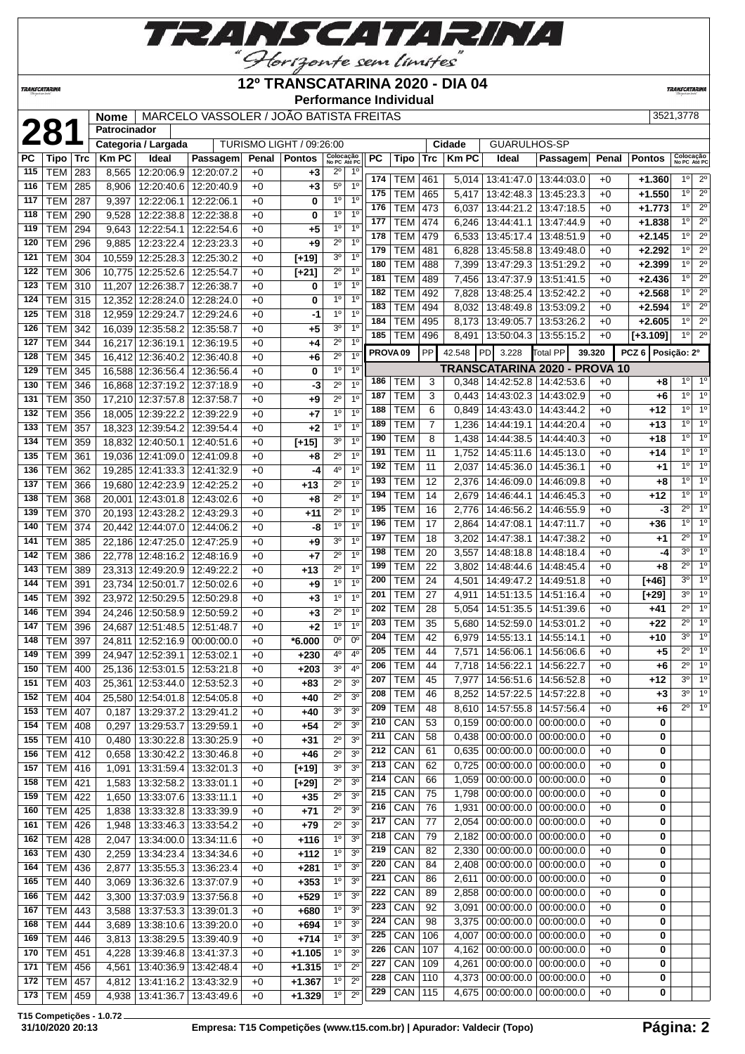

### **12º TRANSCATARINA 2020 - DIA 04**

**Performance Individual**

**TRANSCATARINA** 

**TRANSCATARINA** 

# **Patrocinador**

| O VASSOLER / JOÃO BATISTA FREITAS |  |
|-----------------------------------|--|
|                                   |  |

|     |                |     | <b>Nome</b>         |                              | MARCELO VASSOLER / JOAO BATISTA FREITAS |       |                          |                           |                |                     |            |     |              |                                       |                                      |        |                   | 3521,3778                 |                  |
|-----|----------------|-----|---------------------|------------------------------|-----------------------------------------|-------|--------------------------|---------------------------|----------------|---------------------|------------|-----|--------------|---------------------------------------|--------------------------------------|--------|-------------------|---------------------------|------------------|
|     | 281            |     | Patrocinador        |                              |                                         |       |                          |                           |                |                     |            |     |              |                                       |                                      |        |                   |                           |                  |
|     |                |     |                     | Categoria / Largada          |                                         |       | TURISMO LIGHT / 09:26:00 |                           |                |                     |            |     | Cidade       | <b>GUARULHOS-SP</b>                   |                                      |        |                   |                           |                  |
| РC  | Tipo           | Trc | <b>Km PC</b>        | Ideal                        | Passagem                                | Penal | <b>Pontos</b>            | Colocação<br>No PC Até PC |                | PC                  | Tipo       | Trc | <b>Km PC</b> | Ideal                                 | Passagem                             | Penal  | <b>Pontos</b>     | Colocação<br>No PC Até PC |                  |
| 115 | <b>TEM</b>     | 283 | 8,565               |                              | 12:20:06.9   12:20:07.2                 | $+0$  | $+3$                     | $2^{\circ}$               | $1^{\circ}$    |                     |            |     |              |                                       |                                      |        |                   |                           | $\overline{2^0}$ |
| 116 | <b>TEM</b>     | 285 | 8,906               | 12:20:40.6                   | 12:20:40.9                              | $+0$  | $+3$                     | $5^{\circ}$               | 1 <sup>0</sup> | 174                 | TEM        | 461 | 5,014        |                                       | 13:41:47.0   13:44:03.0              | $+0$   | +1.360            | $1^{\circ}$               |                  |
| 117 | <b>TEM</b>     | 287 | 9,397               | 12:22:06.1                   | 12:22:06.1                              | $+0$  | 0                        | 1 <sup>0</sup>            | 1 <sup>0</sup> | 175                 | <b>TEM</b> | 465 | 5,417        | 13:42:48.3                            | 13:45:23.3                           | $+0$   | $+1.550$          | $1^{\circ}$               | $\overline{2^0}$ |
| 118 | TEM            | 290 | 9,528               | 12:22:38.8                   | 12:22:38.8                              | $+0$  | 0                        | 1 <sup>0</sup>            | 1 <sup>0</sup> | 176                 | <b>TEM</b> | 473 | 6,037        | 13:44:21.2                            | 13:47:18.5                           | $+0$   | $+1.773$          | 10                        | $2^{\circ}$      |
| 119 | <b>TEM</b>     | 294 | 9,643               | 12:22:54.1                   | 12:22:54.6                              | $+0$  | $+5$                     | $1^{\circ}$               | 1 <sup>0</sup> | 177                 | <b>TEM</b> | 474 | 6,246        | 13:44:41.1                            | 13:47:44.9                           | +0     | $+1.838$          | $1^{\circ}$               | $2^{\circ}$      |
| 120 | TEM            | 296 | 9,885               | 12:23:22.4                   | 12:23:23.3                              | $+0$  | $+9$                     | $2^{\circ}$               | 1 <sup>0</sup> | 178                 | <b>TEM</b> | 479 | 6,533        | 13:45:17.4                            | 13:48:51.9                           | $+0$   | $+2.145$          | 1 <sup>°</sup>            | $\overline{2^0}$ |
| 121 | TEM            | 304 | 10,559              | 12:25:28.3                   | 12:25:30.2                              | $+0$  | $[t+19]$                 | 3 <sup>o</sup>            | 1 <sup>0</sup> | 179                 | <b>TEM</b> | 481 | 6,828        | 13:45:58.8                            | 13:49:48.0                           | $+0$   | $+2.292$          | 1 <sup>0</sup>            | $2^{\circ}$      |
| 122 | <b>TEM</b>     | 306 | 10,775              | 12:25:52.6                   | 12:25:54.7                              | $+0$  | $[+21]$                  | $2^{\circ}$               | 1 <sup>0</sup> | 180                 | <b>TEM</b> | 488 | 7,399        | 13:47:29.3                            | 13:51:29.2                           | $+0$   | $+2.399$          | 1 <sup>0</sup>            | $\overline{2^0}$ |
| 123 | TEM            | 310 | 11,207              | 12:26:38.7                   | 12:26:38.7                              | $+0$  | 0                        | 1 <sup>0</sup>            | 1 <sup>0</sup> | 181                 | <b>TEM</b> | 489 | 7,456        | 13:47:37.9                            | 13:51:41.5                           | +0     | +2.436            | 1 <sup>0</sup>            | $2^{\circ}$      |
| 124 | <b>TEM</b>     | 315 | 12,352              | 12:28:24.0   12:28:24.0      |                                         | $+0$  |                          | 1 <sup>0</sup>            | 1 <sup>0</sup> | 182                 | <b>TEM</b> | 492 | 7,828        | 13:48:25.4                            | 13:52:42.2                           | $+0$   | $+2.568$          | 1 <sup>0</sup>            | $2^{\circ}$      |
|     |                |     |                     |                              |                                         |       | 0                        | 1 <sup>0</sup>            | 1 <sup>0</sup> | 183                 | <b>TEM</b> | 494 | 8,032        | 13:48:49.8                            | 13:53:09.2                           | $+0$   | $+2.594$          | 1 <sup>0</sup>            | $2^{\circ}$      |
| 125 | <b>TEM</b>     | 318 | 12,959              | 12:29:24.7                   | 12:29:24.6                              | $+0$  | -1                       |                           |                | 184                 | <b>TEM</b> | 495 | 8,173        | 13:49:05.7                            | 13:53:26.2                           | $+0$   | $+2.605$          | $1^{\circ}$               | $2^{\circ}$      |
| 126 | <b>TEM</b>     | 342 |                     | 16,039 12:35:58.2            | 12:35:58.7                              | $+0$  | $+5$                     | 30                        | 1 <sup>0</sup> | 185                 | <b>TEM</b> | 496 | 8,491        | 13:50:04.3                            | 13:55:15.2                           | $+0$   | $[-3.109]$        | 1 <sup>0</sup>            | $2^{\circ}$      |
| 127 | <b>TEM</b>     | 344 | $\overline{16,217}$ | 12:36:19.1                   | 12:36:19.5                              | $+0$  | +4                       | $2^{\circ}$               | 1 <sup>0</sup> | PROVA <sub>09</sub> |            | PP  | 42.548       | PD<br>3.228                           | Total PP                             | 39.320 | PCZ 6 Posicão: 2º |                           |                  |
| 128 | <b>TEM</b>     | 345 | 16,412              | 12:36:40.2                   | 12:36:40.8                              | $+0$  | $+6$                     | $2^{\circ}$               | 1 <sup>0</sup> |                     |            |     |              |                                       |                                      |        |                   |                           |                  |
| 129 | <b>TEM</b>     | 345 | 16,588              | 12:36:56.4                   | 12:36:56.4                              | $+0$  | 0                        | 1 <sup>0</sup>            | 1 <sup>0</sup> |                     |            |     |              |                                       | <b>TRANSCATARINA 2020 - PROVA 10</b> |        |                   | $1^{\circ}$               | $1^{\circ}$      |
| 130 | TEM            | 346 | 16,868              | 12:37:19.2                   | 12:37:18.9                              | $+0$  | -3                       | $2^{\circ}$               | 1 <sup>0</sup> | 186                 | TEM        | 3   | 0,348        | 14:42:52.8                            | 14:42:53.6                           | $+0$   | $+8$              | 1 <sup>0</sup>            | $\overline{1^0}$ |
| 131 | <b>TEM</b>     | 350 | 17,210              | 12:37:57.8                   | 12:37:58.7                              | $+0$  | +9                       | $2^{\circ}$               | 1 <sup>0</sup> | 187                 | TEM        | 3   | 0,443        | 14:43:02.3                            | 14:43:02.9                           | $+0$   | +6                |                           |                  |
| 132 | TEM            | 356 | 18,005              | 12:39:22.2                   | 12:39:22.9                              | $+0$  | +7                       | 1 <sup>0</sup>            | 1 <sup>0</sup> | 188                 | <b>TEM</b> | 6   | 0,849        | 14:43:43.0                            | 14:43:44.2                           | $+0$   | $+12$             | $1^{\circ}$               | 10               |
| 133 | <b>TEM</b>     | 357 | 18,323              | 12:39:54.2                   | 12:39:54.4                              | $+0$  | $+2$                     | 1 <sup>0</sup>            | 10             | 189                 | <b>TEM</b> | 7   | 1,236        | 14:44:19.1                            | 14:44:20.4                           | $+0$   | $+13$             | 1 <sup>0</sup>            | 1 <sup>0</sup>   |
| 134 | <b>TEM</b>     | 359 | 18,832              | 12:40:50.1                   | 12:40:51.6                              | $+0$  | $[+15]$                  | 3 <sup>o</sup>            | 1 <sup>0</sup> | 190                 | <b>TEM</b> | 8   | 1,438        | 14:44:38.5                            | 14:44:40.3                           | $+0$   | $+18$             | 1 <sup>0</sup>            | 1 <sup>0</sup>   |
| 135 | <b>TEM</b>     | 361 |                     | 19,036 12:41:09.0            | 12:41:09.8                              | $+0$  | $+8$                     | $2^{\circ}$               | 1 <sup>0</sup> | 191                 | <b>TEM</b> | 11  | 1,752        | 14:45:11.6                            | 14:45:13.0                           | $+0$   | $+14$             | 1 <sup>0</sup>            | 10               |
| 136 | <b>TEM</b>     | 362 |                     | 19,285 12:41:33.3            | 12:41:32.9                              | $+0$  | -4                       | 4 <sup>0</sup>            | 1 <sup>0</sup> | 192                 | <b>TEM</b> | 11  | 2,037        | 14:45:36.0                            | 14:45:36.1                           | $+0$   | $+1$              | 10                        | 10               |
| 137 | <b>TEM</b>     | 366 | 19,680              | 12:42:23.9                   | 12:42:25.2                              | $+0$  | $+13$                    | $2^{\circ}$               | 1 <sup>0</sup> | 193                 | <b>TEM</b> | 12  | 2,376        | 14:46:09.0                            | 14:46:09.8                           | $+0$   | $+8$              | 1 <sup>0</sup>            | 1 <sup>0</sup>   |
| 138 | <b>TEM</b>     | 368 | 20,001              | 12:43:01.8                   | 12:43:02.6                              | $+0$  | $+8$                     | $2^{\circ}$               | 1 <sup>0</sup> | 194                 | <b>TEM</b> | 14  | 2,679        | 14:46:44.1                            | 14:46:45.3                           | $+0$   | $+12$             | 1 <sup>0</sup>            | $\overline{1^0}$ |
| 139 | <b>TEM</b>     | 370 | 20,193              | 12:43:28.2                   | 12:43:29.3                              | $+0$  | $+11$                    | $2^{\circ}$               | 1 <sup>0</sup> | 195                 | TEM        | 16  | 2,776        | 14:46:56.2                            | 14:46:55.9                           | $+0$   | -3                | $\overline{2^0}$          | 1 <sup>0</sup>   |
| 140 | <b>TEM</b>     | 374 | 20,442              | 12:44:07.0                   | 12:44:06.2                              | $+0$  | -8                       | 1 <sup>0</sup>            | 1 <sup>0</sup> | 196                 | <b>TEM</b> | 17  | 2,864        | 14:47:08.1                            | 14:47:11.7                           | $+0$   | $+36$             | $1^{\circ}$               | 1 <sup>0</sup>   |
| 141 | <b>TEM</b>     | 385 |                     | 22,186 12:47:25.0            | 12:47:25.9                              | $+0$  | $+9$                     | 30                        | 1 <sup>0</sup> | $19\overline{7}$    | <b>TEM</b> | 18  | 3,202        | 14:47:38.1                            | 14:47:38.2                           | $+0$   | +1                | $2^{\circ}$               | 1 <sup>0</sup>   |
| 142 | <b>TEM</b>     | 386 | 22,778              | 12:48:16.2                   | 12:48:16.9                              | $+0$  | $+7$                     | $2^{\circ}$               | 1 <sup>0</sup> | 198                 | <b>TEM</b> | 20  | 3,557        | 14:48:18.8                            | 14:48:18.4                           | $+0$   | -4                | 3 <sup>0</sup>            | 1 <sup>0</sup>   |
| 143 | <b>TEM</b>     | 389 |                     | 23,313 12:49:20.9            | 12:49:22.2                              | $+0$  | +13                      | $2^{\circ}$               | 1 <sup>0</sup> | 199                 | <b>TEM</b> | 22  | 3,802        | 14:48:44.6                            | 14:48:45.4                           | $+0$   | $+8$              | $\overline{2^{\circ}}$    | 10               |
| 144 | <b>TEM</b>     | 391 |                     | 23,734 12:50:01.7            | 12:50:02.6                              | $+0$  | $+9$                     | 1 <sup>0</sup>            | 1 <sup>0</sup> | 200                 | <b>TEM</b> | 24  | 4,501        | 14:49:47.2                            | 14:49:51.8                           | $+0$   | $[+46]$           | 30                        | 10               |
|     |                |     |                     |                              |                                         |       |                          | 1 <sup>0</sup>            | 1 <sup>0</sup> | 201                 | <b>TEM</b> | 27  | 4,911        | 14:51:13.5                            | 14:51:16.4                           | $+0$   | $[+29]$           | 30                        | 1 <sup>0</sup>   |
| 145 | <b>TEM</b>     | 392 |                     | 23,972 12:50:29.5            | 12:50:29.8                              | $+0$  | $+3$                     | $2^{\circ}$               | 1 <sup>0</sup> | 202                 | <b>TEM</b> | 28  | 5,054        | 14:51:35.5                            | 14:51:39.6                           | $+0$   | $+41$             | $2^{\circ}$               | 1 <sup>0</sup>   |
| 146 | <b>TEM</b>     | 394 | 24,246              | 12:50:58.9                   | 12:50:59.2                              | $+0$  | $+3$                     |                           |                | 203                 | <b>TEM</b> | 35  | 5,680        | 14:52:59.0                            | 14:53:01.2                           | $+0$   | $+22$             | $\overline{2^{\circ}}$    | $\overline{1^0}$ |
| 147 | <b>TEM</b>     | 396 | 24,687              | 12:51:48.5                   | 12:51:48.7                              | $+0$  | $+2$                     | 1 <sup>0</sup>            | 1 <sup>0</sup> | 204                 | TEM        | 42  | 6.979        | 14:55:13.1                            | 14:55:14.1                           | $+0$   | $+10$             | 3 <sup>0</sup>            | 10               |
| 148 | TEM            | 397 | 24,811              | 12:52:16.9                   | 00:00:00.0                              | $+0$  | $*6.000$                 | $0^{\circ}$               | $0^{\circ}$    | 205                 | <b>TEM</b> | 44  | 7,571        | 14:56:06.1                            | 14:56:06.6                           | $+0$   | $+5$              | $2^{\circ}$               | 1 <sup>0</sup>   |
| 149 | <b>TEM</b>     | 399 | 24,947              | 12:52:39.1                   | 12:53:02.1                              | $+0$  | $+230$                   | 4 <sup>0</sup>            | $4^{\circ}$    | 206                 | <b>TEM</b> | 44  | 7,718        | 14:56:22.1                            | 14:56:22.7                           | $+0$   | $+6$              | $2^{\circ}$               | 1 <sup>0</sup>   |
| 150 | <b>TEM 400</b> |     |                     | 25,136 12:53:01.5 12:53:21.8 |                                         | $+0$  | $+203$                   | 3 <sup>0</sup>            | 4 <sup>0</sup> |                     |            |     |              |                                       |                                      |        |                   | 30                        | 1 <sup>o</sup>   |
| 151 | TEM   403      |     |                     | 25,361 12:53:44.0 12:53:52.3 |                                         | $+0$  | +83                      | $2^{\circ}$               | 3 <sup>0</sup> | 207                 | TEM        | 45  | 7,977        |                                       | 14:56:51.6   14:56:52.8              | $+0$   | +12               | 3 <sup>0</sup>            | 1 <sup>0</sup>   |
| 152 | <b>TEM 404</b> |     | 25,580              |                              | 12:54:01.8 12:54:05.8                   | $+0$  | +40                      | $2^{\circ}$               | 3 <sup>o</sup> | 208                 | <b>TEM</b> | 46  | 8,252        | 14:57:22.5                            | 14:57:22.8                           | $+0$   | $+3$              |                           |                  |
| 153 | <b>TEM 407</b> |     | 0,187               | 13:29:37.2 13:29:41.2        |                                         | $+0$  | +40                      | 3 <sup>o</sup>            | 3 <sup>o</sup> | 209                 | <b>TEM</b> | 48  | 8,610        | 14:57:55.8                            | 14:57:56.4                           | $+0$   | +6                | $2^{\circ}$               | 1 <sup>0</sup>   |
| 154 | <b>TEM 408</b> |     | 0,297               | 13:29:53.7                   | 13:29:59.1                              | $+0$  | +54                      | $2^{\circ}$               | 3 <sup>o</sup> | 210                 | CAN        | 53  |              | 0,159   00:00:00.0   00:00:00.0       |                                      | $+0$   | 0                 |                           |                  |
| 155 | <b>TEM 410</b> |     | 0,480               | 13:30:22.8   13:30:25.9      |                                         | $+0$  | +31                      | $2^{\circ}$               | 3 <sup>o</sup> | 211                 | CAN        | 58  | 0,438        |                                       | $00:00:00.0$   $00:00:00.0$          | $+0$   | 0                 |                           |                  |
| 156 | <b>TEM 412</b> |     | 0,658               |                              | 13:30:42.2 13:30:46.8                   | $+0$  | $+46$                    | $2^{\circ}$               | 3 <sup>o</sup> | 212                 | CAN        | 61  | 0,635        | $\vert$ 00:00:00.0 $\vert$ 00:00:00.0 |                                      | $+0$   | 0                 |                           |                  |
| 157 | <b>TEM 416</b> |     | 1,091               |                              | 13:31:59.4   13:32:01.3                 | $+0$  | $[+19]$                  | 3 <sup>o</sup>            | 3 <sup>o</sup> | 213                 | CAN        | 62  | 0,725        |                                       | $00:00:00.0$ 00:00:00.0              | $+0$   | 0                 |                           |                  |
| 158 | <b>TEM 421</b> |     | 1,583               | 13:32:58.2 13:33:01.1        |                                         | $+0$  | $[+29]$                  | $2^{\circ}$               | 3 <sup>o</sup> | 214                 | CAN        | 66  | 1,059        |                                       | $00:00:00.0$   $00:00:00.0$          | $+0$   | 0                 |                           |                  |
| 159 | <b>TEM 422</b> |     | 1,650               | 13:33:07.6   13:33:11.1      |                                         | $+0$  | +35                      | $2^{\circ}$               | 3 <sup>o</sup> | 215                 | CAN        | 75  | 1,798        |                                       | $00:00:00.0$   00:00:00.0            | $+0$   | 0                 |                           |                  |
| 160 | $TEM$ 425      |     | 1,838               |                              | 13:33:32.8 13:33:39.9                   | $+0$  | +71                      | $2^{\circ}$               | 3 <sup>0</sup> | 216                 | CAN        | 76  | 1,931        |                                       | $00:00:00.0$ 00:00:00.0              | $+0$   | 0                 |                           |                  |
| 161 | <b>TEM 426</b> |     | 1,948               |                              | 13:33:46.3   13:33:54.2                 | $+0$  | $+79$                    | $2^{\circ}$               | 3 <sup>0</sup> | $\overline{217}$    | CAN        | 77  | 2,054        |                                       | $00:00:00.0$   $00:00:00.0$          | $+0$   | 0                 |                           |                  |
| 162 | <b>TEM 428</b> |     | 2,047               | 13:34:00.0   13:34:11.6      |                                         | $+0$  | $+116$                   | 1 <sup>0</sup>            | 3 <sup>o</sup> | 218                 | CAN        | 79  | 2,182        |                                       | 00:00:00.0 00:00:00.0                | $+0$   | 0                 |                           |                  |
| 163 | <b>TEM 430</b> |     | 2,259               | 13:34:23.4                   | 13:34:34.6                              | $+0$  | $+112$                   | 1 <sup>0</sup>            | 3 <sup>o</sup> | 219                 | CAN        | 82  | 2,330        | $00:00:00.0$ 00:00:00.0               |                                      | $+0$   | 0                 |                           |                  |
| 164 | <b>TEM 436</b> |     | 2,877               |                              | 13:35:55.3   13:36:23.4                 | $+0$  | $+281$                   | $1^{\circ}$               | 3 <sup>o</sup> | 220                 | CAN        | 84  | 2,408        |                                       | $00:00:00.0$   $00:00:00.0$          | $+0$   | 0                 |                           |                  |
| 165 | <b>TEM 440</b> |     | 3,069               |                              | 13:36:32.6   13:37:07.9                 | $+0$  | $+353$                   | 1 <sup>o</sup>            | 3 <sup>o</sup> | $\overline{221}$    | CAN        | 86  | 2,611        |                                       | $00:00:00.0$   $00:00:00.0$          | $+0$   | 0                 |                           |                  |
| 166 | <b>TEM 442</b> |     | 3,300               | 13:37:03.9 13:37:56.8        |                                         | $+0$  | $+529$                   | 1 <sup>0</sup>            | 3 <sup>o</sup> | 222                 | CAN        | 89  | 2,858        |                                       | $00:00:00.0$ 00:00:00.0              | $+0$   | 0                 |                           |                  |
| 167 | <b>TEM 443</b> |     | 3,588               | 13:37:53.3 13:39:01.3        |                                         | $+0$  | +680                     | $1^{\circ}$               | 3 <sup>o</sup> | 223                 | CAN        | 92  | 3,091        |                                       | $00:00:00.0$   $00:00:00.0$          | $+0$   | 0                 |                           |                  |
| 168 | <b>TEM 444</b> |     |                     |                              | 13:38:10.6   13:39:20.0                 |       | +694                     | 1 <sup>0</sup>            | 3 <sup>o</sup> | 224                 | CAN        | 98  | 3,375        | $\vert$ 00:00:00.0 $\vert$ 00:00:00.0 |                                      | $+0$   | 0                 |                           |                  |
|     |                |     | 3,689               |                              |                                         | $+0$  |                          | 1 <sup>0</sup>            | 3 <sup>o</sup> | 225                 | CAN        | 106 | 4,007        |                                       | $00:00:00.0$ 00:00:00.0              | $+0$   | 0                 |                           |                  |
| 169 | <b>TEM 446</b> |     | 3,813               |                              | 13:38:29.5   13:39:40.9                 | $+0$  | $+714$                   | 1 <sup>0</sup>            | 3 <sup>o</sup> | 226                 | CAN        | 107 | 4,162        |                                       | $00:00:00.0$   00:00:00.0            | $+0$   | 0                 |                           |                  |
| 170 | TEM   451      |     | 4,228               |                              | 13:39:46.8   13:41:37.3                 | $+0$  | $+1.105$                 |                           |                | 227                 | CAN        | 109 | 4,261        |                                       | $00:00:00.0$   $00:00:00.0$          | $+0$   | 0                 |                           |                  |
| 171 | TEM 456        |     | 4,561               |                              | 13:40:36.9 13:42:48.4                   | $+0$  | $+1.315$                 | 1 <sup>o</sup>            | $2^{\circ}$    | 228                 | CAN        | 110 |              | 4,373   00:00:00.0   00:00:00.0       |                                      | $+0$   | 0                 |                           |                  |
| 172 | <b>TEM 457</b> |     | 4,812               |                              | 13:41:16.2   13:43:32.9                 | $+0$  | $+1.367$                 | $1^{\circ}$               | $2^{\circ}$    | 229                 | CAN        | 115 | 4,675        |                                       | $00:00:00.0$   $00:00:00.0$          | $+0$   | 0                 |                           |                  |
| 173 | TEM   459      |     | 4,938               | 13:41:36.7                   | 13:43:49.6                              | $+0$  | $+1.329$                 | 1 <sup>0</sup>            | $2^{\circ}$    |                     |            |     |              |                                       |                                      |        |                   |                           |                  |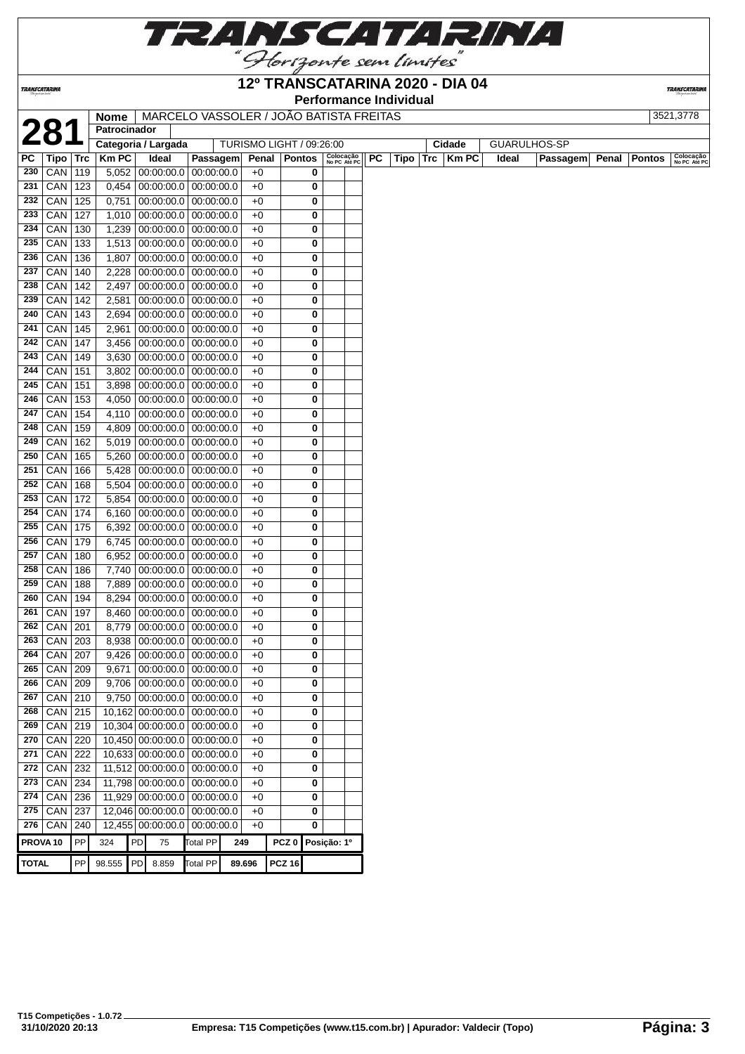

### **12º TRANSCATARINA 2020 - DIA 04**

**Performance Individual**

**TRANSCATARI** 

|              |                     |     | Nome                |    | MARCELO VASSOLER / JOÃO BATISTA FREITAS |                 |        |                          |                     |   |                           |    |      |     |           |       |                     |       |               | 3521,3778                 |
|--------------|---------------------|-----|---------------------|----|-----------------------------------------|-----------------|--------|--------------------------|---------------------|---|---------------------------|----|------|-----|-----------|-------|---------------------|-------|---------------|---------------------------|
|              | 281                 |     | Patrocinador        |    |                                         |                 |        |                          |                     |   |                           |    |      |     |           |       |                     |       |               |                           |
|              |                     |     | Categoria / Largada |    |                                         |                 |        | TURISMO LIGHT / 09:26:00 |                     |   |                           |    |      |     | Cidade    |       | <b>GUARULHOS-SP</b> |       |               |                           |
| PC           | Tipo   Trc          |     | <b>Km PC</b>        |    | Ideal                                   | Passagem        |        | Penal   Pontos           |                     |   | Colocação<br>No PC Até PC | PC | Tipo | Trc | $ $ Km PC | Ideal | Passagem            | Penal | <b>Pontos</b> | Colocação<br>No PC Até PC |
| 230          | $CAN$   119         |     | 5,052               |    | 00:00:00.0                              | 00:00:00.0      |        | $+0$                     |                     | 0 |                           |    |      |     |           |       |                     |       |               |                           |
| 231          | CAN 123             |     | 0,454               |    | $00:00:00.0$ 00:00:00.0                 |                 |        | $+0$                     |                     | 0 |                           |    |      |     |           |       |                     |       |               |                           |
| 232          | CAN                 | 125 | 0,751               |    | $00:00:00.0$ 00:00:00.0                 |                 |        | $+0$                     |                     | 0 |                           |    |      |     |           |       |                     |       |               |                           |
| 233          | CAN                 | 127 | 1,010               |    | $00:00:00.0$ 00:00:00.0                 |                 |        | $+0$                     |                     | 0 |                           |    |      |     |           |       |                     |       |               |                           |
| 234          | CAN                 | 130 | 1,239               |    | $00:00:00.0$ 00:00:00.0                 |                 |        | $+0$                     |                     | 0 |                           |    |      |     |           |       |                     |       |               |                           |
| 235          | CAN                 | 133 | 1,513               |    | $00:00:00.0$ 00:00:00.0                 |                 |        | $+0$                     |                     | 0 |                           |    |      |     |           |       |                     |       |               |                           |
| 236          | CAN                 | 136 | 1,807               |    | $00:00:00.0$ 00:00:00.0                 |                 |        | $+0$                     |                     | 0 |                           |    |      |     |           |       |                     |       |               |                           |
| 237          | CAN                 | 140 | 2,228               |    | $00:00:00.0$   $00:00:00.0$             |                 |        | $+0$                     |                     | 0 |                           |    |      |     |           |       |                     |       |               |                           |
| 238          | CAN                 | 142 | 2,497               |    | $00:00:00.0$ 00:00:00.0                 |                 |        | $+0$                     |                     | 0 |                           |    |      |     |           |       |                     |       |               |                           |
| 239          | CAN                 | 142 | 2,581               |    | 00:00:00.0                              | 00:00:00.0      |        | $+0$                     |                     | 0 |                           |    |      |     |           |       |                     |       |               |                           |
| 240          | CAN                 | 143 | 2,694               |    | 00:00:00.0                              | 00:00:00.0      |        | $+0$                     |                     | 0 |                           |    |      |     |           |       |                     |       |               |                           |
| 241          | CAN                 | 145 | 2,961               |    | $00:00:00.0$   $00:00:00.0$             |                 |        | $+0$                     |                     | 0 |                           |    |      |     |           |       |                     |       |               |                           |
| 242          | CAN                 | 147 | 3,456               |    | $00:00:00.0$ 00:00:00.0                 |                 |        | $+0$                     |                     | 0 |                           |    |      |     |           |       |                     |       |               |                           |
| 243          | CAN                 | 149 | 3,630               |    | $00:00:00.0$   $00:00:00.0$             |                 |        | +0                       |                     | 0 |                           |    |      |     |           |       |                     |       |               |                           |
| 244          | CAN                 | 151 | 3,802               |    | 00:00:00.0                              | 00:00:00.0      |        | $+0$                     |                     | 0 |                           |    |      |     |           |       |                     |       |               |                           |
| 245          | CAN                 | 151 | 3,898               |    | $00:00:00.0$ 00:00:00.0                 |                 |        | +0                       |                     | 0 |                           |    |      |     |           |       |                     |       |               |                           |
| 246          | CAN                 | 153 | 4,050               |    | $00:00:00.0$ 00:00:00.0                 |                 |        | $+0$                     |                     | 0 |                           |    |      |     |           |       |                     |       |               |                           |
| 247          | CAN                 | 154 | 4,110               |    | $00:00:00.0$ 00:00:00.0                 |                 |        | $+0$                     |                     | 0 |                           |    |      |     |           |       |                     |       |               |                           |
| 248          | CAN                 | 159 | 4,809               |    | $00:00:00.0$ 00:00:00.0                 |                 |        | $+0$                     |                     | 0 |                           |    |      |     |           |       |                     |       |               |                           |
| 249          | CAN                 | 162 | 5,019               |    | 00:00:00.0                              | 00:00:00.0      |        | $+0$                     |                     | 0 |                           |    |      |     |           |       |                     |       |               |                           |
| 250          | CAN                 | 165 | 5,260               |    | $00:00:00.0$   $00:00:00.0$             |                 |        | $+0$                     |                     | 0 |                           |    |      |     |           |       |                     |       |               |                           |
| 251          | CAN                 | 166 | 5,428               |    | $00:00:00.0$   $00:00:00.0$             |                 |        | $+0$                     |                     | 0 |                           |    |      |     |           |       |                     |       |               |                           |
| 252          | CAN                 | 168 | 5,504               |    | $00:00:00.0$   $00:00:00.0$             |                 |        | $+0$                     |                     | 0 |                           |    |      |     |           |       |                     |       |               |                           |
| 253          | CAN                 | 172 | 5,854               |    | 00:00:00.0                              | 00:00:00.0      |        | $+0$                     |                     | 0 |                           |    |      |     |           |       |                     |       |               |                           |
| 254          | CAN                 | 174 | 6,160               |    | $00:00:00.0$ 00:00:00.0                 |                 |        | +0                       |                     | 0 |                           |    |      |     |           |       |                     |       |               |                           |
| 255          | CAN                 | 175 | 6,392               |    | $00:00:00.0$ 00:00:00.0                 |                 |        | $+0$                     |                     | 0 |                           |    |      |     |           |       |                     |       |               |                           |
| 256          | CAN                 | 179 | 6,745               |    | $00:00:00.0$ 00:00:00.0                 |                 |        | $+0$                     |                     | 0 |                           |    |      |     |           |       |                     |       |               |                           |
| 257          | CAN                 | 180 | 6,952               |    | $00:00:00.0$ 00:00:00.0                 |                 |        | $+0$                     |                     | 0 |                           |    |      |     |           |       |                     |       |               |                           |
| 258          | CAN                 | 186 | 7,740               |    | $00:00:00.0$ 00:00:00.0                 |                 |        | $+0$                     |                     | 0 |                           |    |      |     |           |       |                     |       |               |                           |
| 259          | CAN                 | 188 | 7,889               |    | $00:00:00.0$   $00:00:00.0$             |                 |        | $+0$                     |                     | 0 |                           |    |      |     |           |       |                     |       |               |                           |
| 260          | CAN                 | 194 | 8,294               |    | $00:00:00.0$ 00:00:00.0                 |                 |        | $+0$                     |                     | 0 |                           |    |      |     |           |       |                     |       |               |                           |
| 261          | CAN                 | 197 | 8,460               |    | $00:00:00.0$   $00:00:00.0$             |                 |        | $+0$                     |                     | 0 |                           |    |      |     |           |       |                     |       |               |                           |
| 262          | CAN                 | 201 | 8,779               |    | 00:00:00.0                              | 00:00:00.0      |        | $+0$                     |                     | 0 |                           |    |      |     |           |       |                     |       |               |                           |
| 263          | CAN 203             |     | 8,938               |    | $00:00:00.0$   $00:00:00.0$             |                 |        | +0                       |                     | 0 |                           |    |      |     |           |       |                     |       |               |                           |
|              | 264 CAN 207         |     |                     |    | $9,426$   00:00:00.0   00:00:00.0       |                 |        | $+0$                     |                     | 0 |                           |    |      |     |           |       |                     |       |               |                           |
|              | 265 CAN 209         |     |                     |    | $9,671$ 00:00:00.0 00:00:00.0           |                 |        | $+0$                     |                     | 0 |                           |    |      |     |           |       |                     |       |               |                           |
| 266          | CAN   209           |     |                     |    | $9,706$   00:00:00.0   00:00:00.0       |                 |        | $+0$                     |                     | 0 |                           |    |      |     |           |       |                     |       |               |                           |
| 267          | $CAN$ 210           |     | 9,750               |    | $00:00:00.0$ 00:00:00.0                 |                 |        | $+0$                     |                     | 0 |                           |    |      |     |           |       |                     |       |               |                           |
| 268          | $CAN$ 215           |     |                     |    | 10,162 00:00:00.0 00:00:00.0            |                 |        | $+0$                     |                     | 0 |                           |    |      |     |           |       |                     |       |               |                           |
| 269          | $CAN$ 219           |     |                     |    | 10,304 00:00:00.0 00:00:00.0            |                 |        | $+0$                     |                     | 0 |                           |    |      |     |           |       |                     |       |               |                           |
| 270          | CAN 220             |     |                     |    | 10,450 00:00:00.0 00:00:00.0            |                 |        |                          |                     |   |                           |    |      |     |           |       |                     |       |               |                           |
| 271          | $CAN$ 222           |     |                     |    | 10,633 00:00:00.0 00:00:00.0            |                 |        | $+0$                     |                     | 0 |                           |    |      |     |           |       |                     |       |               |                           |
|              |                     |     |                     |    |                                         |                 |        | $+0$                     |                     | 0 |                           |    |      |     |           |       |                     |       |               |                           |
| 272          | $CAN$ 232           |     |                     |    | 11,512 00:00:00.0 00:00:00.0            |                 |        | +0                       |                     | 0 |                           |    |      |     |           |       |                     |       |               |                           |
| 273          | $CAN$ 234           |     |                     |    | 11,798 00:00:00.0 00:00:00.0            |                 |        | $+0$                     |                     | 0 |                           |    |      |     |           |       |                     |       |               |                           |
| 274          | $CAN$ 236           |     |                     |    | 11,929 00:00:00.0 00:00:00.0            |                 |        | $+0$                     |                     | 0 |                           |    |      |     |           |       |                     |       |               |                           |
| 275          | $CAN$ 237           |     |                     |    | 12,046 00:00:00.0 00:00:00.0            |                 |        | $+0$                     |                     | 0 |                           |    |      |     |           |       |                     |       |               |                           |
|              | 276 CAN 240         |     |                     |    | 12,455 00:00:00.0 00:00:00.0            |                 |        | $+0$                     |                     | 0 |                           |    |      |     |           |       |                     |       |               |                           |
|              | PROVA <sub>10</sub> | PP  | 324                 | PD | 75                                      | <b>Total PP</b> | 249    |                          | PCZ 0   Posição: 1º |   |                           |    |      |     |           |       |                     |       |               |                           |
| <b>TOTAL</b> |                     | PP  | 98.555 PD 8.859     |    |                                         | <b>Total PP</b> | 89.696 |                          | <b>PCZ 16</b>       |   |                           |    |      |     |           |       |                     |       |               |                           |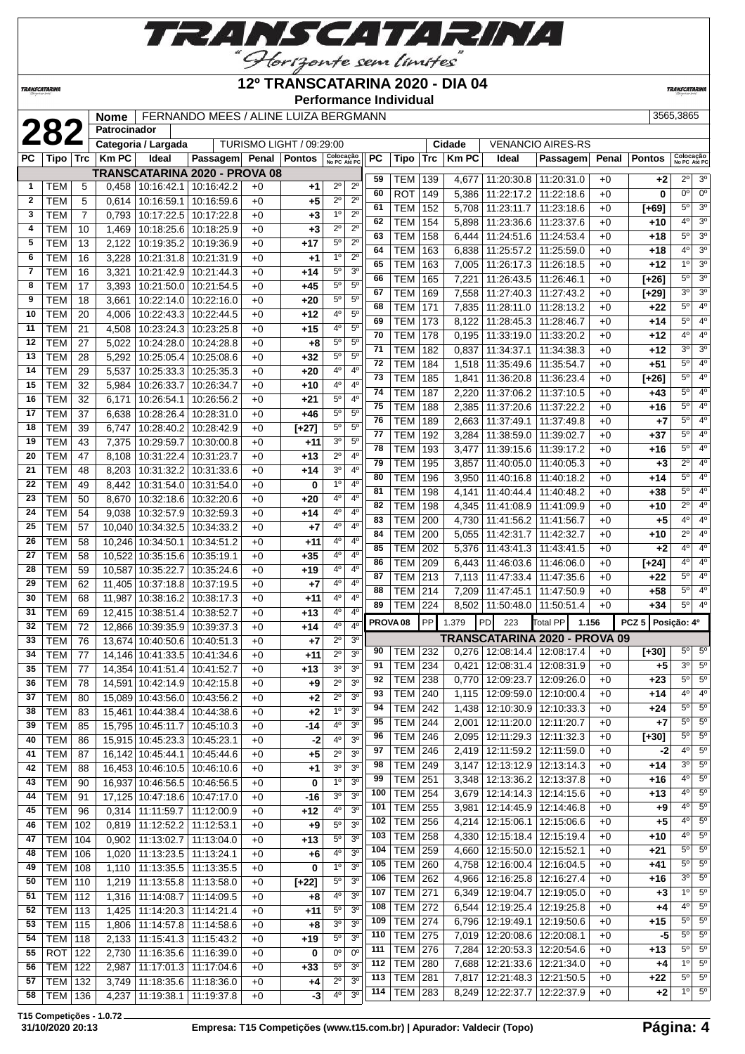

'Horizonte sem limites<sup>'</sup>

**12º TRANSCATARINA 2020 - DIA 04**

**Performance Individual**

**TRANSCATARIN** 

|              |                          |                 |              |                                   |                                                              |              |                          | Performance Individual                                         |     |                     |            |              |                                 |                                 |       |                  |                           |                        |
|--------------|--------------------------|-----------------|--------------|-----------------------------------|--------------------------------------------------------------|--------------|--------------------------|----------------------------------------------------------------|-----|---------------------|------------|--------------|---------------------------------|---------------------------------|-------|------------------|---------------------------|------------------------|
|              |                          |                 | <b>Nome</b>  |                                   | FERNANDO MEES / ALINE LUIZA BERGMANN                         |              |                          |                                                                |     |                     |            |              |                                 |                                 |       |                  | 3565,3865                 |                        |
|              | 282                      |                 | Patrocinador |                                   |                                                              |              |                          |                                                                |     |                     |            |              |                                 |                                 |       |                  |                           |                        |
|              |                          |                 |              | Categoria / Largada               |                                                              |              | TURISMO LIGHT / 09:29:00 |                                                                |     |                     |            | Cidade       |                                 | <b>VENANCIO AIRES-RS</b>        |       |                  |                           |                        |
| <b>PC</b>    | Tipo l                   | <b>Trc</b>      | <b>KmPC</b>  | Ideal                             | Passagem Penal                                               |              | <b>Pontos</b>            | Colocação<br>No PC Até PC                                      | PC  | Tipo                | <b>Trc</b> | <b>Km PC</b> | Ideal                           | Passagem                        | Penal | <b>Pontos</b>    | Colocação<br>No PC Até PC |                        |
|              |                          |                 |              |                                   | TRANSCATARINA 2020 - PROVA 08                                |              |                          |                                                                | 59  | TEM                 | 139        | 4,677        | 11:20:30.8                      | 11:20:31.0                      | $+0$  | $+2$             | $2^{\circ}$               | 3 <sup>o</sup>         |
| 1            | TEM                      | 5               | 0,458        |                                   | 10:16:42.1 10:16:42.2                                        | $+0$         | $+1$                     | $2^{\circ}$<br>$2^{\circ}$                                     | 60  | <b>ROT</b>          | 149        | 5,386        | 11:22:17.2                      | 11:22:18.6                      | $+0$  | $\bf{0}$         | $0^{\circ}$               | $\overline{0^{\circ}}$ |
| $\mathbf{2}$ | <b>TEM</b>               | 5               | 0,614        | 10:16:59.1                        | 10:16:59.6                                                   | $+0$         | +5                       | $2^{\circ}$<br>$2^{\circ}$                                     | 61  | <b>TEM</b>          | 152        | 5,708        | 11:23:11.7                      | 11:23:18.6                      | $+0$  | $[+69]$          | $5^{\circ}$               | 3 <sup>o</sup>         |
| 3            | <b>TEM</b>               | $\overline{7}$  | 0.793        | 10:17:22.5                        | 10:17:22.8                                                   | $+0$         | $+3$                     | 1 <sup>0</sup><br>$2^{\circ}$                                  | 62  | <b>TEM</b>          | 154        | 5,898        | 11:23:36.6                      | 11:23:37.6                      | $+0$  | $+10$            | $4^{\circ}$               | 3 <sup>o</sup>         |
| 4            | TEM                      | 10              | 1,469        | 10:18:25.6                        | 10:18:25.9                                                   | $+0$         | $+3$                     | 2 <sup>0</sup><br>$2^{\circ}$                                  | 63  | <b>TEM</b>          | 158        | 6,444        | 11:24:51.6                      | 11:24:53.4                      | $+0$  | $+18$            | $5^{\circ}$               | 3 <sup>0</sup>         |
| 5            | <b>TEM</b>               | 13              | 2,122        | 10:19:35.2                        | 10:19:36.9                                                   | $+0$         | $+17$                    | $2^{\circ}$<br>$5^{\circ}$                                     | 64  | <b>TEM</b>          | 163        | 6,838        | 11:25:57.2                      | 11:25:59.0                      | $+0$  | $+18$            | 4 <sup>o</sup>            | $\overline{3^0}$       |
| 6            | <b>TEM</b>               | 16              | 3,228        | 10:21:31.8                        | 10:21:31.9                                                   | $+0$         | $+1$                     | 1 <sup>0</sup><br>$2^{\circ}$                                  | 65  | <b>TEM</b>          | 163        | 7,005        | 11:26:17.3                      | 11:26:18.5                      | $+0$  | +12              | 1 <sup>0</sup>            | 3 <sup>o</sup>         |
| 7            | <b>TEM</b>               | 16              | 3,321        |                                   | 10:21:42.9 10:21:44.3                                        | +0           | +14                      | $5^{\circ}$<br>3 <sup>o</sup>                                  | 66  | <b>TEM</b>          | 165        | 7,221        | 11:26:43.5                      | 11:26:46.1                      | $+0$  | $[+26]$          | $5^{\circ}$               | $\overline{3^0}$       |
| 8            | <b>TEM</b>               | $\overline{17}$ | 3,393        |                                   | 10:21:50.0 10:21:54.5                                        | $+0$         | $+45$                    | $5^{\circ}$<br>5 <sup>0</sup>                                  | 67  | <b>TEM</b>          | 169        | 7,558        | 11:27:40.3                      | 11:27:43.2                      | $+0$  | $[+29]$          | 3 <sup>0</sup>            | $\overline{3^0}$       |
| 9            | <b>TEM</b>               | 18              | 3,661        |                                   | 10:22:14.0 10:22:16.0                                        | $+0$         | $+20$                    | $5^{\circ}$<br>5 <sup>0</sup>                                  | 68  | <b>TEM</b>          | 171        | 7,835        | 11:28:11.0                      | 11:28:13.2                      | $+0$  | $+22$            | $5^{\circ}$               | 4 <sup>0</sup>         |
| 10           | <b>TEM</b>               | 20              | 4,006        |                                   | 10:22:43.3   10:22:44.5                                      | $+0$         | $+12$                    | $4^{\circ}$<br>$5^{\circ}$                                     | 69  | <b>TEM</b>          | 173        | 8,122        | 11:28:45.3                      | 11:28:46.7                      | $+0$  | $+14$            | $5^{\circ}$               | 4 <sup>0</sup>         |
| 11           | <b>TEM</b>               | 21              | 4,508        |                                   | 10:23:24.3 10:23:25.8                                        | $+0$         | $+15$                    | 4°<br>$5^{\circ}$                                              | 70  | <b>TEM</b>          | 178        | 0,195        | 11:33:19.0                      | 11:33:20.2                      | $+0$  | $+12$            | $4^{\circ}$               | 4 <sup>0</sup>         |
| 12           | <b>TEM</b>               | 27              | 5,022        | 10:24:28.0                        | 10:24:28.8                                                   | $+0$         | $+8$                     | $5^{\circ}$<br>$5^{\circ}$                                     | 71  | <b>TEM</b>          | 182        | 0,837        | 11:34:37.1                      | 11:34:38.3                      | $+0$  | $+12$            | 3 <sup>0</sup>            | $\overline{3^0}$       |
| 13           | <b>TEM</b>               | 28              | 5,292        | 10:25:05.4                        | 10:25:08.6                                                   | $+0$         | $+32$                    | 5 <sup>0</sup><br>5 <sup>0</sup>                               | 72  | <b>TEM</b>          | 184        | 1,518        | 11:35:49.6                      | 11:35:54.7                      | $+0$  | $+51$            | $5^\circ$                 | 4 <sup>0</sup>         |
| 14           | <b>TEM</b>               | 29              | 5,537        | 10:25:33.3                        | 10:25:35.3                                                   | $+0$         | $+20$                    | 4 <sup>0</sup><br>4 <sup>0</sup>                               | 73  | <b>TEM</b>          | 185        | 1,841        | 11:36:20.8                      | 11:36:23.4                      | $+0$  | $[+26]$          | 5 <sup>o</sup>            | $\overline{4^0}$       |
| 15           | <b>TEM</b>               | 32              | 5,984        | 10:26:33.7                        | 10:26:34.7                                                   | $+0$         | $+10$                    | 4°<br>4 <sup>0</sup>                                           | 74  | <b>TEM</b>          | 187        | 2,220        | 11:37:06.2                      | 11:37:10.5                      | $+0$  | $+43$            | $5^{\circ}$               | 4 <sup>0</sup>         |
| 16           | <b>TEM</b>               | 32              | 6,171        | 10:26:54.1                        | 10:26:56.2                                                   | $+0$         | $+21$                    | $5^{\circ}$<br>4 <sup>0</sup>                                  | 75  | <b>TEM</b>          | 188        | 2,385        | 11:37:20.6                      | 11:37:22.2                      | $+0$  | +16              | $5^{\circ}$               | 4 <sup>0</sup>         |
| 17           | <b>TEM</b>               | $\overline{37}$ | 6,638        | 10:28:26.4                        | 10:28:31.0                                                   | $+0$         | $+46$                    | 5 <sup>0</sup><br>5 <sup>0</sup>                               | 76  | <b>TEM</b>          | 189        | 2,663        | 11:37:49.1                      | 11:37:49.8                      | $+0$  | $+7$             | $5^{\circ}$               | $\overline{4^0}$       |
| 18           | TEM                      | 39              | 6,747        | 10:28:40.2                        | 10:28:42.9                                                   | $+0$         | [+27]                    | 5 <sup>o</sup><br>5 <sup>0</sup>                               | 77  | <b>TEM</b>          | 192        | 3,284        | 11:38:59.0                      | 11:39:02.7                      | $+0$  | $+37$            | $5^{\circ}$               | 4 <sup>0</sup>         |
| 19           | <b>TEM</b>               | 43              | 7,375        | 10:29:59.7                        | 10:30:00.8                                                   | $+0$         | +11                      | 3 <sup>0</sup><br>$5^{\circ}$                                  | 78  | <b>TEM</b>          | 193        | 3,477        | 11:39:15.6                      | 11:39:17.2                      | $+0$  | +16              | $5^{\circ}$               | 4 <sup>0</sup>         |
| 20           | <b>TEM</b>               | 47              | 8,108        | 10:31:22.4                        | 10:31:23.7                                                   | $+0$         | $+13$                    | $2^{\circ}$<br>4 <sup>0</sup>                                  | 79  | <b>TEM</b>          | 195        | 3,857        | 11:40:05.0                      | 11:40:05.3                      | $+0$  | $+3$             | $2^{\circ}$               | 4 <sup>0</sup>         |
| 21           | <b>TEM</b>               | 48              | 8,203        | 10:31:32.2                        | 10:31:33.6                                                   | $+0$         | $+14$                    | 3 <sup>o</sup><br>4 <sup>0</sup>                               | 80  | <b>TEM</b>          | 196        | 3,950        | 11:40:16.8                      | 11:40:18.2                      | $+0$  | $+14$            | $5^\circ$                 | $\overline{4^0}$       |
| 22           | <b>TEM</b>               | 49              | 8,442        | 10:31:54.0                        | 10:31:54.0                                                   | $+0$         | 0                        | 1 <sup>0</sup><br>4 <sup>0</sup>                               | 81  | <b>TEM</b>          | 198        | 4,141        | 11:40:44.4                      | 11:40:48.2                      | $+0$  | +38              | $5^{\circ}$               | 4 <sup>0</sup>         |
| 23           | <b>TEM</b>               | 50              | 8,670        |                                   | 10:32:18.6 10:32:20.6                                        | $+0$         | $+20$                    | 40<br>4 <sup>0</sup>                                           | 82  | <b>TEM</b>          | 198        | 4,345        | 11:41:08.9                      | 11:41:09.9                      | $+0$  | +10              | $2^{\circ}$               | 4 <sup>0</sup>         |
| 24           | <b>TEM</b>               | 54              | 9,038        |                                   | 10:32:57.9 10:32:59.3                                        | $+0$         | $+14$                    | 4°<br>4 <sup>0</sup>                                           | 83  | <b>TEM</b>          | 200        | 4,730        | 11:41:56.2                      | 11:41:56.7                      | $+0$  | +5               | $4^{\circ}$               | $\overline{4^0}$       |
| 25           | <b>TEM</b>               | 57              | 10,040       |                                   | 10:34:32.5 10:34:33.2                                        | +0           | +7                       | 4 <sup>0</sup><br>4°                                           | 84  | <b>TEM</b>          | 200        | 5,055        | 11:42:31.7                      | 11:42:32.7                      | $+0$  | +10              | $2^{\circ}$               | 4 <sup>0</sup>         |
| 26           | <b>TEM</b>               | 58              |              | 10,246 10:34:50.1 10:34:51.2      |                                                              | $+0$         | +11                      | $4^{\circ}$<br>4 <sup>0</sup>                                  | 85  | <b>TEM</b>          | 202        | 5,376        | 11:43:41.3                      | 11:43:41.5                      | $+0$  | $+2$             | 4 <sup>0</sup>            | $\overline{4^0}$       |
| 27           | <b>TEM</b>               | 58              | 10,522       | 10:35:15.6 10:35:19.1             |                                                              | $+0$         | $+35$                    | 40<br>4 <sup>0</sup>                                           | 86  | <b>TEM</b>          | 209        | 6,443        | 11:46:03.6                      | 11:46:06.0                      | $+0$  | $[+24]$          | $4^{\circ}$               | 4 <sup>0</sup>         |
| 28           | <b>TEM</b>               | 59              | 10,587       | 10:35:22.7                        | 10:35:24.6                                                   | $+0$         | +19                      | $4^{\circ}$<br>$4^{\circ}$                                     | 87  | <b>TEM</b>          | 213        | 7,113        | 11:47:33.4                      | 11:47:35.6                      | $+0$  | $+22$            | 5 <sup>o</sup>            | 4 <sup>0</sup>         |
| 29           | <b>TEM</b>               | 62              | 11,405       |                                   | 10:37:18.8 10:37:19.5                                        | $+0$         | +7                       | 4°<br>4 <sup>0</sup>                                           | 88  | <b>TEM</b>          | 214        | 7,209        | 11:47:45.1                      | 11:47:50.9                      | $+0$  | $+58$            | 5 <sup>o</sup>            | 4 <sup>0</sup>         |
| 30           | <b>TEM</b>               | 68              | 11,987       | 10:38:16.2                        | 10:38:17.3                                                   | $+0$         | $+11$                    | 4°<br>$4^{\circ}$                                              | 89  | <b>TEM</b>          | 224        | 8,502        | 11:50:48.0                      | 11:50:51.4                      | $+0$  | $+34$            | $5^{\circ}$               | $\overline{4^0}$       |
| 31           | <b>TEM</b>               | 69              | 12,415       | 10:38:51.4                        | 10:38:52.7                                                   | $+0$         | $+13$                    | 4 <sup>0</sup><br>4 <sup>0</sup>                               |     | PROVA <sub>08</sub> | <b>PP</b>  | 1.379        | 223<br><b>PD</b>                | 1.156<br>Total PP               |       | PCZ <sub>5</sub> | Posição: 4º               |                        |
| 32           | <b>TEM</b>               | 72              | 12,866       | 10:39:35.9                        | 10:39:37.3                                                   | $+0$         | $+14$                    | 4°<br>4 <sup>0</sup>                                           |     |                     |            |              |                                 | TRANSCATARINA 2020 - PROVA 09   |       |                  |                           |                        |
| 33           | <b>TEM</b>               | 76              |              | 13,674 10:40:50.6                 | 10:40:51.3                                                   | $+0$         | $+7$                     | $2^{\circ}$<br>3 <sup>o</sup><br>$2^{\circ}$<br>3 <sup>0</sup> | 90  | TEM 232             |            |              |                                 | 0,276   12:08:14.4   12:08:17.4 | $+0$  | $[+30]$          |                           | $5^{\circ}$ 5°         |
| 34           | <b>TEM</b>               | 77              |              |                                   | 14,146 10:41:33.5 10:41:34.6                                 | $+0$         | +11                      | 3 <sup>0</sup><br>30                                           | 91  | TEM 234             |            | 0,421        | 12:08:31.4   12:08:31.9         |                                 | $+0$  | +5               | 3 <sup>o</sup>            | $5^{\circ}$            |
| 35           | <b>TEM</b><br><b>TEM</b> | 77              |              |                                   | 14,354 10:41:51.4 10:41:52.7                                 | $+0$         | $+13$                    | $2^{\circ}$<br>3 <sup>0</sup>                                  | 92  | TEM 238             |            | 0,770        | 12:09:23.7                      | 12:09:26.0                      | $+0$  | $+23$            | $5^{\circ}$               | $5^{\circ}$            |
| 36<br>37     |                          | 78<br>80        |              |                                   | 14,591 10:42:14.9 10:42:15.8<br>15,089 10:43:56.0 10:43:56.2 | $+0$         | +9                       | $2^{\circ}$<br>3 <sup>0</sup>                                  | 93  | TEM 240             |            | 1,115        | 12:09:59.0                      | 12:10:00.4                      | $+0$  | $+14$            | $4^{\circ}$               | $4^{\circ}$            |
|              | <b>TEM</b>               |                 |              |                                   |                                                              | $+0$         | $+2$                     | 1 <sup>o</sup><br>3 <sup>o</sup>                               | 94  | <b>TEM 242</b>      |            |              | 1,438   12:10:30.9   12:10:33.3 |                                 | $+0$  | +24              | $5^{\circ}$               | 5 <sup>0</sup>         |
| 38<br>39     | <b>TEM</b>               | 83              |              |                                   | 15,461 10:44:38.4 10:44:38.6                                 | $+0$         | $+2$                     | $4^{\rm o}$<br>3 <sup>0</sup>                                  | 95  | TEM                 | 244        | 2,001        | 12:11:20.0                      | 12:11:20.7                      | $+0$  | +7               | $5^\circ$                 | 5 <sup>o</sup>         |
| 40           | <b>TEM</b><br><b>TEM</b> | 85<br>86        |              | 15,915 10:45:23.3 10:45:23.1      | 15,795 10:45:11.7 10:45:10.3                                 | $+0$<br>$+0$ | $-14$<br>$-2$            | 4 <sup>0</sup><br>3 <sup>o</sup>                               | 96  | <b>TEM 246</b>      |            | 2,095        | 12:11:29.3                      | 12:11:32.3                      | $+0$  | $[+30]$          | $5^{\circ}$               | $\overline{5^0}$       |
| 41           | <b>TEM</b>               | 87              |              |                                   | 16,142 10:45:44.1 10:45:44.6                                 | $+0$         | $+5$                     | $2^{\circ}$<br>3 <sup>o</sup>                                  | 97  | <b>TEM 246</b>      |            |              | 2,419 12:11:59.2                | 12:11:59.0                      | $+0$  | -2               | $4^{\circ}$               | $5^{\circ}$            |
| 42           | <b>TEM</b>               | 88              |              |                                   | 16,453 10:46:10.5 10:46:10.6                                 | $+0$         | +1                       | 3 <sup>o</sup><br>3 <sup>o</sup>                               | 98  | TEM 249             |            | 3,147        |                                 | 12:13:12.9 12:13:14.3           | $+0$  | $+14$            | $3^{\circ}$               | $5^{\circ}$            |
| 43           | <b>TEM</b>               | 90              |              |                                   | 16,937 10:46:56.5 10:46:56.5                                 | $+0$         | 0                        | 1 <sup>0</sup><br>3 <sup>0</sup>                               | 99  | TEM                 | 251        | 3,348        | 12:13:36.2                      | 12:13:37.8                      | $+0$  | $+16$            | $4^{\circ}$               | 5 <sup>o</sup>         |
| 44           | <b>TEM</b>               | 91              |              |                                   | 17,125 10:47:18.6 10:47:17.0                                 | $+0$         | -16                      | 3 <sup>0</sup><br>3 <sup>0</sup>                               | 100 | $TEM$ 254           |            | 3,679        |                                 | 12:14:14.3   12:14:15.6         | $+0$  | $+13$            | $4^{\circ}$               | $5^{\circ}$            |
| 45           | <b>TEM</b>               | 96              |              |                                   | $0,314$   11:11:59.7   11:12:00.9                            | $+0$         | +12                      | 4 <sup>0</sup><br>3 <sup>0</sup>                               | 101 | <b>TEM 255</b>      |            | 3,981        |                                 | 12:14:45.9 12:14:46.8           | $+0$  | $+9$             | $4^{\circ}$               | $5^{\circ}$            |
| 46           | <b>TEM</b>               | 102             |              | 0,819 11:12:52.2 11:12:53.1       |                                                              | $+0$         | +9                       | $5^{\circ}$<br>3 <sup>0</sup>                                  | 102 | TEM 256             |            |              | 4,214 12:15:06.1                | 12:15:06.6                      | $+0$  | $+5$             | $4^{\circ}$               | $5^{\circ}$            |
| 47           | TEM                      | 104             |              | $0,902$   11:13:02.7   11:13:04.0 |                                                              | $+0$         | $+13$                    | $5^\circ$<br>3 <sup>0</sup>                                    | 103 | <b>TEM</b>          | 258        |              | 4,330   12:15:18.4              | 12:15:19.4                      | $+0$  | +10              | $4^{\circ}$               | $5^{\circ}$            |
| 48           | <b>TEM</b>               | 106             | 1,020        | 11:13:23.5   11:13:24.1           |                                                              | $+0$         | +6                       | 3 <sup>0</sup><br>40                                           | 104 | <b>TEM</b>          | 259        | 4,660        | 12:15:50.0                      | 12:15:52.1                      | $+0$  | +21              | $5^{\circ}$               | 5 <sup>0</sup>         |
| 49           | <b>TEM</b>               | 108             | 1,110        |                                   | 11:13:35.5   11:13:35.5                                      | $+0$         | 0                        | 1 <sup>0</sup><br>3 <sup>0</sup>                               | 105 | <b>TEM</b>          | 260        | 4,758        |                                 | 12:16:00.4   12:16:04.5         | $+0$  | +41              | $5^{\circ}$               | $\overline{5^0}$       |
| 50           | TEM                      | 110             | 1,219        |                                   | 11:13:55.8   11:13:58.0                                      | $+0$         | $[+22]$                  | $5^{\circ}$<br>3 <sup>o</sup>                                  | 106 | <b>TEM 262</b>      |            | 4,966        |                                 | 12:16:25.8   12:16:27.4         | $+0$  | +16              | $3^{\circ}$               | $5^{\circ}$            |
| 51           | <b>TEM 112</b>           |                 | 1,316        |                                   | 11:14:08.7   11:14:09.5                                      | $+0$         | +8                       | $4^{\circ}$<br>3 <sup>0</sup>                                  | 107 | <b>TEM 271</b>      |            |              | 6,349   12:19:04.7   12:19:05.0 |                                 | $+0$  | $+3$             | 10                        | $5^{\circ}$            |
| 52           | TEM                      | 113             | 1,425        |                                   | 11:14:20.3   11:14:21.4                                      | $+0$         | +11                      | $5^{\circ}$<br>3 <sup>o</sup>                                  | 108 | <b>TEM 272</b>      |            | 6,544        |                                 | 12:19:25.4   12:19:25.8         | $+0$  | $+4$             | $4^{\circ}$               | 5 <sup>o</sup>         |
| 53           | <b>TEM 115</b>           |                 | 1,806        |                                   | 11:14:57.8   11:14:58.6                                      | $+0$         | +8                       | 3 <sup>0</sup><br>3 <sup>0</sup>                               | 109 | $TEM$ 274           |            | 6,796        | 12:19:49.1                      | 12:19:50.6                      | $+0$  | $+15$            | $5^{\circ}$               | $5^{\circ}$            |
| 54           | <b>TEM 118</b>           |                 |              |                                   | 2,133   11:15:41.3   11:15:43.2                              | $+0$         | +19                      | 5 <sup>o</sup><br>3 <sup>0</sup>                               | 110 | <b>TEM 275</b>      |            |              | 7,019 12:20:08.6                | 12:20:08.1                      | $+0$  | $-5$             | $5^{\circ}$               | 5 <sup>0</sup>         |
| 55           | <b>ROT</b> 122           |                 |              |                                   | 2,730   11:16:35.6   11:16:39.0                              | $+0$         | 0                        | $\overline{0}$<br>$0^{\circ}$                                  | 111 | <b>TEM 276</b>      |            | 7,284        | 12:20:53.3                      | 12:20:54.6                      | $+0$  | $+13$            | $5^{\circ}$               | 5 <sup>0</sup>         |
| 56           | <b>TEM 122</b>           |                 |              |                                   | 2,987   11:17:01.3   11:17:04.6                              | $+0$         | $+33$                    | $5^{\circ}$<br>3 <sup>0</sup>                                  | 112 | <b>TEM 280</b>      |            | 7,688        | 12:21:33.6                      | 12:21:34.0                      | $+0$  | $+4$             | $1^{\circ}$               | $\overline{5^0}$       |
|              | 57   TEM   132           |                 |              |                                   | 3.749 11:18:35.6 11:18:36.0                                  | $+0$         | $+4$                     | $2^{\circ}$<br>3 <sup>o</sup>                                  | 113 | <b>TEM 281</b>      |            | 7,817        | 12:21:48.3                      | 12:21:50.5                      | $+0$  | $+22$            |                           | $5^\circ$ 5°           |

**T15 Competições - 1.0.72**

**TRANSCATARINA** 

 TEM 132 3,749 11:18:35.6 11:18:36.0 +0 **+4** 2º 3º **4,237 11:19:38.1 11:19:37.8 +0 -3** 

TEM 283 8,249 12:22:37.7 12:22:37.9 +0 **+2** 1º 5º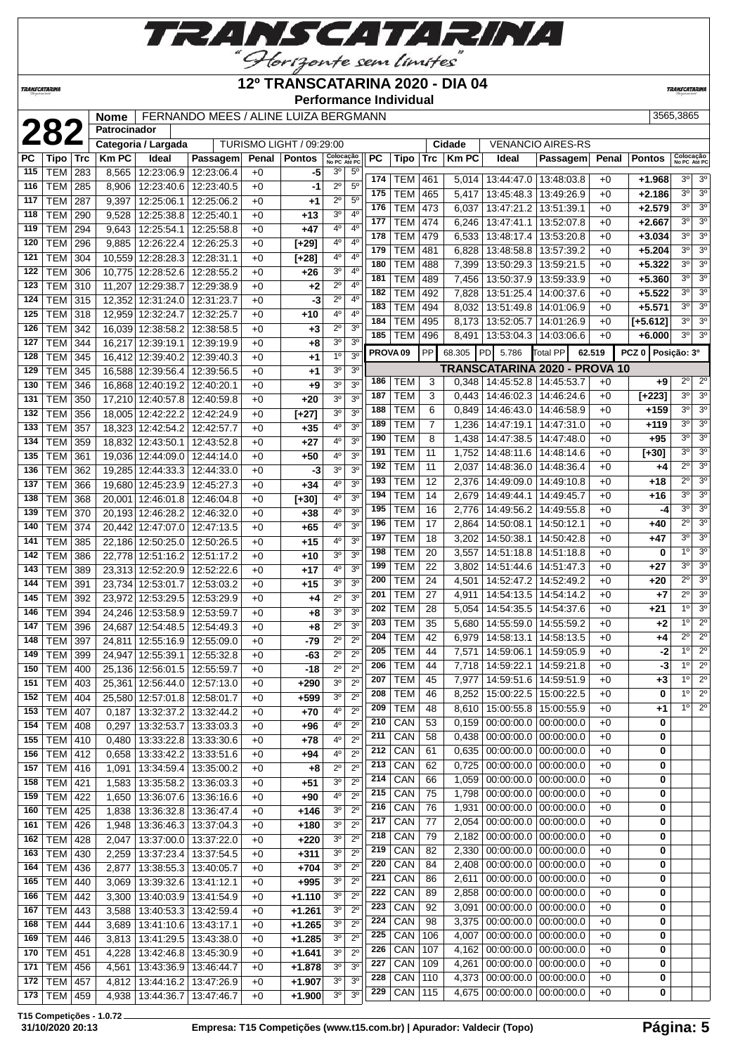

### **12º TRANSCATARINA 2020 - DIA 04**

**Performance Individual**

**TRANSCATARIN** 

**Patrocinador** 

**TRANSCATARINA** 

**282 282 282 282 282 282 282 282 282 282 282 282 282 282 282 3565,3865** 

|  |  | _ |
|--|--|---|
|  |  |   |
|  |  |   |
|  |  |   |

|           | LUL             |     |             | Categoria / Largada          |                              |      | TURISMO LIGHT / 09:29:00 |                           |                  |                     |            |                 | Cidade       |                                 | <b>VENANCIO AIRES-RS</b>      |        |                   |                           |                  |
|-----------|-----------------|-----|-------------|------------------------------|------------------------------|------|--------------------------|---------------------------|------------------|---------------------|------------|-----------------|--------------|---------------------------------|-------------------------------|--------|-------------------|---------------------------|------------------|
| <b>PC</b> | <b>Tipo</b>     | Trc | <b>KmPC</b> | Ideal                        | Passagem                     |      | Penal   Pontos           | Colocação<br>No PC Até PC |                  | <b>PC</b>           | Tipo       | Trc             | <b>Km PC</b> | Ideal                           | Passagem                      | Penal  | <b>Pontos</b>     | Colocação<br>No PC Até PC |                  |
| 115       | <b>TEM</b>      | 283 | 8,565       | 12:23:06.9                   | 12:23:06.4                   | $+0$ | -5                       | 30                        | $5^{\circ}$      |                     |            |                 |              |                                 |                               |        |                   |                           |                  |
| 116       | <b>TEM</b>      | 285 | 8,906       | 12:23:40.6                   | 12:23:40.5                   | $+0$ | -1                       | $2^{\circ}$               | 5 <sup>0</sup>   | 174                 | TEM        | 461             | 5,014        | 13:44:47.0   13:48:03.8         |                               | $+0$   | $+1.968$          | 3 <sup>o</sup>            | 3 <sup>o</sup>   |
| 117       | <b>TEM</b>      | 287 | 9,397       | 12:25:06.1                   | 12:25:06.2                   | $+0$ | $+1$                     | $2^{\circ}$               | $5^{\circ}$      | 175                 | <b>TEM</b> | 465             | 5,417        | 13:45:48.3                      | 13:49:26.9                    | $+0$   | +2.186            | 30                        | 3 <sup>o</sup>   |
| 118       | <b>TEM</b>      | 290 | 9,528       | 12:25:38.8                   | 12:25:40.1                   | $+0$ | $+13$                    | 3 <sup>o</sup>            | 4 <sup>0</sup>   | 176                 | <b>TEM</b> | 473             | 6,037        | 13:47:21.2                      | 13:51:39.1                    | $+0$   | $+2.579$          | 3 <sup>o</sup>            | 3 <sup>o</sup>   |
| 119       | <b>TEM</b>      | 294 | 9,643       | 12:25:54.1                   | 12:25:58.8                   |      | $+47$                    | 4°                        | 4 <sup>0</sup>   | 177                 | TEM        | 474             | 6,246        | 13:47:41.1                      | 13:52:07.8                    | $+0$   | $+2.667$          | 3 <sup>o</sup>            | 3 <sup>0</sup>   |
|           |                 |     |             |                              |                              | $+0$ |                          | 4°                        | 4 <sup>0</sup>   | 178                 | <b>TEM</b> | 479             | 6,533        | 13:48:17.4                      | 13:53:20.8                    | $+0$   | $+3.034$          | 3 <sup>o</sup>            | 3 <sup>o</sup>   |
| 120       | <b>TEM</b>      | 296 | 9,885       | 12:26:22.4                   | 12:26:25.3                   | $+0$ | $[+29]$                  |                           |                  | 179                 | <b>TEM</b> | 481             | 6,828        | 13:48:58.8                      | 13:57:39.2                    | +0     | $+5.204$          | 3 <sup>o</sup>            | 3 <sup>0</sup>   |
| 121       | TEM             | 304 | 10,559      | 12:28:28.3                   | 12:28:31.1                   | +0   | $[+28]$                  | 4°                        | 4 <sup>0</sup>   | 180                 | <b>TEM</b> | 488             | 7,399        | 13:50:29.3                      | 13:59:21.5                    | +0     | $+5.322$          | 3 <sup>o</sup>            | 3 <sup>o</sup>   |
| 122       | <b>TEM</b>      | 306 | 10,775      | 12:28:52.6                   | 12:28:55.2                   | $+0$ | $+26$                    | 3 <sup>0</sup>            | 4 <sup>0</sup>   | 181                 | TEM        | 489             | 7,456        | 13:50:37.9                      | 13:59:33.9                    | $+0$   | $+5.360$          | 3 <sup>o</sup>            | 3 <sup>0</sup>   |
| 123       | <b>TEM</b>      | 310 | 11,207      | 12:29:38.7                   | 12:29:38.9                   | $+0$ | $+2$                     | $2^{\circ}$               | 4 <sup>0</sup>   | 182                 | TEM        | 492             | 7,828        | 13:51:25.4                      | 14:00:37.6                    | $+0$   | $+5.522$          | 3 <sup>o</sup>            | 3 <sup>0</sup>   |
| 124       | <b>TEM</b>      | 315 |             | 12,352 12:31:24.0            | 12:31:23.7                   | $+0$ | -3                       | $2^{\circ}$               | $4^{\circ}$      | 183                 | <b>TEM</b> | 494             | 8,032        | 13:51:49.8                      | 14:01:06.9                    | $+0$   | $+5.571$          | 3 <sup>o</sup>            | 3 <sup>0</sup>   |
| 125       | <b>TEM</b>      | 318 | 12.959      | 12:32:24.7                   | 12:32:25.7                   | $+0$ | $+10$                    | 4°                        | 4 <sup>0</sup>   | 184                 | <b>TEM</b> | 495             | 8,173        | 13:52:05.7                      | 14:01:26.9                    | $+0$   | $[-5.612]$        | 30                        | 3 <sup>o</sup>   |
| 126       | <b>TEM</b>      | 342 |             | 16,039 12:38:58.2            | 12:38:58.5                   | $+0$ | $+3$                     | $2^{\circ}$               | 3 <sup>o</sup>   | 185                 |            |                 |              |                                 |                               |        |                   | 3 <sup>0</sup>            | 3 <sup>o</sup>   |
| 127       | <b>TEM</b>      | 344 |             | 16,217 12:39:19.1            | 12:39:19.9                   | $+0$ | $+8$                     | 3 <sup>o</sup>            | 3 <sup>o</sup>   |                     | <b>TEM</b> | 496             | 8,491        |                                 | 13:53:04.3   14:03:06.6       | $+0$   | $+6.000$          |                           |                  |
| 128       | <b>TEM</b>      | 345 |             | 16,412 12:39:40.2            | 12:39:40.3                   | $+0$ | $+1$                     | $1^{\circ}$               | 3 <sup>0</sup>   | PROVA <sub>09</sub> |            | <b>PP</b>       | 68.305       | PD 5.786                        | <b>Total PP</b>               | 62.519 | PCZ 0 Posicão: 3º |                           |                  |
| 129       | <b>TEM</b>      | 345 |             | 16,588 12:39:56.4            | 12:39:56.5                   | $+0$ | $+1$                     | 30                        | 3 <sup>o</sup>   |                     |            |                 |              |                                 | TRANSCATARINA 2020 - PROVA 10 |        |                   |                           |                  |
| 130       | <b>TEM</b>      | 346 |             | 16,868 12:40:19.2            | 12:40:20.1                   | +0   | $+9$                     | 3 <sup>o</sup>            | 3 <sup>0</sup>   | 186                 | <b>TEM</b> | 3               | 0,348        | 14:45:52.8                      | 14:45:53.7                    | $+0$   | +9                | $2^{\circ}$               | $2^{\circ}$      |
| 131       | <b>TEM</b>      | 350 |             | 17,210 12:40:57.8            | 12:40:59.8                   | $+0$ | $+20$                    | 3 <sup>o</sup>            | 3 <sup>0</sup>   | 187                 | <b>TEM</b> | 3               | 0.443        | 14:46:02.3                      | 14:46:24.6                    | $+0$   | $[+223]$          | 3 <sup>o</sup>            | 3 <sup>o</sup>   |
| 132       | TEM             | 356 |             | 18,005 12:42:22.2            | 12:42:24.9                   | +0   | $[+27]$                  | 3 <sup>o</sup>            | 3 <sup>0</sup>   | 188                 | TEM        | 6               | 0,849        | 14:46:43.0                      | 14:46:58.9                    | $+0$   | +159              | 3 <sup>o</sup>            | 3 <sup>o</sup>   |
| 133       |                 |     |             |                              |                              |      |                          | 4°                        | 3 <sup>0</sup>   | 189                 | TEM        | 7               | 1,236        | 14:47:19.1                      | 14:47:31.0                    | $+0$   | $+119$            | 3 <sup>o</sup>            | 3 <sup>o</sup>   |
|           | <b>TEM</b>      | 357 |             | 18,323 12:42:54.2            | 12:42:57.7                   | $+0$ | $+35$                    |                           |                  | 190                 | <b>TEM</b> | 8               | 1,438        | 14:47:38.5                      | 14:47:48.0                    | +0     | $+95$             | 3 <sup>0</sup>            | 3 <sup>0</sup>   |
| 134       | <b>TEM</b>      | 359 |             | 18,832 12:43:50.1            | 12:43:52.8                   | $+0$ | $+27$                    | 40                        | 3 <sup>0</sup>   | 191                 | <b>TEM</b> | 11              | 1,752        | 14:48:11.6                      | 14:48:14.6                    | $+0$   | $[+30]$           | 30                        | 3 <sup>0</sup>   |
| 135       | <b>TEM</b>      | 361 | 19,036      | 12:44:09.0                   | 12:44:14.0                   | $+0$ | $+50$                    | 4°                        | 3 <sup>0</sup>   | 192                 | <b>TEM</b> | 11              | 2,037        | 14:48:36.0                      | 14:48:36.4                    | $+0$   | $+4$              | $\overline{2^0}$          | 3 <sup>o</sup>   |
| 136       | <b>TEM</b>      | 362 |             | 19,285 12:44:33.3            | 12:44:33.0                   | $+0$ | -3                       | 3 <sup>o</sup>            | 3 <sup>o</sup>   | 193                 |            | 12              |              |                                 |                               |        |                   | $2^{\circ}$               | 3 <sup>o</sup>   |
| 137       | <b>TEM</b>      | 366 |             | 19,680 12:45:23.9            | 12:45:27.3                   | $+0$ | $+34$                    | 4°                        | 3 <sup>0</sup>   |                     | TEM        |                 | 2,376        |                                 | 14:49:09.0   14:49:10.8       | $+0$   | $+18$             |                           |                  |
| 138       | TEM             | 368 | 20,001      | 12:46:01.8                   | 12:46:04.8                   | $+0$ | $[+30]$                  | 4°                        | 3 <sup>0</sup>   | 194                 | <b>TEM</b> | 14              | 2,679        | 14:49:44.1   14:49:45.7         |                               | +0     | $+16$             | 30                        | 3 <sup>0</sup>   |
| 139       | <b>TEM</b>      | 370 | 20,193      | 12:46:28.2                   | 12:46:32.0                   | +0   | $+38$                    | 4°                        | 3 <sup>0</sup>   | 195                 | TEM        | 16              | 2,776        | 14:49:56.2                      | 14:49:55.8                    | $+0$   | -4                | 3 <sup>o</sup>            | 3 <sup>0</sup>   |
| 140       | <b>TEM</b>      | 374 |             | 20,442 12:47:07.0            | 12:47:13.5                   | +0   | $+65$                    | 4 <sup>0</sup>            | 3 <sup>o</sup>   | 196                 | <b>TEM</b> | 17              | 2,864        | 14:50:08.1                      | 14:50:12.1                    | +0     | $+40$             | $2^{\circ}$               | 3 <sup>o</sup>   |
| 141       | <b>TEM</b>      | 385 |             | 22,186 12:50:25.0            | 12:50:26.5                   | $+0$ | $+15$                    | 4°                        | 3 <sup>o</sup>   | 197                 | <b>TEM</b> | 18              | 3,202        | 14:50:38.1                      | 14:50:42.8                    | $+0$   | $+47$             | 3 <sup>0</sup>            | 3 <sup>o</sup>   |
| 142       | <b>TEM</b>      | 386 |             | 22,778 12:51:16.2            | 12:51:17.2                   | $+0$ | $+10$                    | $3^{\circ}$               | 3 <sup>0</sup>   | 198                 | <b>TEM</b> | 20              | 3,557        | 14:51:18.8                      | 14:51:18.8                    | $+0$   | 0                 | 1 <sup>0</sup>            | 3 <sup>0</sup>   |
| 143       | <b>TEM</b>      | 389 |             | 23,313 12:52:20.9 12:52:22.6 |                              | $+0$ | $+17$                    | 40                        | 3 <sup>0</sup>   | 199                 | <b>TEM</b> | 22              | 3,802        | 14:51:44.6                      | 14:51:47.3                    | +0     | $+27$             | 3 <sup>0</sup>            | 3 <sup>0</sup>   |
| 144       | <b>TEM</b>      | 391 | 23,734      | 12:53:01.7                   | 12:53:03.2                   | $+0$ | $+15$                    | 3 <sup>o</sup>            | 3 <sup>o</sup>   | 200                 | <b>TEM</b> | 24              | 4,501        | 14:52:47.2                      | 14:52:49.2                    | +0     | +20               | $2^{\circ}$               | 3 <sup>0</sup>   |
| 145       | <b>TEM</b>      | 392 | 23,972      | 12:53:29.5                   | 12:53:29.9                   | $+0$ | +4                       | $2^{\circ}$               | 3 <sup>o</sup>   | 201                 | <b>TEM</b> | $\overline{27}$ | 4,911        | 14:54:13.5                      | 14:54:14.2                    | $+0$   | $+7$              | $2^{\circ}$               | 3 <sup>o</sup>   |
| 146       | <b>TEM</b>      | 394 |             | 24,246 12:53:58.9            | 12:53:59.7                   | $+0$ | $+8$                     | 3 <sup>o</sup>            | 3 <sup>0</sup>   | 202                 | TEM        | 28              | 5,054        | 14:54:35.5                      | 14:54:37.6                    | $+0$   | +21               | 1 <sup>0</sup>            | 3 <sup>0</sup>   |
| 147       | <b>TEM</b>      | 396 |             | 24,687 12:54:48.5            | 12:54:49.3                   | $+0$ |                          | $2^{\circ}$               | 3 <sup>o</sup>   | 203                 | <b>TEM</b> | 35              | 5,680        | 14:55:59.0                      | 14:55:59.2                    | $+0$   | +2                | 1 <sup>0</sup>            | $2^{\circ}$      |
| 148       |                 |     |             |                              |                              |      | +8                       | $2^{\circ}$               | $2^{\circ}$      | 204                 | <b>TEM</b> | 42              | 6,979        | 14:58:13.1                      | 14:58:13.5                    | $+0$   | +4                | $2^{\circ}$               | $\overline{2^0}$ |
|           | <b>TEM</b>      | 397 | 24,811      | 12:55:16.9                   | 12:55:09.0                   | +0   | -79                      |                           | $\overline{2^0}$ | 205                 | <b>TEM</b> | 44              | 7,571        | 14:59:06.1                      | 14:59:05.9                    | $+0$   | -2                | 1 <sup>0</sup>            | $2^{\circ}$      |
| 149       | <b>TEM</b>      | 399 | 24.947      | 12:55:39.1                   | 12:55:32.8                   | +0   | -63                      | $2^{\circ}$               |                  | 206                 | <b>TEM</b> | 44              | 7,718        | 14:59:22.1                      | 14:59:21.8                    | $+0$   | -3                | 1 <sup>o</sup>            | $\overline{2^0}$ |
| 150       | <b>TEM</b>      | 400 |             | 25,136 12:56:01.5            | 12:55:59.7                   | $+0$ | $-18$                    | $2^{\circ}$               | $\overline{2^0}$ | 207                 | <b>TEM</b> | 45              | 7,977        | 14:59:51.6   14:59:51.9         |                               | $+0$   | $+3$              | 10                        | $\overline{2^0}$ |
| 151       | TEM             | 403 |             | 25,361 12:56:44.0 12:57:13.0 |                              | $+0$ | $+290$                   | 30                        | $2^{\circ}$      | 208                 |            |                 |              |                                 |                               |        |                   | 10                        | $\overline{2^0}$ |
|           | 152 TEM 404     |     |             |                              | 25,580 12:57:01.8 12:58:01.7 | $+0$ | $+599$                   | 3 <sup>0</sup>            | $2^{\circ}$      |                     | <b>TEM</b> | 46              |              | 8,252   15:00:22.5   15:00:22.5 |                               | $+0$   | 0                 |                           |                  |
| 153       | TEM             | 407 | 0,187       | 13:32:37.2                   | 13:32:44.2                   | $+0$ | $+70$                    | 40                        | $2^{\circ}$      | 209                 | TEM        | 48              | 8,610        | 15:00:55.8   15:00:55.9         |                               | +0     | +1                | $1^{\circ}$               | $2^{\circ}$      |
| 154       | TEM             | 408 | 0,297       | 13:32:53.7                   | 13:33:03.3                   | $+0$ | +96                      | 4 <sup>0</sup>            | $2^{\circ}$      | 210                 | CAN        | 53              | 0,159        |                                 | $00:00:00.0$   $00:00:00.0$   | $+0$   | 0                 |                           |                  |
| 155       | TEM             | 410 | 0,480       | 13:33:22.8                   | 13:33:30.6                   | $+0$ | +78                      | 40                        | $2^{\circ}$      | 211                 | CAN        | 58              | 0,438        | $00:00:00.0$ 00:00:00.0         |                               | $+0$   | 0                 |                           |                  |
| 156       | TEM             | 412 | 0,658       | 13:33:42.2                   | 13:33:51.6                   | $+0$ | +94                      | 40                        | $2^{\circ}$      | 212                 | CAN        | 61              | 0,635        | $00:00:00.0$ 00:00:00.0         |                               | $+0$   | 0                 |                           |                  |
| 157       | <b>TEM</b>      | 416 | 1,091       | 13:34:59.4                   | 13:35:00.2                   | $+0$ | $+8$                     | $2^{\circ}$               | $2^{\circ}$      | 213                 | CAN        | 62              | 0,725        |                                 | $00:00:00.0$ 00:00:00.0       | $+0$   | 0                 |                           |                  |
| 158       | <b>TEM</b>      | 421 | 1,583       | 13:35:58.2                   | 13:36:03.3                   | $+0$ | $+51$                    | 3 <sup>o</sup>            | $2^{\circ}$      | 214                 | CAN        | 66              | 1,059        |                                 | $00:00:00.0$   $00:00:00.0$   | $+0$   | 0                 |                           |                  |
| 159       | TEM             | 422 | 1,650       |                              | 13:36:07.6   13:36:16.6      | $+0$ | $+90$                    | 4 <sup>0</sup>            | $2^{\circ}$      | 215                 | CAN        | 75              | 1,798        |                                 | $00:00:00.0$   $00:00:00.0$   | $+0$   | 0                 |                           |                  |
| 160       | <b>TEM 425</b>  |     | 1,838       |                              | 13:36:32.8   13:36:47.4      | $+0$ | $+146$                   | 3 <sup>o</sup>            | $2^{\circ}$      | 216                 | CAN        | 76              | 1,931        |                                 | $00:00:00.0$ 00:00:00.0       | $+0$   | 0                 |                           |                  |
| 161       | <b>TEM 426</b>  |     | 1,948       | 13:36:46.3                   | 13:37:04.3                   | $+0$ | $+180$                   | 3 <sup>o</sup>            | $2^{\circ}$      | 217                 | CAN        | 77              | 2,054        |                                 | $00:00:00.0$   $00:00:00.0$   | $+0$   | 0                 |                           |                  |
| 162       | TEM             | 428 | 2,047       | 13:37:00.0                   | 13:37:22.0                   | $+0$ | $+220$                   | 3 <sup>o</sup>            | $2^{\circ}$      | 218                 | CAN        | 79              | 2,182        |                                 | $00:00:00.0$   $00:00:00.0$   | $+0$   | 0                 |                           |                  |
| 163       | TEM   430       |     | 2,259       | 13:37:23.4                   | 13:37:54.5                   | $+0$ | $+311$                   | 3 <sup>o</sup>            | $2^{\circ}$      | 219                 | CAN        | 82              | 2,330        |                                 | $00:00:00.0$   $00:00:00.0$   | $+0$   | 0                 |                           |                  |
|           |                 |     |             |                              |                              |      |                          | 3 <sup>o</sup>            | $2^{\circ}$      | 220                 | CAN        | 84              | 2,408        |                                 | $00:00:00.0$   $00:00:00.0$   | $+0$   | 0                 |                           |                  |
| 164       | TEM             | 436 | 2,877       | 13:38:55.3                   | 13:40:05.7                   | $+0$ | $+704$                   |                           |                  | 221                 | CAN        | 86              | 2,611        |                                 | $00:00:00.0$   $00:00:00.0$   | $+0$   | 0                 |                           |                  |
| 165       | <b>TEM</b>      | 440 | 3,069       | 13:39:32.6                   | 13:41:12.1                   | $+0$ | $+995$                   | 3 <sup>o</sup>            | $2^{\circ}$      | 222                 | CAN        | 89              | 2,858        |                                 | $00:00:00.0$   $00:00:00.0$   | $+0$   | 0                 |                           |                  |
| 166       | <b>TEM</b>      | 442 | 3,300       | 13:40:03.9                   | 13:41:54.9                   | $+0$ | $+1.110$                 | 3 <sup>0</sup>            | $2^{\circ}$      | 223                 | CAN        | 92              |              |                                 | $00:00:00.0$   $00:00:00.0$   | $+0$   | 0                 |                           |                  |
| 167       | <b>TEM</b>      | 443 | 3,588       | 13:40:53.3                   | 13:42:59.4                   | $+0$ | $+1.261$                 | 3 <sup>o</sup>            | $2^{\circ}$      |                     |            |                 | 3,091        |                                 |                               |        |                   |                           |                  |
| 168       | TEM             | 444 | 3,689       |                              | 13:41:10.6   13:43:17.1      | $+0$ | $+1.265$                 | 3 <sup>o</sup>            | $2^{\circ}$      | 224                 | CAN        | 98              | 3,375        |                                 | $00:00:00.0$   $00:00:00.0$   | $+0$   | 0                 |                           |                  |
| 169       | <b>TEM 446</b>  |     | 3,813       | 13:41:29.5                   | 13:43:38.0                   | $+0$ | $+1.285$                 | 3 <sup>o</sup>            | $2^{\circ}$      | 225                 | CAN        | 106             | 4,007        |                                 | $00:00:00.0$   $00:00:00.0$   | $+0$   | 0                 |                           |                  |
| 170       | <b>TEM 451</b>  |     | 4,228       | 13:42:46.8   13:45:30.9      |                              | $+0$ | $+1.641$                 | 3 <sup>o</sup>            | $2^{\circ}$      | 226                 | CAN        | 107             | 4,162        | $00:00:00.0$ 00:00:00.0         |                               | $+0$   | 0                 |                           |                  |
| 171       | <b>TEM 456</b>  |     | 4,561       | 13:43:36.9                   | 13:46:44.7                   | $+0$ | $+1.878$                 | 3 <sup>o</sup>            | 3 <sup>o</sup>   | 227                 | CAN        | 109             | 4,261        |                                 | $00:00:00.0$   $00:00:00.0$   | $+0$   | 0                 |                           |                  |
| 172       | <b>TEM 457</b>  |     | 4,812       | 13:44:16.2                   | 13:47:26.9                   | $+0$ | $+1.907$                 | 3 <sup>o</sup>            | 3 <sup>o</sup>   | 228                 | CAN        | 110             | 4,373        |                                 | $00:00:00.0$   $00:00:00.0$   | $+0$   | 0                 |                           |                  |
|           | 173   TEM   459 |     |             | 4,938   13:44:36.7           | 13:47:46.7                   | $+0$ | $+1.900$                 | 3 <sup>o</sup>            | 3 <sup>o</sup>   | 229                 | CAN        | 115             | 4,675        |                                 | $00:00:00.0$   00:00:00.0     | $+0$   | 0                 |                           |                  |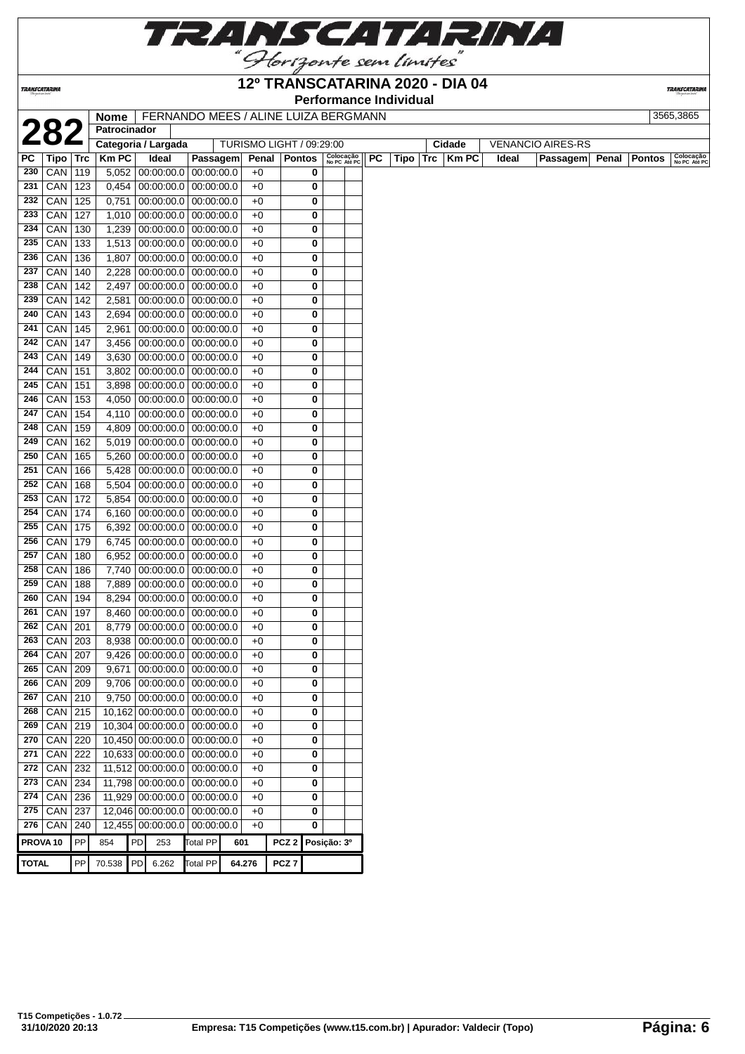

### **12º TRANSCATARINA 2020 - DIA 04**

**Performance Individual**

**TRANSCATARIN** 

|              |                     |            | Nome   FERNANDO MEES / ALINE LUIZA BERGMANN |    |            |                                                   |        |                          |                   |        |                           |           |        |            |              |       |                          |       |               | 3565,3865                 |
|--------------|---------------------|------------|---------------------------------------------|----|------------|---------------------------------------------------|--------|--------------------------|-------------------|--------|---------------------------|-----------|--------|------------|--------------|-------|--------------------------|-------|---------------|---------------------------|
|              |                     |            | Patrocinador                                |    |            |                                                   |        |                          |                   |        |                           |           |        |            |              |       |                          |       |               |                           |
|              |                     |            | Categoria / Largada                         |    |            |                                                   |        | TURISMO LIGHT / 09:29:00 |                   |        |                           |           |        |            | Cidade       |       | <b>VENANCIO AIRES-RS</b> |       |               |                           |
| PC.          | Tipo                | <b>Trc</b> | <b>Km PC</b>                                |    | Ideal      | Passagem                                          |        | Penal Pontos             |                   |        | Colocação<br>No PC Até PC | <b>PC</b> | Tipo I | <b>Trc</b> | <b>Km PC</b> | Ideal | Passagem                 | Penal | <b>Pontos</b> | Colocação<br>No PC Até PC |
| 230          | CAN                 | 119        | 5,052                                       |    | 00:00:00.0 | 00:00:00.0                                        |        | $+0$                     |                   | 0      |                           |           |        |            |              |       |                          |       |               |                           |
| 231          | CAN                 | 123        | $0,454$ 00:00:00.0                          |    |            | 00:00:00.0                                        |        | $+0$                     |                   | 0      |                           |           |        |            |              |       |                          |       |               |                           |
| 232          | CAN                 | 125        | 0,751                                       |    | 00:00:00.0 | 00:00:00.0                                        |        | $+0$                     |                   | 0      |                           |           |        |            |              |       |                          |       |               |                           |
| 233          | $ $ CAN $ $         | 127        |                                             |    |            | 1,010 00:00:00.0 00:00:00.0                       |        | $+0$                     |                   | 0      |                           |           |        |            |              |       |                          |       |               |                           |
|              | 234   CAN           | 130        |                                             |    |            | $1,239$ 00:00:00.0 00:00:00.0                     |        | $+0$                     |                   | 0      |                           |           |        |            |              |       |                          |       |               |                           |
|              | 235 CAN             | 133        |                                             |    |            | 1,513 00:00:00.0 00:00:00.0                       |        | $+0$                     |                   | 0      |                           |           |        |            |              |       |                          |       |               |                           |
| 236          | $ $ CAN $ $         | 136        | 1,807                                       |    |            | $00:00:00.0$ 00:00:00.0                           |        | $+0$                     |                   | 0      |                           |           |        |            |              |       |                          |       |               |                           |
| 237          | $CAN$ 140           |            | 2,228                                       |    |            | $00:00:00.0$ 00:00:00.0                           |        | $+0$                     |                   | 0      |                           |           |        |            |              |       |                          |       |               |                           |
| 238          | $CAN$ 142           |            | 2,497                                       |    |            | $00:00:00.0$ 00:00:00.0                           |        | $+0$                     |                   | 0      |                           |           |        |            |              |       |                          |       |               |                           |
| 239          | CAN                 | 142        | 2,581                                       |    |            | $00:00:00.0$ 00:00:00.0                           |        | $+0$                     |                   | 0      |                           |           |        |            |              |       |                          |       |               |                           |
| 240          | CAN                 | 143        | 2,694                                       |    | 00:00:00.0 | 00:00:00.0                                        |        | $+0$                     |                   | 0      |                           |           |        |            |              |       |                          |       |               |                           |
| 241          | CAN                 | 145        | 2,961                                       |    | 00:00:00.0 | 00:00:00.0                                        |        | $+0$                     |                   | 0      |                           |           |        |            |              |       |                          |       |               |                           |
| 242          | $ $ CAN $ $         | 147        | 3,456                                       |    |            | $00:00:00.0$ 00:00:00.0                           |        | $+0$                     |                   | 0      |                           |           |        |            |              |       |                          |       |               |                           |
|              | 243   CAN   149     |            |                                             |    |            | 3,630 00:00:00.0 00:00:00.0                       |        | $+0$                     |                   | 0      |                           |           |        |            |              |       |                          |       |               |                           |
| 244          | CAN                 | 151        | 3,802                                       |    |            | $00:00:00.0$ 00:00:00.0                           |        | $+0$                     |                   | 0      |                           |           |        |            |              |       |                          |       |               |                           |
| 245          | CAN                 | 151        |                                             |    |            | 3,898 00:00:00.0 00:00:00.0                       |        | $+0$                     |                   | 0      |                           |           |        |            |              |       |                          |       |               |                           |
| 246          | $CAN$ 153           |            | 4,050                                       |    |            | $00:00:00.0$ 00:00:00.0                           |        | $+0$                     |                   | 0      |                           |           |        |            |              |       |                          |       |               |                           |
| 247          | $CAN$ 154           |            |                                             |    |            | 4,110 00:00:00.0 00:00:00.0                       |        | $+0$                     |                   | 0      |                           |           |        |            |              |       |                          |       |               |                           |
| 248          | CAN                 | 159        |                                             |    |            | 4,809 00:00:00.0 00:00:00.0                       |        | $+0$                     |                   | 0      |                           |           |        |            |              |       |                          |       |               |                           |
| 249          | CAN                 | 162        | 5,019                                       |    | 00:00:00.0 | 00:00:00.0                                        |        | $+0$                     |                   | 0      |                           |           |        |            |              |       |                          |       |               |                           |
| 250          | CAN                 | 165        | 5,260                                       |    | 00:00:00.0 | 00:00:00.0                                        |        | $+0$                     |                   | 0      |                           |           |        |            |              |       |                          |       |               |                           |
| 251          | CAN                 | 166        | 5,428                                       |    |            | $00:00:00.0$ 00:00:00.0                           |        | $+0$                     |                   | 0      |                           |           |        |            |              |       |                          |       |               |                           |
|              | 252   CAN           | 168        | 5,504                                       |    |            | 00:00:00.0 00:00:00.0                             |        | $+0$                     |                   | 0      |                           |           |        |            |              |       |                          |       |               |                           |
|              | 253   CAN           | 172        | 5,854                                       |    |            | $00:00:00.0$ 00:00:00.0                           |        | $+0$                     |                   | 0      |                           |           |        |            |              |       |                          |       |               |                           |
| 254<br>255   | CAN                 | 174        | 6,160                                       |    |            | $00:00:00.0$ 00:00:00.0                           |        | $+0$                     |                   | 0      |                           |           |        |            |              |       |                          |       |               |                           |
|              | CAN 175             |            | 6,392                                       |    |            | $00:00:00.0$ 00:00:00.0                           |        | $+0$                     |                   | 0      |                           |           |        |            |              |       |                          |       |               |                           |
| 256<br>257   | $CAN$ 179           |            | 6,745                                       |    |            | $00:00:00.0$ 00:00:00.0                           |        | $+0$                     |                   | 0      |                           |           |        |            |              |       |                          |       |               |                           |
| 258          | $CAN$ 180<br>CAN    | 186        | 6,952<br>7,740                              |    | 00:00:00.0 | $00:00:00.0$ 00:00:00.00<br>00:00:00.0            |        | $+0$<br>$+0$             |                   | 0<br>0 |                           |           |        |            |              |       |                          |       |               |                           |
| 259          | CAN                 | 188        | 7,889                                       |    |            | $00:00:00.0$ 00:00:00.0                           |        | $+0$                     |                   |        |                           |           |        |            |              |       |                          |       |               |                           |
| 260          |                     |            |                                             |    |            |                                                   |        |                          |                   | 0      |                           |           |        |            |              |       |                          |       |               |                           |
| 261          | CAN<br>CAN          | 194<br>197 | 8,294<br>8,460                              |    |            | $00:00:00.0$ 00:00:00.0<br> 00:00:00.0 00:00:00.0 |        | $+0$<br>$+0$             |                   | 0<br>0 |                           |           |        |            |              |       |                          |       |               |                           |
| 262          | $ $ CAN $ $ 201     |            | 8,779                                       |    |            | 00:00:00.0 00:00:00.0                             |        | $+0$                     |                   | 0      |                           |           |        |            |              |       |                          |       |               |                           |
| 263          | CAN 203             |            | 8,938                                       |    |            | $00:00:00.0$ 00:00:00.0                           |        | $+0$                     |                   | 0      |                           |           |        |            |              |       |                          |       |               |                           |
| 264          | $ $ CAN $ $ 207     |            |                                             |    |            | $9,426$ 00:00:00.0 00:00:00.0                     |        | $+0$                     |                   | 0      |                           |           |        |            |              |       |                          |       |               |                           |
|              | 265 CAN 209         |            |                                             |    |            | $9,671$ 00:00:00.0 00:00:00.0                     |        | $+0$                     |                   | 0      |                           |           |        |            |              |       |                          |       |               |                           |
|              | $266$ CAN 209       |            |                                             |    |            | $9,706$   00:00:00.0   00:00:00.0                 |        | $+0$                     |                   | 0      |                           |           |        |            |              |       |                          |       |               |                           |
| 267          | $ $ CAN $ $ 210     |            |                                             |    |            | $9,750$ 00:00:00.0 00:00:00.0                     |        | $+0$                     |                   | 0      |                           |           |        |            |              |       |                          |       |               |                           |
|              | $268$ CAN 215       |            |                                             |    |            | 10,162 00:00:00.0 00:00:00.0                      |        | $+0$                     |                   | 0      |                           |           |        |            |              |       |                          |       |               |                           |
|              | $269$ CAN 219       |            |                                             |    |            | 10,304 00:00:00.0 00:00:00.0                      |        | $+0$                     |                   | 0      |                           |           |        |            |              |       |                          |       |               |                           |
|              | 270   CAN   220     |            |                                             |    |            | 10,450 00:00:00.0 00:00:00.0                      |        | $+0$                     |                   | 0      |                           |           |        |            |              |       |                          |       |               |                           |
|              | 271 CAN 222         |            |                                             |    |            | 10,633 00:00:00.0 00:00:00.0                      |        | $+0$                     |                   | 0      |                           |           |        |            |              |       |                          |       |               |                           |
|              | 272 CAN 232         |            |                                             |    |            | 11,512 00:00:00.0 00:00:00.0                      |        | $+0$                     |                   | 0      |                           |           |        |            |              |       |                          |       |               |                           |
|              | 273 CAN 234         |            | 11,798 00:00:00.0                           |    |            | 00:00:00.0                                        |        | $+0$                     |                   | 0      |                           |           |        |            |              |       |                          |       |               |                           |
|              | 274 CAN 236         |            |                                             |    |            | 11,929 00:00:00.0 00:00:00.0                      |        | $+0$                     |                   | 0      |                           |           |        |            |              |       |                          |       |               |                           |
|              | 275   CAN   237     |            |                                             |    |            | 12,046 00:00:00.0 00:00:00.0                      |        | $+0$                     |                   | 0      |                           |           |        |            |              |       |                          |       |               |                           |
|              | 276   CAN   240     |            |                                             |    |            | 12,455 00:00:00.0 00:00:00.0                      |        | $+0$                     |                   | 0      |                           |           |        |            |              |       |                          |       |               |                           |
|              |                     |            |                                             |    |            |                                                   |        |                          |                   |        |                           |           |        |            |              |       |                          |       |               |                           |
|              | PROVA <sub>10</sub> | PP         | 854                                         | PD | 253        | Total PP                                          | 601    |                          | PCZ 2 Posição: 3º |        |                           |           |        |            |              |       |                          |       |               |                           |
| <b>TOTAL</b> |                     | PP         | 70.538                                      | PD | 6.262      | Total PP                                          | 64.276 |                          | PCZ <sub>7</sub>  |        |                           |           |        |            |              |       |                          |       |               |                           |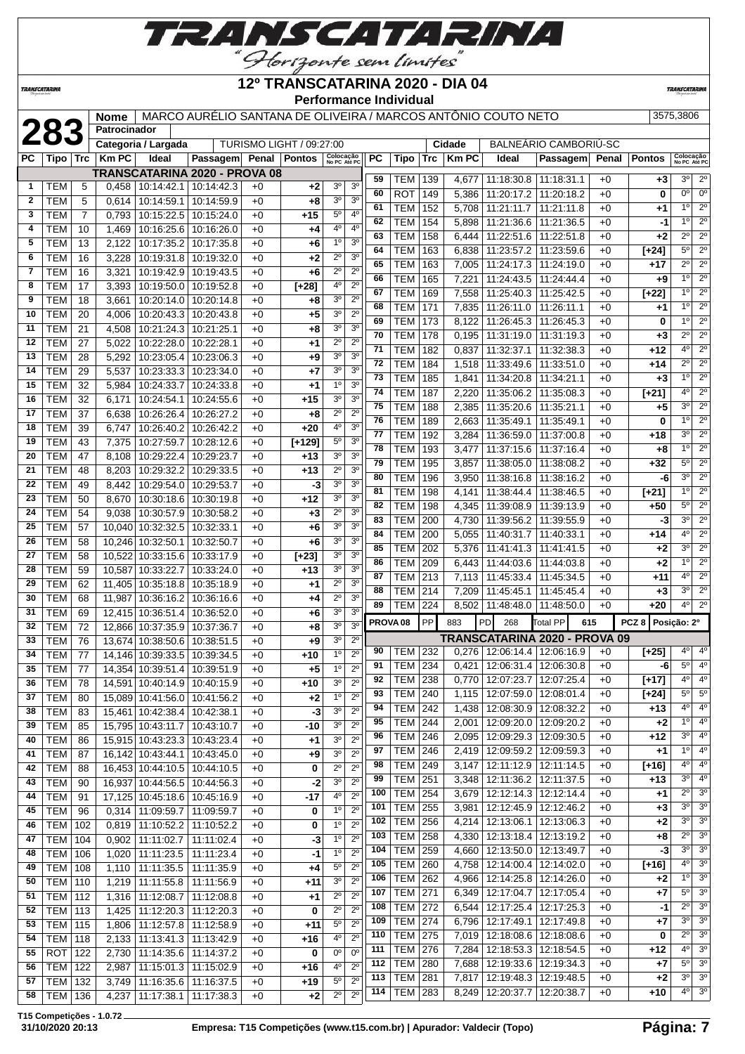

**TRANSCATARINA** 

### **12º TRANSCATARINA 2020 - DIA 04 Performance Individual**

**TRANSCATARIN** 

|              |                   |                 | <b>Nome</b><br>Patrocinador |                             | MARCO AURÉLIO SANTANA DE OLIVEIRA / MARCOS ANTÔNIO COUTO NETO |              |                                 |                               |                               |                     |                          |            |                |                                 |                                                  |              |                   | 3575,3806                                                      |
|--------------|-------------------|-----------------|-----------------------------|-----------------------------|---------------------------------------------------------------|--------------|---------------------------------|-------------------------------|-------------------------------|---------------------|--------------------------|------------|----------------|---------------------------------|--------------------------------------------------|--------------|-------------------|----------------------------------------------------------------|
|              | 283               |                 |                             | Categoria / Largada         |                                                               |              | <b>TURISMO LIGHT / 09:27:00</b> |                               |                               |                     |                          |            | Cidade         |                                 | BALNEARIO CAMBORIU-SC                            |              |                   |                                                                |
| РC           | Tipo   Trc        |                 | Km PC                       | Ideal                       | Passagem Penal Pontos                                         |              |                                 | Colocação<br>No PC Até PC     |                               | РC                  | Tipo                     | Trc        | <b>Km PC</b>   | Ideal                           | Passagem                                         | Penal        | <b>Pontos</b>     | Colocação<br>No PC Até PC                                      |
|              |                   |                 |                             |                             | <b>TRANSCATARINA 2020 - PROVA 08</b>                          |              |                                 |                               |                               |                     |                          |            |                |                                 |                                                  |              |                   |                                                                |
| $\mathbf{1}$ | TEM               | 5               |                             |                             | $0,458$   10:14:42.1   10:14:42.3                             | $+0$         | $+2$                            | 30                            | 3 <sup>o</sup>                | 59<br>60            | TEM                      | 139        | 4,677          | 11:18:30.8                      | 11:18:31.1                                       | $+0$         | $+3$              | $2^{\circ}$<br>3 <sup>o</sup><br>0 <sup>o</sup><br>$0^{\circ}$ |
| 2            | <b>TEM</b>        | 5               | 0,614                       | 10:14:59.1                  | 10:14:59.9                                                    | $+0$         | $+8$                            | 30                            | 3 <sup>o</sup>                | 61                  | ROT<br>TEM               | 149<br>152 | 5,386<br>5,708 | 11:20:17.2<br>11:21:11.7        | 11:20:18.2<br>11:21:11.8                         | $+0$<br>$+0$ | 0                 | $2^{\circ}$<br>$1^{\circ}$                                     |
| 3            | TEM               | $\overline{7}$  | 0,793                       | 10:15:22.5                  | 10:15:24.0                                                    | $+0$         | $+15$                           | 5°                            | 4°                            | 62                  | TEM                      | 154        | 5,898          | 11:21:36.6                      | 11:21:36.5                                       | $+0$         | +1<br>-1          | $2^{\circ}$<br>1 <sup>0</sup>                                  |
| 4            | TEM               | 10              | 1,469                       | 10:16:25.6                  | 10:16:26.0                                                    | $+0$         | +4                              | 4°                            | $4^{\circ}$                   | 63                  | TEM                      | 158        | 6,444          | 11:22:51.6                      | 11:22:51.8                                       | $+0$         | +2                | $\overline{2^0}$<br>$2^{\circ}$                                |
| 5            | <b>TEM</b>        | 13              | 2,122                       | 10:17:35.2                  | 10:17:35.8                                                    | $+0$         | $+6$                            | 1 <sup>0</sup>                | 3 <sup>0</sup>                | 64                  | TEM                      | 163        | 6,838          | 11:23:57.2                      | 11:23:59.6                                       | $+0$         | $[+24]$           | $2^{\circ}$<br>$5^{\circ}$                                     |
| 6            | TEM               | 16              | 3,228                       | 10:19:31.8                  | 10:19:32.0                                                    | $+0$         | $+2$                            | 2º                            | 3 <sup>o</sup>                | 65                  | TEM                      | 163        | 7,005          | 11:24:17.3                      | 11:24:19.0                                       | $+0$         | +17               | $\overline{2^{\circ}}$<br>$2^{\circ}$                          |
| 7            | TEM               | 16              | 3,321                       | 10:19:42.9                  | 10:19:43.5                                                    | $+0$         | $+6$                            | $2^{\circ}$                   | $2^{\circ}$                   | 66                  | <b>TEM</b>               | 165        | 7,221          | 11:24:43.5                      | 11:24:44.4                                       | $+0$         | +9                | 1 <sup>0</sup><br>$2^{\circ}$                                  |
| 8            | <b>TEM</b>        | 17              | 3,393                       | 10:19:50.0                  | 10:19:52.8                                                    | $+0$         | $[+28]$                         | 4°                            | 2 <sup>0</sup>                | 67                  | TEM                      | 169        | 7,558          | 11:25:40.3                      | 11:25:42.5                                       | $+0$         | $[+22]$           | $2^{\circ}$<br>1 <sup>0</sup>                                  |
| 9            | <b>TEM</b>        | 18              | 3,661                       | 10:20:14.0                  | 10:20:14.8                                                    | $+0$         | +8                              | 3 <sup>o</sup>                | $2^{\circ}$                   | 68                  | TEM                      | 171        | 7,835          | 11:26:11.0                      | 11:26:11.1                                       | $+0$         | +1                | 1 <sup>0</sup><br>$2^{\circ}$                                  |
| 10           | <b>TEM</b>        | 20              | 4,006                       | 10:20:43.3   10:20:43.8     |                                                               | $+0$         | $+5$                            | 30                            | $2^{\circ}$                   | 69                  | TEM                      | 173        | 8,122          | 11:26:45.3                      | 11:26:45.3                                       | $+0$         | 0                 | $2^{\circ}$<br>1 <sup>0</sup>                                  |
| 11           | <b>TEM</b>        | 21              | 4,508                       | 10:21:24.3                  | 10:21:25.1                                                    | $+0$         | $+8$                            | 30                            | 3 <sup>o</sup>                | 70                  | TEM                      | 178        | 0.195          | 11:31:19.0                      | 11:31:19.3                                       | $+0$         | +3                | $2^{\circ}$<br>$2^{\circ}$                                     |
| 12<br>13     | <b>TEM</b>        | 27              | 5,022                       | 10:22:28.0                  | 10:22:28.1                                                    | $+0$         | $+1$                            | $2^{\circ}$<br>3 <sup>o</sup> | $2^{\circ}$<br>3 <sup>o</sup> | 71                  | TEM                      | 182        | 0,837          | 11:32:37.1                      | 11:32:38.3                                       | $+0$         | +12               | $\overline{2^0}$<br>$4^{\circ}$                                |
| 14           | TEM<br><b>TEM</b> | 28              | 5,292                       | 10:23:05.4                  | 10:23:06.3                                                    | $+0$         | $+9$                            | 30                            | 3 <sup>o</sup>                | 72                  | TEM                      | 184        | 1,518          | 11:33:49.6                      | 11:33:51.0                                       | $+0$         | +14               | $2^{\circ}$<br>$2^{\circ}$                                     |
| 15           | <b>TEM</b>        | 29<br>32        | 5,537<br>5,984              | 10:23:33.3<br>10:24:33.7    | 10:23:34.0<br>10:24:33.8                                      | $+0$<br>$+0$ | $+7$<br>$+1$                    | $1^{\circ}$                   | 3 <sup>o</sup>                | 73                  | TEM                      | 185        | 1,841          | 11:34:20.8                      | 11:34:21.1                                       | $+0$         | +3                | $2^{\circ}$<br>1 <sup>0</sup>                                  |
| 16           | <b>TEM</b>        | 32              | 6,171                       | 10:24:54.1                  | 10:24:55.6                                                    | +0           | $+15$                           | 3 <sup>o</sup>                | 3 <sup>o</sup>                | 74                  | <b>TEM</b>               | 187        | 2,220          | 11:35:06.2                      | 11:35:08.3                                       | $+0$         | $[+21]$           | $2^{\circ}$<br>40                                              |
| 17           | <b>TEM</b>        | 37              | 6,638                       | 10:26:26.4                  | 10:26:27.2                                                    | $+0$         | $+8$                            | $2^{\circ}$                   | 2 <sup>0</sup>                | 75                  | TEM                      | 188        | 2,385          | 11:35:20.6                      | 11:35:21.1                                       | $+0$         | +5                | 30<br>$2^{\circ}$                                              |
| 18           | <b>TEM</b>        | 39              | 6,747                       | 10:26:40.2                  | 10:26:42.2                                                    | $+0$         | $+20$                           | 4°                            | 3 <sup>o</sup>                | 76                  | TEM                      | 189        | 2,663          | 11:35:49.1                      | 11:35:49.1                                       | $+0$         | 0                 | 10<br>$2^{\circ}$                                              |
| 19           | <b>TEM</b>        | 43              | 7,375                       | 10:27:59.7                  | 10:28:12.6                                                    | $+0$         | $[+129]$                        | 5°                            | 3 <sup>o</sup>                | 77                  | TEM                      | 192        | 3,284          | 11:36:59.0                      | 11:37:00.8                                       | $+0$         | +18               | 3 <sup>o</sup><br>$2^{\circ}$                                  |
| 20           | <b>TEM</b>        | 47              | 8,108                       | 10:29:22.4                  | 10:29:23.7                                                    | $+0$         | $+13$                           | 3 <sup>o</sup>                | 3 <sup>o</sup>                | 78                  | <b>TEM</b>               | 193        | 3,477          | 11:37:15.6                      | 11:37:16.4                                       | $+0$         | +8                | $2^{\circ}$<br>1 <sup>0</sup>                                  |
| 21           | <b>TEM</b>        | 48              | 8,203                       | 10:29:32.2                  | 10:29:33.5                                                    | $+0$         | $+13$                           | $2^{\circ}$                   | 3 <sup>o</sup>                | 79                  | TEM                      | 195        | 3,857          | 11:38:05.0                      | 11:38:08.2                                       | $+0$         | +32               | $2^{\circ}$<br>$5^{\circ}$                                     |
| 22           | <b>TEM</b>        | 49              | 8,442                       | 10:29:54.0                  | 10:29:53.7                                                    | $+0$         | -3                              | 3 <sup>o</sup>                | 3 <sup>o</sup>                | 80                  | TEM                      | 196        | 3,950          | 11:38:16.8                      | 11:38:16.2                                       | $+0$         | -6                | $\overline{2^0}$<br>3 <sup>0</sup>                             |
| 23           | <b>TEM</b>        | 50              | 8,670                       | 10:30:18.6                  | 10:30:19.8                                                    | $+0$         | $+12$                           | 30                            | 3 <sup>o</sup>                | 81                  | TEM                      | 198        | 4,141          | 11:38:44.4                      | 11:38:46.5                                       | $+0$         | $[+21]$           | $\overline{2^0}$<br>1 <sup>0</sup>                             |
| 24           | TEM               | 54              | 9,038                       | 10:30:57.9                  | 10:30:58.2                                                    | $+0$         | $+3$                            | 2º                            | 3 <sup>o</sup>                | 82                  | TEM                      | 198        | 4,345          | 11:39:08.9                      | 11:39:13.9                                       | $+0$         | +50               | $2^{\circ}$<br>$5^{\circ}$                                     |
| 25           | TEM               | 57              |                             | 10,040 10:32:32.5           | 10:32:33.1                                                    | $+0$         | $+6$                            | 30                            | 3 <sup>o</sup>                | 83                  | <b>TEM</b>               | 200        | 4,730          | 11:39:56.2   11:39:55.9         |                                                  | $+0$         | -3                | $2^{\circ}$<br>3 <sup>o</sup>                                  |
| 26           | <b>TEM</b>        | 58              |                             | 10,246 10:32:50.1           | 10:32:50.7                                                    | $+0$         | $+6$                            | 3 <sup>o</sup>                | 3 <sup>o</sup>                | 84                  | <b>TEM</b>               | 200        | 5,055          | 11:40:31.7                      | 11:40:33.1                                       | $+0$         | +14               | $2^{\circ}$<br>4°                                              |
| 27           | <b>TEM</b>        | 58              |                             | 10,522 10:33:15.6           | 10:33:17.9                                                    | $+0$         | $[+23]$                         | 30                            | 3 <sup>o</sup>                | 85                  | TEM                      | 202        | 5,376          | 11:41:41.3                      | 11:41:41.5                                       | $+0$         | +2                | 3 <sup>o</sup><br>$2^{\circ}$                                  |
| 28           | <b>TEM</b>        | 59              |                             | 10,587 10:33:22.7           | 10:33:24.0                                                    | $+0$         | +13                             | 3 <sup>o</sup>                | 3 <sup>o</sup>                | 86                  | TEM                      | 209        | 6,443          | 11:44:03.6                      | 11:44:03.8                                       | $+0$         | +2                | 1 <sup>0</sup><br>$2^{\circ}$                                  |
| 29           | <b>TEM</b>        | 62              |                             | 11,405 10:35:18.8           | 10:35:18.9                                                    | $+0$         | $+1$                            | $2^{\circ}$                   | 3 <sup>o</sup>                | 87                  | TEM                      | 213        | 7,113          | 11:45:33.4                      | 11:45:34.5                                       | $+0$         | $+11$             | $2^{\circ}$<br>$4^{\circ}$                                     |
| 30           | <b>TEM</b>        | 68              | 11,987                      | 10:36:16.2                  | 10:36:16.6                                                    | $+0$         | +4                              | $2^{\circ}$                   | 3 <sup>o</sup>                | 88                  | TEM                      | 214        | 7,209          | 11:45:45.1                      | 11:45:45.4                                       | $+0$         | +3                | $2^{\circ}$<br>3 <sup>o</sup>                                  |
| 31           | TEM               | 69              |                             | 12,415 10:36:51.4           | 10:36:52.0                                                    | $+0$         | $+6$                            | 30                            | 3 <sup>o</sup>                | 89                  | TEM                      | 224        | 8,502          | 11:48:48.0   11:48:50.0         |                                                  | $+0$         | +20               | $2^{\circ}$<br>$4^{\circ}$                                     |
| 32           | <b>TEM</b>        | 72              |                             | 12,866 10:37:35.9           | 10:37:36.7                                                    | $+0$         | $+8$                            | 3 <sup>o</sup>                | 3 <sup>0</sup>                | PROVA <sub>08</sub> |                          | <b>PP</b>  | 883            | PD<br>268                       | Total PP                                         | 615          | PCZ 8 Posicão: 2º |                                                                |
| 33           | <b>TEM</b>        | 76              |                             | 13,674 10:38:50.6           | 10:38:51.5                                                    | $+0$         | +9                              | 30                            | $2^{\circ}$                   |                     |                          |            |                |                                 | TRANSCATARINA 2020 - PROVA 09                    |              |                   |                                                                |
| 34           | <b>TEM</b>        | 77              |                             | 14,146 10:39:33.5           | 10:39:34.5                                                    | $+0$         | $+10$                           | $1^{\circ}$                   | $2^{\circ}$                   | 90                  | TEM 232                  |            |                |                                 | 0,276 12:06:14.4 12:06:16.9                      | $+0$         | $[+25]$           | $4^{\circ}$<br>$4^{\circ}$                                     |
| 35           | TEM               | $\overline{77}$ |                             |                             | 14,354 10:39:51.4 10:39:51.9                                  | $+0$         | $+5$                            | $1^{\circ}$                   | $2^{\circ}$                   |                     |                          |            |                |                                 | 91   TEM   234   0,421   12:06:31.4   12:06:30.8 | $+0$         | -6                | 4 <sup>0</sup><br>$5^{\circ}$                                  |
| 36           | TEM               | 78              |                             |                             | 14,591   10:40:14.9   10:40:15.9                              | $+0$         | $+10$                           | 3 <sup>o</sup>                | $2^{\circ}$                   | 92                  | TEM 238                  |            |                | 0,770   12:07:23.7   12:07:25.4 |                                                  | $+0$         | $[+17]$           | 4 <sup>0</sup><br>40                                           |
| 37           | TEM               | 80              |                             |                             | 15,089 10:41:56.0 10:41:56.2                                  | $+0$         | $+2$                            | 1 <sup>0</sup>                | $2^{\circ}$                   | 93                  | TEM                      | 240        | 1,115          | 12:07:59.0                      | 12:08:01.4                                       | $+0$         | $[+24]$           | $5^{\circ}$<br>$5^{\circ}$                                     |
| 38           | TEM               | 83              |                             | 15,461 10:42:38.4           | 10:42:38.1                                                    | $+0$         | -3                              | 3 <sup>o</sup>                | $2^{\circ}$                   | 94                  | <b>TEM</b>               | 242        | 1,438          |                                 | 12:08:30.9   12:08:32.2                          | $+0$         | +13               | $4^{\circ}$<br>$4^{\circ}$                                     |
| 39           | TEM               | 85              |                             | 15,795 10:43:11.7           | 10:43:10.7                                                    | $+0$         | -10                             | 30                            | $2^{\circ}$                   | 95                  | <b>TEM</b>               | 244        | 2,001          | 12:09:20.0                      | 12:09:20.2                                       | $+0$         | +2                | 1 <sup>0</sup><br>$4^{\circ}$                                  |
| 40           | <b>TEM</b>        | 86              |                             | 15,915 10:43:23.3           | 10:43:23.4                                                    | +0           | $+1$                            | 3 <sup>o</sup>                | $2^{\circ}$                   | 96                  | <b>TEM 246</b>           |            | 2,095          | 12:09:29.3   12:09:30.5         |                                                  | $+0$         | +12               | 3 <sup>o</sup><br>4 <sup>o</sup>                               |
| 41           | TEM               | 87              |                             | 16,142 10:43:44.1           | 10:43:45.0                                                    | $+0$         | $+9$                            | 3 <sup>o</sup>                | $2^{\circ}$                   | 97                  | <b>TEM 246</b>           |            | 2,419          | 12:09:59.2   12:09:59.3         |                                                  | $+0$         | +1                | $1^{\circ}$<br>$4^{\circ}$                                     |
| 42           | <b>TEM</b>        | 88              |                             | 16,453 10:44:10.5           | 10:44:10.5                                                    | $+0$         | 0                               | $2^{\circ}$                   | $2^{\circ}$                   | 98                  | <b>TEM 249</b>           |            | 3,147          | 12:11:12.9   12:11:14.5         |                                                  | $+0$         | $[+16]$           | $4^{\circ}$<br>$4^{\circ}$                                     |
| 43           | TEM               | 90              |                             | 16,937 10:44:56.5           | 10:44:56.3                                                    | +0           | -2                              | 30                            | $2^{\circ}$                   | 99                  | TEM                      | 251        | 3,348          | 12:11:36.2   12:11:37.5         |                                                  | $+0$         | +13               | 3 <sup>0</sup><br>$4^{\circ}$                                  |
| 44           | TEM               | 91              |                             | 17,125 10:45:18.6           | 10:45:16.9                                                    | $+0$         | -17                             | $4^{\circ}$                   | $2^{\circ}$                   | 100                 | <b>TEM</b>               | 254        | 3,679          | 12:12:14.3 12:12:14.4           |                                                  | $+0$         | +1                | $2^{\circ}$<br>3 <sup>o</sup>                                  |
| 45           | <b>TEM</b>        | 96              |                             | 0,314 11:09:59.7            | 11:09:59.7                                                    | +0           | 0                               | 1 <sup>0</sup>                | $2^{\circ}$                   | 101                 | TEM                      | 255        | 3,981          | 12:12:45.9   12:12:46.2         |                                                  | $+0$         | $+3$              | 3 <sup>o</sup><br>3 <sup>o</sup>                               |
| 46           | <b>TEM 102</b>    |                 |                             | 0,819 11:10:52.2 11:10:52.2 |                                                               | $+0$         | 0                               | $1^{\circ}$                   | $2^{\circ}$                   | 102                 | <b>TEM</b>               | 256        | 4,214          | 12:13:06.1                      | 12:13:06.3                                       | $+0$         | +2                | 3 <sup>0</sup><br>3 <sup>o</sup>                               |
| 47           | <b>TEM   104</b>  |                 |                             | $0,902$   11:11:02.7        | 11:11:02.4                                                    | $+0$         | -3                              | $1^{\circ}$                   | $2^{\circ}$                   | 103                 | TEM                      | 258        | 4,330          | 12:13:18.4                      | 12:13:19.2                                       | $+0$         | +8                | 3 <sup>o</sup><br>$2^{\circ}$                                  |
| 48           | <b>TEM   106</b>  |                 |                             | 1,020 11:11:23.5            | 11:11:23.4                                                    | +0           | $-1$                            | $1^{\circ}$                   | $2^{\circ}$                   | 104                 | TEM                      | 259        | 4,660          |                                 | 12:13:50.0   12:13:49.7                          | $+0$         | $-3$              | 3 <sup>o</sup><br>3 <sup>o</sup>                               |
| 49           | <b>TEM   108</b>  |                 |                             | 1,110 11:11:35.5            | 11:11:35.9                                                    | $+0$         | $+4$                            | $5^{\circ}$                   | $2^{\circ}$                   | 105                 | <b>TEM</b>               | 260        | 4,758          |                                 | 12:14:00.4   12:14:02.0                          | $+0$         | $[+16]$           | $3^\circ$<br>$4^{\circ}$                                       |
| 50           | <b>TEM   110</b>  |                 |                             | 1,219 11:11:55.8            | 11:11:56.9                                                    | $+0$         | $+11$                           | 3 <sup>o</sup>                | $2^{\circ}$                   | 106                 | <b>TEM</b>               | 262        | 4,966          | 12:14:25.8   12:14:26.0         |                                                  | $+0$         | +2                | 3 <sup>o</sup><br>1 <sup>0</sup>                               |
| 51           | <b>TEM 112</b>    |                 |                             | 1,316 11:12:08.7            | 11:12:08.8                                                    | $+0$         | $+1$                            | $2^{\circ}$                   | $2^{\circ}$                   | 107                 | <b>TEM 271</b>           |            | 6,349          | 12:17:04.7                      | 12:17:05.4                                       | $+0$         | +7                | $5^{\circ}$<br>3 <sup>o</sup>                                  |
| 52           | <b>TEM 113</b>    |                 | 1,425                       | 11:12:20.3                  | 11:12:20.3                                                    | +0           | 0                               | $2^{\circ}$                   | $2^{\circ}$                   | 108                 | TEM                      | 272        | 6,544          | 12:17:25.4   12:17:25.3         |                                                  | $+0$         | -1                | $2^{\circ}$<br>3 <sup>o</sup><br>3 <sup>o</sup>                |
| 53           | <b>TEM 115</b>    |                 |                             | 1,806 11:12:57.8            | 11:12:58.9                                                    | +0           | $+11$                           | $5^{\circ}$                   | $2^{\circ}$                   | 109                 | <b>TEM 274</b>           |            | 6,796          | 12:17:49.1                      | 12:17:49.8                                       | $+0$         | +7                | 3 <sup>o</sup><br>$2^{\circ}$<br>3 <sup>o</sup>                |
| 54           | <b>TEM   118</b>  |                 |                             | 2,133 11:13:41.3            | 11:13:42.9                                                    | +0           | +16                             | 4 <sup>0</sup>                | $2^{\circ}$                   | 110                 | TEM                      | 275        | 7,019          | 12:18:08.6                      | 12:18:08.6                                       | $+0$         | 0                 | 3 <sup>o</sup><br>40                                           |
| 55           | $ROT$ 122         |                 | 2,730                       | 11:14:35.6                  | 11:14:37.2                                                    | $+0$         | 0                               | $0^{\rm o}$                   | $0^{\circ}$                   | 111                 | TEM                      | 276        | 7,284          | 12:18:53.3                      | 12:18:54.5                                       | $+0$         | +12               | 3 <sup>o</sup><br>$5^{\circ}$                                  |
| 56           | <b>TEM 122</b>    |                 | 2,987                       | 11:15:01.3                  | 11:15:02.9                                                    | +0           | $+16$                           | 40                            | $2^{\circ}$                   | 112<br>113          | <b>TEM</b><br><b>TEM</b> | 280        | 7,688          | 12:19:33.6                      | 12:19:34.3                                       | $+0$         | +7                | 3 <sup>o</sup><br>30                                           |
| 57           | <b>TEM 132</b>    |                 |                             | 3,749 11:16:35.6            | 11:16:37.5                                                    | $+0$         | $+19$                           | $5^{\circ}$                   | $2^{\circ}$                   | 114                 | <b>TEM 283</b>           | 281        | 7,817<br>8,249 | 12:19:48.3<br>12:20:37.7        | 12:19:48.5<br>12:20:38.7                         | $+0$<br>$+0$ | +2<br>+10         | 3 <sup>o</sup><br>$4^{\circ}$                                  |
| 58           | TEM   136         |                 |                             | 4,237 11:17:38.1            | 11:17:38.3                                                    | $+0$         | $+2$                            | $2^{\circ}$                   | $2^{\circ}$                   |                     |                          |            |                |                                 |                                                  |              |                   |                                                                |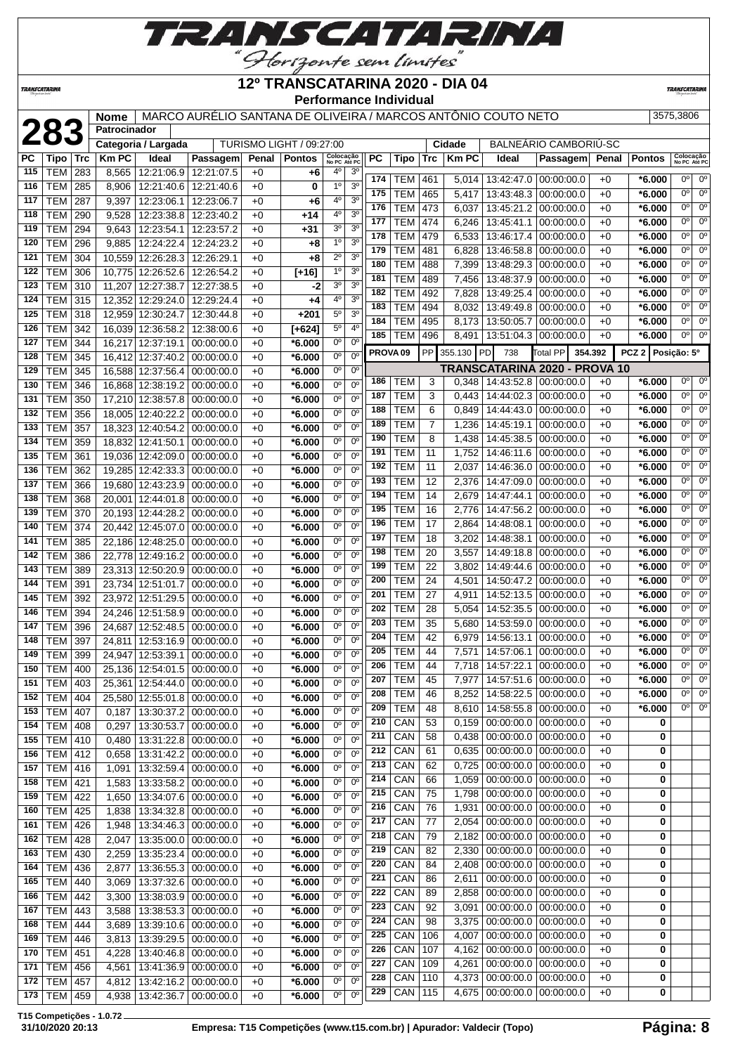

**12º TRANSCATARINA 2020 - DIA 04**

**Performance Individual**

**TRANSCATARIN** 

|           |                 |            | <b>Nome</b>  |                       | MARCO AURÉLIO SANTANA DE OLIVEIRA / MARCOS ANTÔNIO COUTO NETO |       |                          |                           |                |                     |            |                |              |                                 |                               |         |                   | 3575,3806                     |
|-----------|-----------------|------------|--------------|-----------------------|---------------------------------------------------------------|-------|--------------------------|---------------------------|----------------|---------------------|------------|----------------|--------------|---------------------------------|-------------------------------|---------|-------------------|-------------------------------|
|           | 283             |            | Patrocinador |                       |                                                               |       |                          |                           |                |                     |            |                |              |                                 |                               |         |                   |                               |
|           |                 |            |              | Categoria / Largada   |                                                               |       | TURISMO LIGHT / 09:27:00 |                           |                |                     |            |                | Cidade       |                                 | BALNEÁRIO CAMBORIÚ-SC         |         |                   |                               |
| <b>PC</b> | Tipo            | <b>Trc</b> | <b>KmPC</b>  | Ideal                 | Passagem                                                      | Penal | <b>Pontos</b>            | Colocação<br>No PC Até PC |                | PC                  | Tipo       | Trc            | <b>Km PC</b> | Ideal                           | Passagem                      | Penal   | <b>Pontos</b>     | Colocação<br>No PC Até PC     |
| 115       | TEM             | 283        | 8,565        | 12:21:06.9            | 12:21:07.5                                                    | $+0$  | +6                       | 4°                        | 3 <sup>o</sup> |                     |            |                |              |                                 |                               |         |                   |                               |
| 116       | TEM             | 285        | 8,906        | 12:21:40.6            | 12:21:40.6                                                    | $+0$  | 0                        | 1 <sup>0</sup>            | 3 <sup>0</sup> | 174                 | TEM        | 461            | 5,014        | 13:42:47.0                      | 00:00:00.0                    | +0      | $*6.000$          | $0^{\circ}$<br>0°             |
| 117       | TEM             | 287        | 9,397        | 12:23:06.1            | 12:23:06.7                                                    | $+0$  | +6                       | 4°                        | 3 <sup>0</sup> | 175                 | TEM        | 465            | 5,417        | 13:43:48.3                      | 00:00:00.0                    | +0      | $*6.000$          | $0^{\circ}$<br>$0^{\circ}$    |
|           |                 |            |              |                       |                                                               |       |                          | 4 <sup>0</sup>            | 3 <sup>0</sup> | 176                 | <b>TEM</b> | 473            | 6,037        | 13:45:21.2                      | 00:00:00.0                    | $+0$    | $*6.000$          | $0^{\circ}$<br>$0^{\circ}$    |
| 118       | TEM             | 290        | 9,528        | 12:23:38.8            | 12:23:40.2                                                    | $+0$  | $+14$                    |                           |                | 177                 | <b>TEM</b> | 474            | 6,246        | 13:45:41.1                      | 00:00:00.0                    | +0      | $*6.000$          | 0°<br>$0^{\circ}$             |
| 119       | TEM             | 294        | 9,643        | 12:23:54.1            | 12:23:57.2                                                    | $+0$  | $+31$                    | 3 <sup>o</sup>            | 3 <sup>0</sup> | 178                 | <b>TEM</b> | 479            | 6,533        | 13:46:17.4                      | 00:00:00.0                    | $+0$    | *6.000            | 0°<br>$0^{\circ}$             |
| 120       | TEM             | 296        | 9,885        | 12:24:22.4            | 12:24:23.2                                                    | $+0$  | $+8$                     | 1 <sup>0</sup>            | 3 <sup>o</sup> | 179                 | <b>TEM</b> | 481            | 6,828        | 13:46:58.8                      | 00:00:00.0                    | $+0$    | $*6.000$          | $0^{\circ}$<br>0°             |
| 121       | <b>TEM</b>      | 304        |              | 10,559 12:26:28.3     | 12:26:29.1                                                    | $+0$  | $+8$                     | $2^{\circ}$               | 3 <sup>o</sup> | 180                 | <b>TEM</b> | 488            | 7,399        | 13:48:29.3                      | 00:00:00.0                    | +0      | $*6.000$          | $0^{\circ}$<br>$0^{\circ}$    |
| 122       | <b>TEM</b>      | 306        |              | 10,775 12:26:52.6     | 12:26:54.2                                                    | $+0$  | $[+16]$                  | $1^{\circ}$               | 3 <sup>o</sup> | 181                 | <b>TEM</b> |                |              |                                 |                               |         |                   | $0^{\circ}$<br>$0^{\circ}$    |
| 123       | TEM             | 310        |              | 11,207 12:27:38.7     | 12:27:38.5                                                    | $+0$  | -2                       | 3 <sup>0</sup>            | 3 <sup>0</sup> |                     |            | 489            | 7,456        | 13:48:37.9                      | 00:00:00.0                    | +0      | $*6.000$          |                               |
| 124       | TEM             | 315        |              | 12,352 12:29:24.0     | 12:29:24.4                                                    | $+0$  | $+4$                     | 4°                        | 3 <sup>0</sup> | 182                 | <b>TEM</b> | 492            | 7,828        | 13:49:25.4                      | 00:00:00.0                    | +0      | *6.000            | 0°<br>$0^{\circ}$             |
| 125       | TEM             | 318        |              | 12,959 12:30:24.7     | 12:30:44.8                                                    | $+0$  | +201                     | $5^{\circ}$               | 3 <sup>0</sup> | 183                 | <b>TEM</b> | 494            | 8,032        | 13:49:49.8                      | 00:00:00.0                    | $+0$    | $*6.000$          | 0°<br>$0^{\circ}$             |
| 126       | TEM             | 342        |              | 16,039 12:36:58.2     | 12:38:00.6                                                    | $+0$  | $[+624]$                 | $5^{\circ}$               | 4 <sup>0</sup> | 184                 | <b>TEM</b> | 495            | 8,173        | 13:50:05.7                      | 00:00:00.0                    | +0      | *6.000            | 0°<br>$0^{\circ}$             |
| 127       | TEM             | 344        |              | 16,217 12:37:19.1     | 00:00:00.0                                                    | $+0$  | *6.000                   | $0^{\circ}$               | $0^{\circ}$    | 185                 | <b>TEM</b> | 496            |              | 8,491   13:51:04.3              | 00:00:00.0                    | $+0$    | $*6.000$          | 0 <sup>0</sup><br>$0^{\circ}$ |
| 128       |                 |            |              |                       |                                                               |       |                          | $0^{\circ}$               | $0^{\circ}$    | PROVA <sub>09</sub> |            | PP             | 355.130      | PD<br>738                       | Total PP                      | 354.392 | PCZ 2 Posição: 5° |                               |
|           | <b>TEM</b>      | 345        |              | 16,412 12:37:40.2     | 00:00:00.0                                                    | $+0$  | *6.000                   |                           |                |                     |            |                |              |                                 | TRANSCATARINA 2020 - PROVA 10 |         |                   |                               |
| 129       | <b>TEM</b>      | 345        |              | 16,588 12:37:56.4     | 00:00:00.0                                                    | $+0$  | $*6.000$                 | 0°                        | $0^{\circ}$    | 186                 |            | 3              |              |                                 |                               | $+0$    | $*6.000$          | 0°<br>$0^{\circ}$             |
| 130       | <b>TEM</b>      | 346        |              | 16,868 12:38:19.2     | 00:00:00.0                                                    | $+0$  | *6.000                   | $0^{\circ}$               | $0^{\circ}$    |                     | TEM        |                |              | $0,348$   14:43:52.8            | 00:00:00.0                    |         |                   |                               |
| 131       | <b>TEM</b>      | 350        |              | 17,210 12:38:57.8     | 00:00:00.0                                                    | $+0$  | $*6.000$                 | $0^{\circ}$               | $0^{\circ}$    | 187                 | <b>TEM</b> | 3              | 0,443        | 14:44:02.3                      | 00:00:00.0                    | +0      | *6.000            | 0°<br>$0^{\circ}$             |
| 132       | TEM             | 356        |              | 18,005 12:40:22.2     | 00:00:00.0                                                    | $+0$  | *6.000                   | 0 <sup>o</sup>            | $0^{\circ}$    | 188                 | <b>TEM</b> | 6              | 0,849        | 14:44:43.0                      | 00:00:00.0                    | +0      | $*6.000$          | $0^{\circ}$<br>$0^{\circ}$    |
| 133       | <b>TEM</b>      | 357        |              | 18,323 12:40:54.2     | 00:00:00.0                                                    | $+0$  | *6.000                   | $0^{\circ}$               | $0^{\circ}$    | 189                 | <b>TEM</b> | $\overline{7}$ | 1,236        | 14:45:19.1                      | 00:00:00.0                    | $+0$    | *6.000            | 0°<br>$0^{\circ}$             |
| 134       | TEM             | 359        |              | 18,832 12:41:50.1     | 00:00:00.0                                                    | $+0$  | *6.000                   | 0°                        | $0^{\circ}$    | 190                 | <b>TEM</b> | 8              | 1,438        | 14:45:38.5                      | 00:00:00.0                    | $+0$    | $*6.000$          | 0°<br>$0^{\circ}$             |
| 135       | TEM             | 361        |              | 19,036 12:42:09.0     | 00:00:00.0                                                    | $+0$  | *6.000                   | 0°                        | $0^{\circ}$    | 191                 | <b>TEM</b> | 11             | 1,752        | 14:46:11.6                      | 00:00:00.0                    | $+0$    | $*6.000$          | $0^{\circ}$<br>$0^{\circ}$    |
| 136       | TEM             | 362        |              | 19,285 12:42:33.3     | 00:00:00.0                                                    | $+0$  | *6.000                   | $0^{\circ}$               | $0^{\circ}$    | 192                 | <b>TEM</b> | 11             | 2,037        | 14:46:36.0                      | 00:00:00.0                    | $+0$    | $*6.000$          | $0^{\circ}$<br>0°             |
| 137       | TEM             | 366        |              | 19,680 12:43:23.9     |                                                               | $+0$  | $*6.000$                 | $0^{\circ}$               | $0^{\circ}$    | 193                 | <b>TEM</b> | 12             | 2,376        | 14:47:09.0                      | 00:00:00.0                    | +0      | *6.000            | $0^{\circ}$<br>0°             |
|           |                 |            |              |                       | 00:00:00.0                                                    |       |                          | $0^{\circ}$               |                | 194                 | <b>TEM</b> | 14             | 2,679        | 14:47:44.1                      | 00:00:00.0                    | +0      | *6.000            | 0°<br>$0^{\circ}$             |
| 138       | <b>TEM</b>      | 368        |              | 20,001 12:44:01.8     | 00:00:00.0                                                    | $+0$  | *6.000                   |                           | $0^{\circ}$    | 195                 | <b>TEM</b> | 16             | 2,776        | 14:47:56.2                      | 00:00:00.0                    | +0      | $*6.000$          | 0°<br>$0^{\circ}$             |
| 139       | <b>TEM</b>      | 370        |              | 20,193 12:44:28.2     | 00:00:00.0                                                    | $+0$  | *6.000                   | $0^{\circ}$               | $0^{\circ}$    | 196                 | <b>TEM</b> |                |              |                                 |                               |         |                   | 0°<br>$0^{\circ}$             |
| 140       | <b>TEM</b>      | 374        |              | 20,442 12:45:07.0     | 00:00:00.0                                                    | $+0$  | *6.000                   | $0^{\circ}$               | $0^{\circ}$    |                     |            | 17             | 2,864        | 14:48:08.1                      | 00:00:00.0                    | +0      | $*6.000$          |                               |
| 141       | <b>TEM</b>      | 385        |              | 22,186 12:48:25.0     | 00:00:00.0                                                    | $+0$  | *6.000                   | $0^{\circ}$               | $0^{\circ}$    | 197                 | <b>TEM</b> | 18             | 3,202        | 14:48:38.1                      | 00:00:00.0                    | +0      | $*6.000$          | $0^{\circ}$<br>$0^{\circ}$    |
| 142       | TEM             | 386        |              | 22,778 12:49:16.2     | 00:00:00.0                                                    | $+0$  | *6.000                   | 0°                        | $0^{\circ}$    | 198                 | <b>TEM</b> | 20             | 3,557        | 14:49:18.8                      | 00:00:00.0                    | +0      | $*6.000$          | 0°<br>$0^{\circ}$             |
| 143       | TEM             | 389        |              | 23,313 12:50:20.9     | 00:00:00.0                                                    | $+0$  | *6.000                   | 0°                        | $0^{\circ}$    | 199                 | <b>TEM</b> | 22             | 3,802        | 14:49:44.6                      | 00:00:00.0                    | $+0$    | $*6.000$          | 0°<br>$0^{\circ}$             |
| 144       | TEM             | 391        |              | 23,734 12:51:01.7     | 00:00:00.0                                                    | $+0$  | *6.000                   | 0 <sup>o</sup>            | $0^{\circ}$    | 200                 | <b>TEM</b> | 24             |              | 4,501   14:50:47.2              | 00:00:00.0                    | +0      | *6.000            | $0^{\circ}$<br>0°             |
| 145       | <b>TEM</b>      | 392        |              | 23,972 12:51:29.5     | 00:00:00.0                                                    | $+0$  | *6.000                   | $0^{\circ}$               | $0^{\circ}$    | 201                 | <b>TEM</b> | 27             | 4,911        | 14:52:13.5                      | 00:00:00.0                    | $+0$    | $*6.000$          | $0^{\circ}$<br>0°             |
| 146       | <b>TEM</b>      | 394        |              | 24,246 12:51:58.9     | 00:00:00.0                                                    | $+0$  | $*6.000$                 | $0^{\circ}$               | $0^{\circ}$    | 202                 | <b>TEM</b> | 28             | 5,054        | 14:52:35.5                      | 00:00:00.0                    | +0      | $*6.000$          | $0^{\circ}$<br>0°             |
| 147       | <b>TEM</b>      | 396        |              | 24,687 12:52:48.5     | 00:00:00.0                                                    | $+0$  | *6.000                   | $0^{\circ}$               | $0^{\circ}$    | 203                 | <b>TEM</b> | 35             | 5,680        | 14:53:59.0                      | 00:00:00.0                    | +0      | *6.000            | 0°<br>$0^{\circ}$             |
| 148       | <b>TEM</b>      | 397        | 24,811       | 12:53:16.9            | 00:00:00.0                                                    | $+0$  | *6.000                   | $0^{\circ}$               | 0 <sup>o</sup> | 204                 | <b>TEM</b> | 42             | 6,979        | 14:56:13.1                      | 00:00:00.0                    | $+0$    | *6.000            | 0°<br>$0^{\circ}$             |
| 149       | <b>TEM</b>      | 399        |              | 24,947 12:53:39.1     | 00:00:00.0                                                    | $+0$  | *6.000                   | $0^{\circ}$               | $0^{\circ}$    | 205                 | <b>TEM</b> | 44             | 7,571        | 14:57:06.1                      | 00:00:00.0                    | +0      | *6.000            | 0°<br>$0^{\circ}$             |
|           | 150   TEM   400 |            |              |                       | 25,136 12:54:01.5 00:00:00.0                                  | $+0$  | $*6.000$                 | $\overline{0}$            | 0 <sup>o</sup> | 206                 | <b>TEM</b> | 44             |              | 7,718   14:57:22.1              | 0.00:00:00.0                  | $+0$    | $*6.000$          | $0^{\circ}$<br>$0^{\circ}$    |
|           |                 |            |              |                       |                                                               |       |                          | 0°                        | $0^{\rm o}$    | 207                 | <b>TEM</b> | 45             |              | 7,977   14:57:51.6   00:00:00.0 |                               | +0      | $*6.000$          | $0^{\circ}$<br>0°             |
| 151       | TEM   403       |            |              |                       | 25,361   12:54:44.0   00:00:00.0                              | $+0$  | $*6.000$                 |                           |                | 208                 | <b>TEM</b> | 46             |              | 8,252 14:58:22.5                | 00:00:00.0                    | $+0$    | $*6.000$          | $0^{\circ}$<br>$0^{\circ}$    |
| 152       | <b>TEM 404</b>  |            |              | 25,580 12:55:01.8     | 00:00:00.0                                                    | $+0$  | *6.000                   | 0°                        | $0^{\circ}$    | 209                 | <b>TEM</b> | 48             |              | 8,610   14:58:55.8   00:00:00.0 |                               | +0      | $*6.000$          | $0^{\circ}$<br>0°             |
| 153       | <b>TEM 407</b>  |            | 0,187        | 13:30:37.2            | 00:00:00.0                                                    | $+0$  | $*6.000$                 | 0 <sup>o</sup>            | $0^{\circ}$    |                     |            |                |              |                                 |                               |         |                   |                               |
| 154       | <b>TEM 408</b>  |            | 0,297        | 13:30:53.7            | 00:00:00.0                                                    | $+0$  | *6.000                   | 0°                        | $0^{\circ}$    | 210                 | CAN        | 53             | 0,159        | 00:00:00.0                      | 00:00:00.0                    | +0      | 0                 |                               |
| 155       | <b>TEM 410</b>  |            | 0,480        |                       | 13:31:22.8 00:00:00.0                                         | $+0$  | $*6.000$                 | 0°                        | $0^{\rm o}$    | 211                 | CAN        | 58             | 0,438        | 00:00:00.0                      | 00:00:00.0                    | $+0$    | 0                 |                               |
| 156       | <b>TEM 412</b>  |            | 0,658        |                       | 13:31:42.2   00:00:00.0                                       | $+0$  | $*6.000$                 | 0 <sup>o</sup>            | $0^{\circ}$    | 212                 | CAN        | 61             | 0,635        | 00:00:00.0                      | 00:00:00.0                    | $+0$    | 0                 |                               |
| 157       | <b>TEM 416</b>  |            | 1,091        | 13:32:59.4            | 00:00:00.0                                                    | $+0$  | $*6.000$                 | 0 <sup>o</sup>            | $0^{\circ}$    | 213                 | CAN        | 62             | 0,725        | 00:00:00.0                      | 00:00:00.0                    | +0      | 0                 |                               |
| 158       | <b>TEM 421</b>  |            | 1,583        | 13:33:58.2            | 00:00:00.0                                                    | $+0$  | $*6.000$                 | 0°                        | $0^{\rm o}$    | 214                 | CAN        | 66             | 1,059        | 00:00:00.0                      | 00:00:00.0                    | +0      | 0                 |                               |
| 159       | <b>TEM 422</b>  |            | 1,650        |                       | 13:34:07.6 00:00:00.0                                         | $+0$  | $*6.000$                 | 0°                        | $0^{\circ}$    | 215                 | CAN        | 75             |              | 1,798 00:00:00.0                | 00:00:00.0                    | +0      | 0                 |                               |
| 160       | <b>TEM 425</b>  |            | 1,838        |                       | 13:34:32.8 00:00:00.0                                         | $+0$  | $*6.000$                 | 0°                        | $0^{\circ}$    | 216                 | CAN        | 76             | 1,931        | 00:00:00.0                      | 00:00:00.0                    | $+0$    | 0                 |                               |
| 161       | <b>TEM 426</b>  |            | 1,948        |                       | 13:34:46.3   00:00:00.0                                       | $+0$  | $*6.000$                 | 0°                        | $0^{\circ}$    | 217                 | CAN        | 77             |              | 2,054 00:00:00.0                | 00:00:00.0                    | $+0$    | 0                 |                               |
| 162       | <b>TEM 428</b>  |            | 2,047        | 13:35:00.0            | 00:00:00.0                                                    | $+0$  | *6.000                   | 0°                        | $0^{\circ}$    | 218                 | CAN        | 79             |              | 2,182 00:00:00.0                | 00:00:00.0                    | +0      | 0                 |                               |
| 163       | TEM 430         |            | 2,259        | 13:35:23.4            | 00:00:00.0                                                    | $+0$  | *6.000                   | 0°                        | $0^{\rm o}$    | 219                 | CAN        | 82             | 2,330        | 00:00:00.0                      | 00:00:00.0                    | $+0$    | 0                 |                               |
| 164       | <b>TEM 436</b>  |            | 2,877        |                       | 13:36:55.3 00:00:00.0                                         | $+0$  | $*6.000$                 | 0 <sup>o</sup>            | $0^{\circ}$    | 220                 | CAN        | 84             | 2,408        | 00:00:00.0                      | 00:00:00.0                    | $+0$    | 0                 |                               |
| 165       | <b>TEM 440</b>  |            | 3,069        |                       | 13:37:32.6 00:00:00.0                                         | $+0$  | $*6.000$                 | 0 <sup>o</sup>            | $0^{\circ}$    | 221                 | CAN        | 86             | 2,611        | 00:00:00.0                      | 00:00:00.0                    | $+0$    | 0                 |                               |
| 166       | <b>TEM 442</b>  |            |              |                       | 13:38:03.9 00:00:00.0                                         | $+0$  | $*6.000$                 | 0°                        | $0^{\rm o}$    | 222                 | CAN        | 89             |              | 2,858 00:00:00.0                | 00:00:00.0                    | +0      | 0                 |                               |
|           |                 |            | 3,300        |                       |                                                               |       |                          |                           | $0^{\rm o}$    | 223                 | CAN        | 92             | 3,091        | 00:00:00.0                      | 00:00:00.0                    | +0      | 0                 |                               |
| 167       | <b>TEM 443</b>  |            | 3,588        | 13:38:53.3            | 00:00:00.0                                                    | $+0$  | $*6.000$                 | 0°                        |                | 224                 | CAN        | 98             |              | 3,375 00:00:00.0                | 00:00:00.0                    | +0      | 0                 |                               |
| 168       | <b>TEM 444</b>  |            | 3,689        |                       | 13:39:10.6 00:00:00.0                                         | $+0$  | $*6.000$                 | 0 <sup>o</sup>            | $0^{\circ}$    | 225                 | <b>CAN</b> | 106            |              | 4,007   00:00:00.0              | 00:00:00.0                    | $+0$    | 0                 |                               |
| 169       | <b>TEM 446</b>  |            | 3,813        | 13:39:29.5            | 00:00:00.0                                                    | $+0$  | $*6.000$                 | 0 <sup>o</sup>            | $0^{\circ}$    | 226                 |            |                |              |                                 |                               |         |                   |                               |
| 170       | <b>TEM 451</b>  |            | 4,228        | 13:40:46.8 00:00:00.0 |                                                               | $+0$  | *6.000                   | 0°                        | $0^{\circ}$    |                     | CAN        | 107            |              | 4,162 00:00:00.0                | 00:00:00.0                    | $+0$    | 0                 |                               |
| 171       | <b>TEM 456</b>  |            | 4,561        | 13:41:36.9            | 00:00:00.0                                                    | $+0$  | $*6.000$                 | 0°                        | $0^{\circ}$    | 227                 | CAN        | 109            |              | 4,261 00:00:00.0                | 00:00:00.0                    | +0      | 0                 |                               |
| 172       | <b>TEM 457</b>  |            | 4,812        |                       | 13:42:16.2 00:00:00.0                                         | $+0$  | $*6.000$                 | 0 <sup>o</sup>            | 0 <sup>o</sup> | 228                 | CAN        | 110            |              | 4,373 00:00:00.0                | 00:00:00.0                    | +0      | 0                 |                               |
|           | 173   TEM   459 |            |              |                       | 4,938   13:42:36.7   00:00:00.0                               | $+0$  | $*6.000$                 | 0 <sup>o</sup>            | 0 <sup>o</sup> | 229                 | $CRN$ 115  |                |              | $4,675$ 00:00:00.0 00:00:00.0   |                               | $+0$    | 0                 |                               |

**T15 Competições - 1.0.72**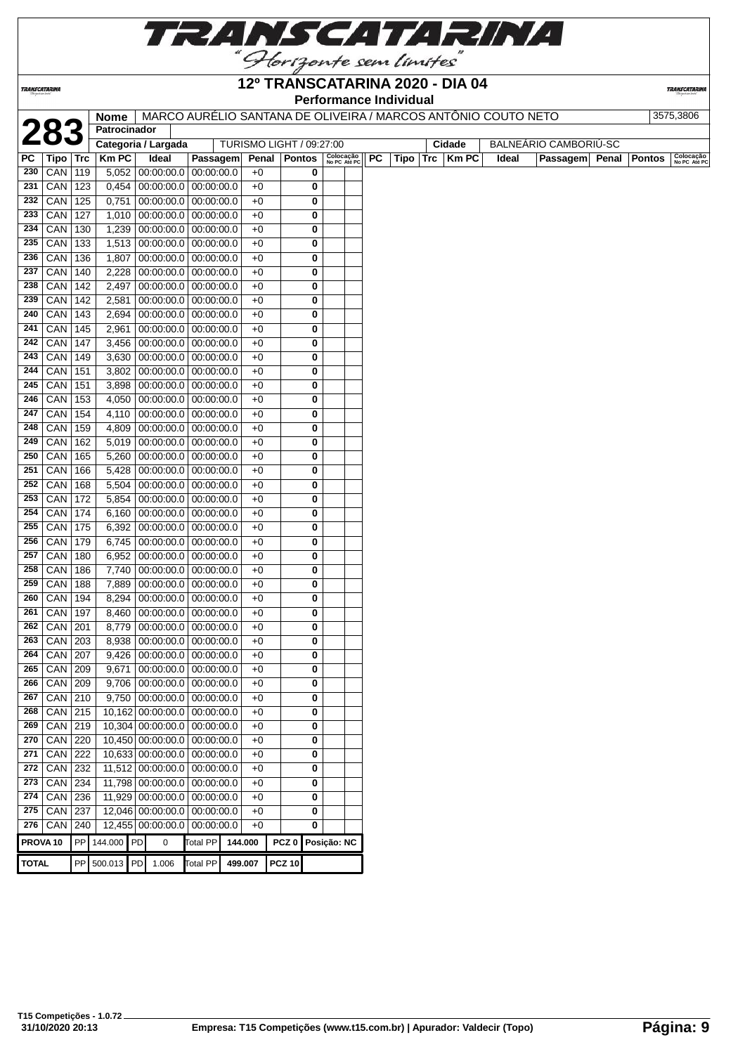

**TRANSCATARINA** 

### **12º TRANSCATARINA 2020 - DIA 04 Performance Individual**

|                     |            |            | <b>Nome</b>  | MARCO AURÉLIO SANTANA DE OLIVEIRA / MARCOS ANTÔNIO COUTO NETO |                 |                          |                  |        |                           |           | <b>I GIVINGHUG HUIVIUUAI</b> |                 |       |                       |               | 3575,3806                 |
|---------------------|------------|------------|--------------|---------------------------------------------------------------|-----------------|--------------------------|------------------|--------|---------------------------|-----------|------------------------------|-----------------|-------|-----------------------|---------------|---------------------------|
|                     |            |            | Patrocinador |                                                               |                 |                          |                  |        |                           |           |                              |                 |       |                       |               |                           |
|                     | 283        |            |              | Categoria / Largada                                           |                 | TURISMO LIGHT / 09:27:00 |                  |        |                           |           |                              | Cidade          |       | BALNEÁRIO CAMBORIÚ-SC |               |                           |
| РC                  | Tipo   Trc |            | <b>KmPC</b>  | Ideal                                                         | Passagem        | Penal                    | <b>Pontos</b>    |        | Colocação<br>No PC Até PC | <b>PC</b> | Tipo                         | $Trc$   $Km$ PC | Ideal | Passagem Penal        | <b>Pontos</b> | Colocação<br>No PC Até PC |
| 230                 | CAN        | 119        | 5,052        | 00:00:00.0 00:00:00.0                                         |                 | $+0$                     |                  | 0      |                           |           |                              |                 |       |                       |               |                           |
| 231                 | <b>CAN</b> | 123        |              | $0,454$   00:00:00.0   00:00:00.0                             |                 | $+0$                     |                  | 0      |                           |           |                              |                 |       |                       |               |                           |
| 232                 | CAN        | 125        | 0,751        | 00:00:00.0                                                    | 00:00:00.0      | $+0$                     |                  | 0      |                           |           |                              |                 |       |                       |               |                           |
| 233                 | CAN        | 127        | 1,010        | 00:00:00.0 00:00:00.0                                         |                 | $+0$                     |                  | 0      |                           |           |                              |                 |       |                       |               |                           |
| 234                 | CAN        | 130        | 1,239        | 00:00:00.0 00:00:00.0                                         |                 | $+0$                     |                  | 0      |                           |           |                              |                 |       |                       |               |                           |
| 235                 | <b>CAN</b> | 133        |              | 1,513 00:00:00.0 00:00:00.0                                   |                 | $+0$                     |                  | 0      |                           |           |                              |                 |       |                       |               |                           |
| 236                 | CAN        | 136        | 1,807        | $00:00:00.0$ 00:00:00.0                                       |                 | $+0$                     |                  | 0      |                           |           |                              |                 |       |                       |               |                           |
| 237                 | CAN        | 140        | 2,228        | $00:00:00.0$ 00:00:00.0                                       |                 | $+0$                     |                  | 0      |                           |           |                              |                 |       |                       |               |                           |
| 238                 | CAN        | 142        | 2,497        | $00:00:00.0$   $00:00:00.0$                                   |                 | $+0$                     |                  | 0      |                           |           |                              |                 |       |                       |               |                           |
| 239                 | CAN        | 142        | 2,581        | $00:00:00.0$ 00:00:00.0                                       |                 | $+0$                     |                  | 0      |                           |           |                              |                 |       |                       |               |                           |
| 240                 | CAN        | 143        | 2,694        | $00:00:00.0$ 00:00:00.0                                       |                 | $+0$                     |                  | 0      |                           |           |                              |                 |       |                       |               |                           |
| 241                 | CAN        | 145        | 2,961        | $00:00:00.0$ 00:00:00.0                                       |                 | $+0$                     |                  | 0      |                           |           |                              |                 |       |                       |               |                           |
| 242                 | CAN        | 147        | 3,456        | $00:00:00.0$   $00:00:00.0$                                   |                 | $+0$                     |                  | 0      |                           |           |                              |                 |       |                       |               |                           |
| 243                 | <b>CAN</b> | 149        | 3,630        | $00:00:00.0$   $00:00:00.0$                                   |                 | $+0$                     |                  | 0      |                           |           |                              |                 |       |                       |               |                           |
| 244                 | <b>CAN</b> | 151        | 3,802        | $00:00:00.0$ 00:00:00.0                                       |                 | $+0$                     |                  | 0      |                           |           |                              |                 |       |                       |               |                           |
| 245                 | CAN        | 151        | 3,898        | $00:00:00.0$   $00:00:00.0$                                   |                 | $+0$                     |                  | 0      |                           |           |                              |                 |       |                       |               |                           |
| 246                 | <b>CAN</b> | 153        | 4,050        | $00:00:00.0$ 00:00:00.0                                       |                 | $+0$                     |                  | 0      |                           |           |                              |                 |       |                       |               |                           |
| 247                 | CAN        | 154        | 4,110        | $00:00:00.0$   $00:00:00.0$                                   |                 | $+0$                     |                  | 0      |                           |           |                              |                 |       |                       |               |                           |
| 248                 | CAN        | 159        | 4,809        | $00:00:00.0$   $00:00:00.0$                                   |                 | $+0$                     |                  | 0      |                           |           |                              |                 |       |                       |               |                           |
| 249                 | CAN        | 162        | 5,019        | 00:00:00.0 00:00:00.0                                         |                 | $+0$                     |                  | 0      |                           |           |                              |                 |       |                       |               |                           |
| 250                 | CAN        | 165        | 5,260        | $00:00:00.0$ 00:00:00.0                                       |                 | $+0$                     |                  | 0      |                           |           |                              |                 |       |                       |               |                           |
| 251                 | CAN        | 166        | 5,428        | $00:00:00.0$   $00:00:00.0$                                   |                 | $+0$                     |                  | 0      |                           |           |                              |                 |       |                       |               |                           |
| 252                 | CAN        | 168        | 5,504        | $00:00:00.0$   $00:00:00.0$                                   |                 | $+0$                     |                  | 0      |                           |           |                              |                 |       |                       |               |                           |
| 253                 | CAN        | 172        | 5,854        | $00:00:00.0$   $00:00:00.0$                                   |                 | $+0$                     |                  | 0      |                           |           |                              |                 |       |                       |               |                           |
| 254                 | <b>CAN</b> | 174        | 6,160        | $00:00:00.0$   $00:00:00.0$                                   |                 | $+0$                     |                  | 0      |                           |           |                              |                 |       |                       |               |                           |
| 255                 | CAN        | 175        | 6,392        | $00:00:00.0$ 00:00:00.0                                       |                 | $+0$                     |                  | 0      |                           |           |                              |                 |       |                       |               |                           |
| 256                 | CAN        | 179        | 6,745        | $00:00:00.0$ 00:00:00.0                                       |                 | $+0$                     |                  | 0      |                           |           |                              |                 |       |                       |               |                           |
| 257                 | CAN        | 180        | 6,952        | 00:00:00.0 00:00:00.0                                         |                 | $+0$                     |                  | 0      |                           |           |                              |                 |       |                       |               |                           |
| 258                 | CAN        | 186        | 7,740        | $00:00:00.0$ 00:00:00.0                                       |                 | $+0$                     |                  | 0      |                           |           |                              |                 |       |                       |               |                           |
| 259                 | CAN        | 188        | 7,889        | $00:00:00.0$ 00:00:00.0                                       |                 | $+0$                     |                  | 0      |                           |           |                              |                 |       |                       |               |                           |
| 260                 | CAN        | 194        | 8,294        | $00:00:00.0$ 00:00:00.0                                       |                 | $+0$                     |                  | 0      |                           |           |                              |                 |       |                       |               |                           |
| 261                 | CAN        | 197        | 8,460        | $00:00:00.0$   $00:00:00.0$                                   |                 | $+0$                     |                  | 0      |                           |           |                              |                 |       |                       |               |                           |
| 262                 | CAN        | 201        | 8,779        | $00:00:00.0$   $00:00:00.0$                                   |                 | $+0$                     |                  | 0      |                           |           |                              |                 |       |                       |               |                           |
| 263                 | <b>CAN</b> | 203        | 8,938        | $00:00:00.0$ 00:00:00.0                                       |                 | $+0$                     |                  | 0      |                           |           |                              |                 |       |                       |               |                           |
| 264                 | $CAN$ 207  |            | 9.426        | $00:00:00.0$ 00:00:00.0                                       |                 | $+0$                     |                  | 0      |                           |           |                              |                 |       |                       |               |                           |
| 265                 | $CAN$ 209  |            | 9,671        | $00:00:00.0$   $00:00:00.0$                                   |                 | $+0$                     |                  | 0      |                           |           |                              |                 |       |                       |               |                           |
| 266                 | CAN        | 209        | 9,706        | 00:00:00.0                                                    | 00:00:00.0      | $+0$                     |                  | 0      |                           |           |                              |                 |       |                       |               |                           |
| 267                 | CAN 210    |            | 9,750        | $00:00:00.0$ 00:00:00.0                                       |                 | $+0$                     |                  | 0      |                           |           |                              |                 |       |                       |               |                           |
| 268                 | <b>CAN</b> | 215        |              | 10,162 00:00:00.0 00:00:00.0                                  |                 | $+0$                     |                  | 0      |                           |           |                              |                 |       |                       |               |                           |
| 269                 | CAN        | 219        |              | 10,304 00:00:00.0                                             | 00:00:00.0      | $+0$                     |                  | 0      |                           |           |                              |                 |       |                       |               |                           |
| 270<br>271          | CAN<br>CAN | 220<br>222 |              | 10,450 00:00:00.0 00:00:00.0<br>10,633 00:00:00.0 00:00:00.0  |                 | $+0$<br>$+0$             |                  | 0<br>0 |                           |           |                              |                 |       |                       |               |                           |
| 272                 | CAN        | 232        |              | 11,512 00:00:00.0 00:00:00.0                                  |                 | $+0$                     |                  | 0      |                           |           |                              |                 |       |                       |               |                           |
| 273                 | CAN        | 234        | 11,798       | 00:00:00.0                                                    | 00:00:00.0      | $+0$                     |                  | 0      |                           |           |                              |                 |       |                       |               |                           |
| 274                 | CAN        | 236        | 11,929       | 00:00:00.0                                                    | 00:00:00.0      | $+0$                     |                  | 0      |                           |           |                              |                 |       |                       |               |                           |
| 275                 | CAN        | 237        |              | 12,046 00:00:00.0                                             | 00:00:00.0      | $+0$                     |                  | 0      |                           |           |                              |                 |       |                       |               |                           |
| 276                 | CAN        | 240        |              | 12,455 00:00:00.0 00:00:00.0                                  |                 | $+0$                     |                  | 0      |                           |           |                              |                 |       |                       |               |                           |
| PROVA <sub>10</sub> |            | PP         | 144.000 PD   | $\mathbf 0$                                                   | <b>Total PP</b> | 144.000                  | PCZ <sub>0</sub> |        | Posição: NC               |           |                              |                 |       |                       |               |                           |
|                     |            |            |              |                                                               |                 |                          |                  |        |                           |           |                              |                 |       |                       |               |                           |
| <b>TOTAL</b>        |            |            | PP 500.013   | PD<br>1.006                                                   | <b>Total PP</b> | 499.007                  | <b>PCZ 10</b>    |        |                           |           |                              |                 |       |                       |               |                           |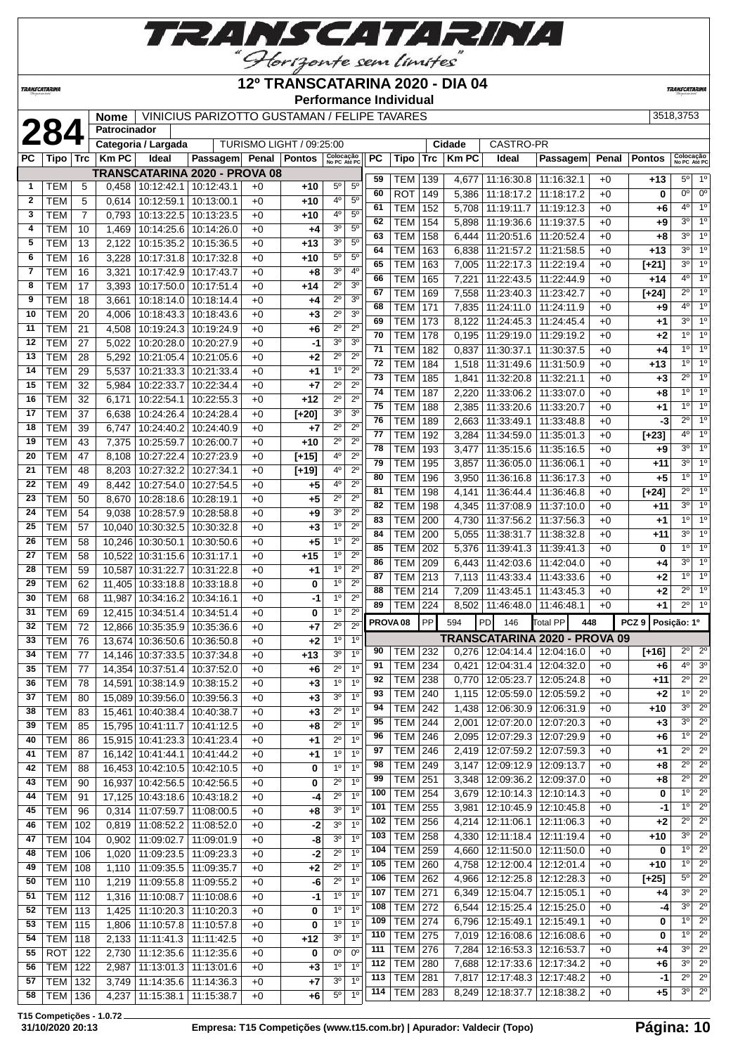

### **12º TRANSCATARINA 2020 - DIA 04**

**Performance Individual**

**TRANSCATARINI** 

**TRANSCATARINA** 

|              |                  |                | <b>Nome</b>  |                                     | VINICIUS PARIZOTTO GUSTAMAN / FELIPE TAVARES |       |                          |                           |                                  |     |                     |            |                |                                   |                                                    |              |                  | 3518,3753                 |                  |
|--------------|------------------|----------------|--------------|-------------------------------------|----------------------------------------------|-------|--------------------------|---------------------------|----------------------------------|-----|---------------------|------------|----------------|-----------------------------------|----------------------------------------------------|--------------|------------------|---------------------------|------------------|
|              | 284              |                | Patrocinador |                                     |                                              |       |                          |                           |                                  |     |                     |            |                |                                   |                                                    |              |                  |                           |                  |
|              |                  |                |              | Categoria / Largada                 |                                              |       | TURISMO LIGHT / 09:25:00 |                           |                                  |     |                     |            | Cidade         | CASTRO-PR                         |                                                    |              |                  |                           |                  |
| <b>PC</b>    | Tipo   Trc       |                | <b>Km PC</b> | Ideal                               | Passagem                                     | Penal | Pontos                   | Colocação<br>No PC Até PC |                                  | PC  | Tipo                | <b>Trc</b> | <b>Km PC</b>   | Ideal                             | Passagem                                           | Penal        | <b>Pontos</b>    | Colocação<br>No PC Até PC |                  |
|              |                  |                |              | TRANSCATARINA 2020 - PROVA 08       |                                              |       |                          |                           |                                  | 59  | TEM   139           |            | 4,677          | 11:16:30.8 11:16:32.1             |                                                    | $+0$         | $+13$            | $5^{\circ}$               | $1^{\circ}$      |
| 1            | TEM              | 5              | 0,458        | 10:12:42.1 10:12:43.1               |                                              | $+0$  | $+10$                    | $5^{\circ}$               | $5^{\circ}$                      | 60  | ROT                 | 149        | 5,386          |                                   | 11:18:17.2   11:18:17.2                            | $+0$         | 0                | 0°                        | $0^{\circ}$      |
| $\mathbf{2}$ | <b>TEM</b>       | 5              | 0,614        | 10:12:59.1                          | 10:13:00.1                                   | $+0$  | $+10$                    | 4°                        | $5^{\circ}$                      | 61  | <b>TEM</b>          | 152        | 5,708          | 11:19:11.7                        | 11:19:12.3                                         | $+0$         | +6               | 40                        | 1 <sup>0</sup>   |
| 3            | <b>TEM</b>       | $\overline{7}$ | 0,793        |                                     | 10:13:22.5   10:13:23.5                      | $+0$  | $+10$                    | 4º                        | $5^{\circ}$                      | 62  | <b>TEM</b>          | 154        | 5,898          | 11:19:36.6                        | 11:19:37.5                                         | $+0$         | $+9$             | 30                        | 1 <sup>0</sup>   |
| 4            | <b>TEM</b>       | 10             | 1,469        | 10:14:25.6   10:14:26.0             |                                              | $+0$  | +4                       | 3 <sup>o</sup>            | $5^{\circ}$                      | 63  | <b>TEM</b>          | 158        | 6,444          | 11:20:51.6                        | 11:20:52.4                                         | $+0$         | $+8$             | 3 <sup>0</sup>            | 1 <sup>0</sup>   |
| 5            | TEM              | 13             | 2,122        | 10:15:35.2                          | 10:15:36.5                                   | $+0$  | $+13$                    | 3 <sup>o</sup>            | 5 <sup>0</sup>                   | 64  | TEM                 | 163        | 6,838          | 11:21:57.2                        | 11:21:58.5                                         | $+0$         | $+13$            | 3 <sup>0</sup>            | 1 <sup>0</sup>   |
| 6            | <b>TEM</b>       | 16             | 3,228        | 10:17:31.8                          | 10:17:32.8                                   | $+0$  | $+10$                    | $5^{\circ}$               | 5 <sup>0</sup>                   | 65  | <b>TEM</b>          | 163        | 7,005          | 11:22:17.3                        | 11:22:19.4                                         | $+0$         | $[+21]$          | 3 <sup>o</sup>            | 1 <sup>0</sup>   |
| 7            | <b>TEM</b>       | 16             | 3,321        | 10:17:42.9                          | 10:17:43.7                                   | $+0$  | $+8$                     | 3 <sup>0</sup>            | 4 <sup>0</sup>                   | 66  | <b>TEM</b>          | 165        | 7,221          | 11:22:43.5                        | 11:22:44.9                                         | $+0$         | +14              | $4^{\circ}$               | 1 <sup>0</sup>   |
| 8            | <b>TEM</b>       | 17             | 3,393        |                                     | 10:17:50.0   10:17:51.4                      | $+0$  | $+14$                    | $2^{\circ}$               | 3 <sup>o</sup>                   | 67  | <b>TEM</b>          | 169        | 7,558          | 11:23:40.3                        | 11:23:42.7                                         | $+0$         | $[+24]$          | $2^{\circ}$               | 1 <sup>0</sup>   |
| 9            | <b>TEM</b>       | 18             | 3,661        |                                     | 10:18:14.0   10:18:14.4                      | $+0$  | +4                       | $2^{\circ}$               | 3 <sup>0</sup>                   | 68  | <b>TEM</b>          | 171        | 7,835          | 11:24:11.0                        | 11:24:11.9                                         | $+0$         | $+9$             | 4 <sup>0</sup>            | 1 <sup>0</sup>   |
| 10           | <b>TEM</b>       | 20             | 4,006        | 10:18:43.3 10:18:43.6               |                                              | $+0$  | $+3$                     | $2^{\circ}$               | $\overline{3^0}$                 | 69  | TEM                 | 173        | 8,122          | 11:24:45.3                        | 11:24:45.4                                         | $+0$         | $+1$             | 30                        | 1 <sup>0</sup>   |
| 11           | <b>TEM</b>       | 21             | 4,508        | 10:19:24.3 10:19:24.9               |                                              | $+0$  | $+6$                     | $2^{\circ}$               | $2^{\circ}$                      | 70  | <b>TEM</b>          | 178        | 0,195          | 11:29:19.0                        | 11:29:19.2                                         | $+0$         | +2               | 1 <sup>0</sup>            | 1 <sup>0</sup>   |
| 12           | <b>TEM</b>       | 27             | 5,022        |                                     | 10:20:28.0   10:20:27.9                      | $+0$  | $-1$                     | 30                        | 3 <sup>o</sup>                   | 71  | <b>TEM</b>          | 182        | 0,837          | 11:30:37.1                        | 11:30:37.5                                         | $+0$         | +4               | $1^{\circ}$               | 1 <sup>0</sup>   |
| 13           | <b>TEM</b>       | 28             | 5,292        | 10:21:05.4                          | 10:21:05.6                                   | $+0$  | $+2$                     | $2^{\circ}$               | $2^{\circ}$                      | 72  | <b>TEM</b>          | 184        | 1,518          | 11:31:49.6                        | 11:31:50.9                                         | $+0$         | $+13$            | 1 <sup>0</sup>            | $\overline{1^0}$ |
| 14           | <b>TEM</b>       | 29             | 5,537        | 10:21:33.3                          | 10:21:33.4                                   | $+0$  | +1                       | 1 <sup>0</sup>            | $2^{\circ}$                      | 73  | <b>TEM</b>          | 185        | 1,841          | 11:32:20.8                        | 11:32:21.1                                         | $+0$         | $+3$             | $2^{\circ}$               | 1 <sup>0</sup>   |
| 15           | <b>TEM</b>       | 32             | 5,984        | 10:22:33.7                          | 10:22:34.4                                   | $+0$  | +7                       | $2^{\circ}$               | $2^{\circ}$                      | 74  | <b>TEM</b>          | 187        | 2,220          | 11:33:06.2                        | 11:33:07.0                                         | $+0$         | +8               | $1^{\circ}$               | 1 <sup>0</sup>   |
| 16           | <b>TEM</b>       | 32             | 6,171        | 10:22:54.1                          | 10:22:55.3                                   | $+0$  | $+12$                    | $2^{\circ}$               | $2^{\circ}$                      | 75  | <b>TEM</b>          | 188        | 2,385          | 11:33:20.6                        | 11:33:20.7                                         | $+0$         | +1               | 1 <sup>0</sup>            | 1 <sup>0</sup>   |
| 17           | <b>TEM</b>       | 37             | 6,638        | 10:24:26.4                          | 10:24:28.4                                   | $+0$  | $[+20]$                  | 3 <sup>o</sup>            | 3 <sup>o</sup>                   | 76  | <b>TEM</b>          | 189        | 2,663          | 11:33:49.1                        | 11:33:48.8                                         | $+0$         | -3               | $2^{\circ}$               | 1 <sup>0</sup>   |
| 18           | <b>TEM</b>       | 39             | 6,747        | 10:24:40.2                          | 10:24:40.9                                   | $+0$  | $+7$                     | $2^{\circ}$               | $2^{\circ}$                      | 77  | <b>TEM</b>          | 192        | 3,284          | 11:34:59.0                        | 11:35:01.3                                         | $+0$         | $[+23]$          | $4^{\circ}$               | 1 <sup>0</sup>   |
| 19           | <b>TEM</b>       | 43             | 7,375        | 10:25:59.7                          | 10:26:00.7                                   | $+0$  | $+10$                    | $2^{\circ}$               | $2^{\circ}$                      | 78  | <b>TEM</b>          | 193        | 3,477          |                                   | 11:35:15.6   11:35:16.5                            | $+0$         | $+9$             | 30                        | 1 <sup>0</sup>   |
| 20           | <b>TEM</b>       | 47             | 8,108        | 10:27:22.4                          | 10:27:23.9                                   | $+0$  | $[t+15]$                 | 4°                        | $2^{\circ}$                      | 79  | <b>TEM</b>          | 195        | 3,857          | 11:36:05.0                        | 11:36:06.1                                         | $+0$         | $+11$            | 3 <sup>o</sup>            | 1 <sup>0</sup>   |
| 21           | <b>TEM</b>       | 48             | 8,203        | 10:27:32.2 10:27:34.1               |                                              | $+0$  | $[+19]$                  | 4 <sup>0</sup>            | $2^{\circ}$                      | 80  | <b>TEM</b>          | 196        | 3,950          | 11:36:16.8                        | 11:36:17.3                                         | $+0$         | $+5$             | $1^{\circ}$               | 1 <sup>0</sup>   |
| 22           | <b>TEM</b>       | 49             | 8,442        | 10:27:54.0   10:27:54.5             |                                              | $+0$  | $+5$                     | 4 <sup>0</sup>            | $2^{\circ}$                      | 81  | <b>TEM</b>          | 198        | 4,141          | 11:36:44.4                        | 11:36:46.8                                         | $+0$         | $[+24]$          | $2^{\circ}$               | 1 <sup>0</sup>   |
| 23           | <b>TEM</b>       | 50             | 8,670        | 10:28:18.6   10:28:19.1             |                                              | $+0$  | $+5$                     | $2^{\circ}$               | $2^{\circ}$                      | 82  | <b>TEM</b>          | 198        | 4,345          | 11:37:08.9                        | 11:37:10.0                                         | $+0$         | +11              | 3 <sup>0</sup>            | 1 <sup>0</sup>   |
| 24           | <b>TEM</b>       | 54             | 9,038        | 10:28:57.9 10:28:58.8               |                                              | $+0$  | $+9$                     | 3 <sup>o</sup>            | $2^{\circ}$                      | 83  | <b>TEM</b>          | 200        | 4,730          | 11:37:56.2                        | 11:37:56.3                                         | $+0$         | $+1$             | 1 <sup>°</sup>            | 1 <sup>0</sup>   |
| 25           | <b>TEM</b>       | 57             | 10,040       |                                     | 10:30:32.5   10:30:32.8                      | $+0$  | $+3$                     | $1^{\circ}$               | $2^{\circ}$                      | 84  | <b>TEM</b>          | 200        | 5,055          | 11:38:31.7                        | 11:38:32.8                                         | $+0$         | +11              | 3 <sup>0</sup>            | 1 <sup>0</sup>   |
| 26           | <b>TEM</b>       | 58             | 10,246       | 10:30:50.1                          | 10:30:50.6                                   | $+0$  | $+5$                     | $1^{\circ}$               | $2^{\circ}$                      | 85  | <b>TEM</b>          | 202        | 5,376          | 11:39:41.3                        | 11:39:41.3                                         | $+0$         | 0                | 1 <sup>0</sup>            | 1 <sup>0</sup>   |
| 27           | <b>TEM</b>       | 58             | 10,522       | 10:31:15.6   10:31:17.1             |                                              | $+0$  | $+15$                    | $1^{\circ}$               | $\overline{2^0}$                 | 86  | <b>TEM</b>          | 209        | 6,443          | 11:42:03.6                        | 11:42:04.0                                         | $+0$         | $+4$             | 3 <sup>0</sup>            | 1 <sup>0</sup>   |
| 28           | <b>TEM</b>       | 59             | 10,587       | 10:31:22.7                          | 10:31:22.8                                   | $+0$  | $^{+1}$                  | $1^{\circ}$               | 2 <sup>0</sup>                   | 87  | TEM                 | 213        | 7,113          | 11:43:33.4                        | 11:43:33.6                                         | $+0$         | +2               | $1^{\circ}$               | 1 <sup>0</sup>   |
| 29           | <b>TEM</b>       | 62             | 11,405       | 10:33:18.8 10:33:18.8               |                                              | $+0$  | 0                        | 1 <sup>o</sup>            | $2^{\circ}$                      | 88  | TEM                 | 214        | 7,209          | 11:43:45.1                        | 11:43:45.3                                         | $+0$         | $+2$             | $2^{\circ}$               | 1 <sup>0</sup>   |
| 30           | <b>TEM</b>       | 68             | 11,987       | 10:34:16.2 10:34:16.1               |                                              | $+0$  | $-1$                     | $1^{\circ}$               | $2^{\circ}$                      | 89  | TEM                 | 224        | 8,502          | 11:46:48.0                        | 11:46:48.1                                         | $+0$         | +1               | $2^{\circ}$               | $1^{\circ}$      |
| 31           | <b>TEM</b>       | 69             | 12.415       | 10:34:51.4                          | 10:34:51.4                                   | $+0$  | 0                        | $1^{\circ}$               | $2^{\circ}$                      |     | PROVA <sub>08</sub> | PP         | 594            | <b>PD</b><br>146                  | <b>Total PP</b>                                    | 448          | PCZ <sub>9</sub> | Posição: 1º               |                  |
| 32           | <b>TEM</b>       | 72             | 12,866       | 10:35:35.9 10:35:36.6               |                                              | $+0$  | $+7$                     | $2^{\circ}$               | 2 <sup>0</sup>                   |     |                     |            |                |                                   |                                                    |              |                  |                           |                  |
| 33           | <b>TEM</b>       | 76             | 13,674       | 10:36:50.6                          | 10:36:50.8                                   | $+0$  | $+2$                     | $1^{\circ}$               | 1 <sup>0</sup>                   | 90  | TEM                 | 232        |                | $0,276$   12:04:14.4   12:04:16.0 | TRANSCATARINA 2020 - PROVA 09                      | $+0$         | $[+16]$          | $2^{\circ}$               | $2^{\circ}$      |
| 34           | <b>TEM</b>       | 77             | 14.146       | 10:37:33.5 10:37:34.8               |                                              | $+0$  | $+13$                    | 3 <sup>o</sup>            | 1 <sup>0</sup>                   | 91  | TEM   234           |            |                | $0,421$   12:04:31.4   12:04:32.0 |                                                    | $+0$         | $+6$             | 4 <sup>o</sup>            | 3 <sup>o</sup>   |
| 35           | <b>TEM</b>       | 77             |              | 14,354 10:37:51.4 10:37:52.0        |                                              | $+0$  | $+6$                     | $2^{\circ}$               | 10                               | 92  | <b>TEM 238</b>      |            |                | $0,770$   12:05:23.7   12:05:24.8 |                                                    | $+0$         | +11              | $2^{\circ}$               | $2^{\circ}$      |
| 36           | <b>TEM</b>       | 78             |              | 14,591 10:38:14.9 10:38:15.2        |                                              | $+0$  | $+3$                     | $\frac{1}{\circ}$         | 1 <sup>0</sup>                   | 93  | TEM                 | 240        | 1,115          |                                   | 12:05:59.0   12:05:59.2                            | $+0$         | $+2$             | $1^{\circ}$               | $\overline{2^0}$ |
| 37           | <b>TEM</b>       | 80             |              | 15,089 10:39:56.0 10:39:56.3        |                                              | $+0$  | $+3$                     | 3 <sup>0</sup>            | 1 <sup>0</sup>                   | 94  | <b>TEM 242</b>      |            | 1,438          |                                   | 12:06:30.9   12:06:31.9                            | $+0$         | +10              | 3 <sup>o</sup>            | $2^{\circ}$      |
| 38           | <b>TEM</b>       | 83             |              | 15,461 10:40:38.4 10:40:38.7        |                                              | $+0$  | $+3$                     | $2^{\circ}$               | 1 <sup>o</sup>                   | 95  | TEM                 | 244        | 2,001          |                                   | 12:07:20.0   12:07:20.3                            | $+0$         | $+3$             | $3^{\circ}$               | $2^{\circ}$      |
| 39           | <b>TEM</b>       | 85             |              | 15,795 10:41:11.7 10:41:12.5        |                                              | $+0$  | $+8$                     | $2^{\circ}$               | $1^{\circ}$                      | 96  | <b>TEM</b>          | 246        | 2,095          |                                   | 12:07:29.3   12:07:29.9                            | $+0$         | +6               | 1 <sup>0</sup>            | $2^{\circ}$      |
| 40           | <b>TEM</b>       | 86             |              | 15,915 10:41:23.3 10:41:23.4        |                                              | $+0$  | $+1$                     | $2^{\circ}$               | 1 <sup>0</sup>                   | 97  | <b>TEM 246</b>      |            | 2,419          |                                   | 12:07:59.2   12:07:59.3                            | $+0$         | +1               | $2^{\circ}$               | $\overline{2^0}$ |
| 41           | <b>TEM</b>       | 87             |              | 16, 142 10: 41: 44. 1 10: 41: 44. 2 |                                              | $+0$  | $+1$                     | 1 <sup>0</sup>            | 1 <sup>0</sup>                   | 98  | <b>TEM 249</b>      |            | 3,147          |                                   | 12:09:12.9   12:09:13.7                            | $+0$         | $+8$             | $2^{\circ}$               | $2^{\circ}$      |
| 42           | <b>TEM</b>       | 88             |              | 16,453 10:42:10.5 10:42:10.5        |                                              | $+0$  | 0                        | 1 <sup>0</sup>            | 1 <sup>0</sup>                   | 99  | <b>TEM 251</b>      |            | 3,348          |                                   | 12:09:36.2   12:09:37.0                            | $+0$         | +8               | $2^{\circ}$               | $2^{\circ}$      |
| 43           | <b>TEM</b>       | 90             |              | 16,937 10:42:56.5 10:42:56.5        |                                              | $+0$  | 0                        | $2^{\circ}$               | $1^{\circ}$                      | 100 | <b>TEM 254</b>      |            | 3,679          |                                   | 12:10:14.3 12:10:14.3                              | $+0$         | 0                | 1 <sup>0</sup>            | $2^{\circ}$      |
| 44           | <b>TEM</b>       | 91             |              | 17,125 10:43:18.6 10:43:18.2        |                                              | $+0$  | -4                       | $2^{\circ}$               | 1 <sup>0</sup>                   | 101 | <b>TEM</b>          | 255        | 3,981          |                                   | 12:10:45.9   12:10:45.8                            | $+0$         | -1               | $1^{\circ}$               | $2^{\circ}$      |
| 45           | <b>TEM</b>       | 96             | 0,314        | 11:07:59.7   11:08:00.5             |                                              | $+0$  | $+8$                     | 3 <sup>o</sup>            | 1 <sup>0</sup><br>1 <sup>0</sup> | 102 | <b>TEM</b>          | 256        | 4,214          | 12:11:06.1                        | 12:11:06.3                                         | $+0$         | $+2$             | $2^{\circ}$               | $\overline{2^0}$ |
| 46           | TEM              | 102            | 0,819        | 11:08:52.2   11:08:52.0             |                                              | $+0$  | $-2$                     | 3 <sup>o</sup>            |                                  | 103 | <b>TEM</b>          | 258        | 4,330          |                                   | 12:11:18.4   12:11:19.4                            | $+0$         | +10              | $3^{\circ}$               | $2^{\circ}$      |
| 47           | <b>TEM 104</b>   |                | 0,902        | 11:09:02.7   11:09:01.9             |                                              | $+0$  | -8                       | 3 <sup>o</sup>            | 1 <sup>0</sup>                   | 104 | <b>TEM</b>          | 259        | 4,660          |                                   | 12:11:50.0   12:11:50.0                            | $+0$         | 0                | $1^{\circ}$               | $2^{\circ}$      |
| 48           | <b>TEM 106</b>   |                | 1,020        | 11:09:23.5   11:09:23.3             |                                              | $+0$  | $-2$                     | $2^{\circ}$               | 1 <sup>0</sup>                   | 105 | <b>TEM 260</b>      |            | 4,758          |                                   | 12:12:00.4   12:12:01.4                            | $+0$         | +10              | $1^{\circ}$               | $\overline{2^0}$ |
| 49           | <b>TEM   108</b> |                | 1,110        | 11:09:35.5   11:09:35.7             |                                              | $+0$  | $+2$                     | $2^{\circ}$               | 1 <sup>0</sup>                   | 106 | <b>TEM 262</b>      |            | 4,966          |                                   | 12:12:25.8   12:12:28.3                            | $+0$         | $[+25]$          | $5^\circ$                 | $\overline{2^0}$ |
| 50           | <b>TEM 110</b>   |                | 1,219        | 11:09:55.8   11:09:55.2             |                                              | $+0$  | -6                       | $2^{\circ}$               | 1 <sup>0</sup>                   | 107 | <b>TEM 271</b>      |            | 6,349          |                                   | 12:15:04.7   12:15:05.1                            | $+0$         |                  | $3^{\circ}$               | $2^{\circ}$      |
| 51           | <b>TEM 112</b>   |                | 1,316        | 11:10:08.7 11:10:08.6               |                                              | $+0$  | $-1$                     | 1 <sup>0</sup>            | 1 <sup>0</sup>                   | 108 | <b>TEM 272</b>      |            | 6,544          |                                   |                                                    | $+0$         | +4               | $3^{\circ}$               | $2^{\circ}$      |
| 52           | <b>TEM 113</b>   |                | 1,425        | 11:10:20.3   11:10:20.3             |                                              | $+0$  | 0                        | 1 <sup>o</sup>            | 1 <sup>0</sup>                   | 109 | <b>TEM 274</b>      |            | 6,796          |                                   | 12:15:25.4   12:15:25.0<br>12:15:49.1   12:15:49.1 | $+0$         | -4 <br>0         | $1^{\circ}$               | $2^{\circ}$      |
| 53           | <b>TEM 115</b>   |                | 1,806        | 11:10:57.8   11:10:57.8             |                                              | $+0$  | 0                        | 1 <sup>°</sup>            | 1 <sup>0</sup>                   | 110 | <b>TEM 275</b>      |            | 7,019          |                                   | 12:16:08.6   12:16:08.6                            | $+0$         | 0                | 1 <sup>0</sup>            | $2^{\circ}$      |
| 54           | <b>TEM 118</b>   |                | 2,133        | 11:11:41.3   11:11:42.5             |                                              | $+0$  | $+12$                    | $3^{\circ}$               | 1 <sup>0</sup>                   | 111 | TEM                 | 276        | 7,284          |                                   | 12:16:53.3 12:16:53.7                              |              | $+4$             | 3 <sup>0</sup>            | $2^{\circ}$      |
| 55           | $ROT$ 122        |                | 2,730        | 11:12:35.6   11:12:35.6             |                                              | $+0$  | 0                        | 0 <sup>o</sup>            | $0^{\circ}$                      | 112 | TEM                 |            |                |                                   |                                                    | $+0$         |                  | 3 <sup>o</sup>            | $2^{\circ}$      |
| 56           | $TEM$ 122        |                | 2,987        |                                     | 11:13:01.3 11:13:01.6                        | $+0$  | $+3$                     | 1 <sup>0</sup>            | 1 <sup>0</sup>                   | 113 | <b>TEM</b>          | 280<br>281 | 7,688<br>7,817 |                                   | 12:17:33.6   12:17:34.2<br>12:17:48.3 12:17:48.2   | $+0$<br>$+0$ | +6<br>$-1$       | $2^{\circ}$               | $2^{\circ}$      |
| 57           | <b>TEM 132</b>   |                | 3,749        |                                     | 11:14:35.6   11:14:36.3                      | $+0$  | $+7$                     | 3 <sup>o</sup>            | 1 <sup>0</sup>                   | 114 | <b>TEM 283</b>      |            | 8,249          |                                   | 12:18:37.7   12:18:38.2                            | $+0$         | +5               | 3 <sup>o</sup>            | $2^{\circ}$      |
| 58           | TEM   136        |                | 4,237        | 11:15:38.1   11:15:38.7             |                                              | $+0$  | $+6$                     | $5^{\circ}$               | 1 <sup>0</sup>                   |     |                     |            |                |                                   |                                                    |              |                  |                           |                  |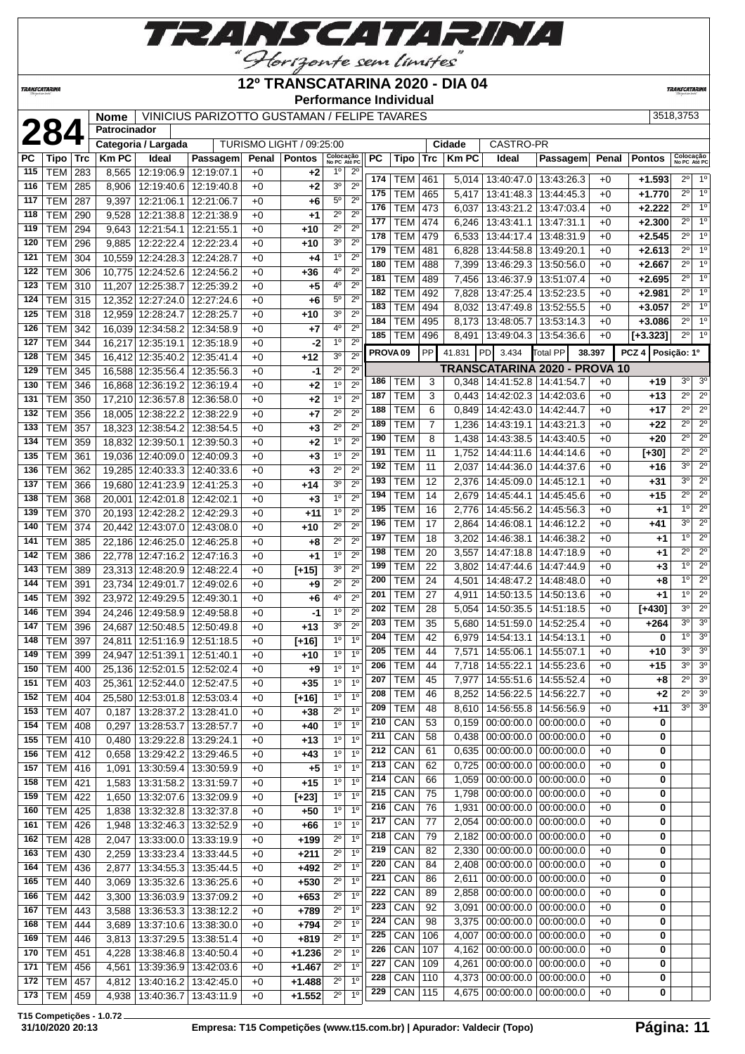

### **12º TRANSCATARINA 2020 - DIA 04**

**Performance Individual**

**TRANSCATARIN** 

**TRANSCATARINA** 

### **Nome** VINICIUS PARIZOTTO GUSTAMAN / FELIPE TAVARES 3518,3753 **Patrocinador**

|            |                          |            | Categoria / Largada                          |                          |              | TURISMO LIGHT / 09:25:00 |                                                               |                     |            |                | Cidade       | CASTRO-PR                             |                               |        |                     |                           |                  |
|------------|--------------------------|------------|----------------------------------------------|--------------------------|--------------|--------------------------|---------------------------------------------------------------|---------------------|------------|----------------|--------------|---------------------------------------|-------------------------------|--------|---------------------|---------------------------|------------------|
| РC         | Tipo                     | Trc        | <b>Km PC</b><br>Ideal                        | Passagem                 | Penal        | <b>Pontos</b>            | Colocação<br>No PC Até PC                                     | РC                  | Tipo       | Trc            | <b>Km PC</b> | Ideal                                 | Passagem                      | Penal  | <b>Pontos</b>       | Colocação<br>No PC Até PC |                  |
| 115        | <b>TEM</b>               | 283        | 12:19:06.9<br>8,565                          | 12:19:07.1               | $+0$         | +2                       | $1^{\circ}$<br>$2^{\circ}$                                    | 174                 | <b>TEM</b> | 461            | 5,014        | 13:40:47.0   13:43:26.3               |                               | $+0$   | $+1.593$            | $2^{\circ}$               | 1 <sup>0</sup>   |
| 116        | <b>TEM</b>               | 285        | 8,906<br>12:19:40.6                          | 12:19:40.8               | $+0$         | +2                       | 3 <sup>o</sup><br>$2^{\circ}$                                 | 175                 | <b>TEM</b> | 465            | 5,417        | 13:41:48.3                            | 13:44:45.3                    | $+0$   | $+1.770$            | $2^{\circ}$               | $\overline{1^0}$ |
| 117        | <b>TEM</b>               | 287        | 9,397<br>12:21:06.1                          | 12:21:06.7               | $+0$         | +6                       | $5^{\circ}$<br>$\overline{2^0}$                               | 176                 | <b>TEM</b> | 473            | 6,037        | 13:43:21.2                            | 13:47:03.4                    | $+0$   | $+2.222$            | $2^{\circ}$               | 1 <sup>0</sup>   |
| 118        | <b>TEM</b>               | 290        | 9,528<br>12:21:38.8                          | 12:21:38.9               | $+0$         | $+1$                     | $2^{\circ}$<br>$2^{\circ}$                                    | 177                 | <b>TEM</b> | 474            | 6,246        | 13:43:41.1                            | 13:47:31.1                    | $+0$   | $+2.300$            | $2^{\circ}$               | 1 <sup>0</sup>   |
| 119        | <b>TEM</b>               | 294        | 9,643<br>12:21:54.1                          | 12:21:55.1               | $+0$         | $+10$                    | $2^{\circ}$<br>$2^{\circ}$                                    | 178                 | <b>TEM</b> | 479            | 6,533        | 13:44:17.4                            | 13:48:31.9                    | $+0$   | $+2.545$            | $\overline{2^0}$          | 10               |
| 120        | <b>TEM</b>               | 296        | 9,885<br>12:22:22.4                          | 12:22:23.4               | $+0$         | $+10$                    | 3 <sup>o</sup><br>$2^{\circ}$                                 | 179                 | <b>TEM</b> | 481            | 6,828        | 13:44:58.8                            | 13:49:20.1                    | $+0$   | $+2.613$            | $2^{\circ}$               | 1 <sup>0</sup>   |
| 121        | <b>TEM</b>               | 304        | 10,559<br>12:24:28.3                         | 12:24:28.7               | $+0$         | $+4$                     | 1 <sup>0</sup><br>$2^{\circ}$                                 | 180                 | <b>TEM</b> | 488            | 7,399        | 13:46:29.3                            | 13:50:56.0                    | $+0$   | $+2.667$            | $2^{\circ}$               | 1 <sup>0</sup>   |
| 122        | <b>TEM</b>               | 306        | 10,775<br>12:24:52.6                         | 12:24:56.2               | $+0$         | $+36$                    | $2^{\circ}$<br>$4^{\rm o}$                                    | 181                 | <b>TEM</b> | 489            | 7,456        | 13:46:37.9                            | 13:51:07.4                    | $+0$   | $+2.695$            | $2^{\circ}$               | 1 <sup>0</sup>   |
| 123        | <b>TEM</b>               | 310        | 11,207<br>12:25:38.7                         | 12:25:39.2               | $+0$         | $+5$                     | $2^{\circ}$<br>$4^{\rm o}$                                    | 182                 | <b>TEM</b> | 492            | 7,828        | 13:47:25.4                            | 13:52:23.5                    | $+0$   | $+2.981$            | $2^{\circ}$               | 1 <sup>0</sup>   |
| 124        | <b>TEM</b>               | 315        | 12,352<br>12:27:24.0                         | 12:27:24.6               | $+0$         | +6                       | $2^{\circ}$<br>$5^{\circ}$                                    | 183                 | <b>TEM</b> | 494            | 8,032        | 13:47:49.8                            | 13:52:55.5                    | $+0$   | $+3.057$            | $\overline{2^0}$          | 1 <sup>0</sup>   |
| 125        | <b>TEM</b>               | 318        | 12,959<br>12:28:24.7                         | 12:28:25.7               | $+0$         | $+10$                    | 30<br>$2^{\circ}$                                             | 184                 | <b>TEM</b> | 495            | 8,173        | 13:48:05.7                            | 13:53:14.3                    | $+0$   | $+3.086$            | $2^{\circ}$               | $\overline{1^0}$ |
| 126        | <b>TEM</b>               | 342        | 16,039 12:34:58.2                            | 12:34:58.9               | $+0$         | $+7$                     | 4 <sup>0</sup><br>$2^{\circ}$                                 | 185                 | <b>TEM</b> | 496            | 8,491        |                                       | 13:49:04.3   13:54:36.6       | $+0$   | $[-3.323]$          | $2^{\circ}$               | 1 <sup>0</sup>   |
| 127        | TEM                      | 344        | 16,217<br>12:35:19.1                         | 12:35:18.9               | $+0$         | -2                       | 2 <sup>0</sup><br>1 <sup>0</sup>                              | PROVA <sub>09</sub> |            | <b>PP</b>      | 41.831       | PD<br>3.434                           | <b>Total PP</b>               | 38.397 | PCZ 4   Posição: 1º |                           |                  |
| 128        | <b>TEM</b>               | 345        | 16,412<br>12:35:40.2                         | 12:35:41.4               | $+0$         | $+12$                    | 3 <sup>o</sup><br>$2^{\circ}$<br>$2^{\circ}$                  |                     |            |                |              |                                       | TRANSCATARINA 2020 - PROVA 10 |        |                     |                           |                  |
| 129        | <b>TEM</b>               | 345        | 16,588 12:35:56.4                            | 12:35:56.3               | $+0$         | -1                       | $2^{\circ}$                                                   | 186                 | TEM        | 3              | 0,348        | 14:41:52.8                            | 14:41:54.7                    | $+0$   | $+19$               | 30                        | 3 <sup>o</sup>   |
| 130        | <b>TEM</b>               | 346        | 12:36:19.2<br>16,868                         | 12:36:19.4               | $+0$         | $+2$                     | 1 <sup>0</sup><br>$2^{\circ}$<br>$2^{\circ}$                  | 187                 | <b>TEM</b> | 3              | 0.443        | 14:42:02.3                            | 14:42:03.6                    | $+0$   | $+13$               | $2^{\circ}$               | $2^{\circ}$      |
| 131        | <b>TEM</b>               | 350        | 17,210<br>12:36:57.8                         | 12:36:58.0               | $+0$         | $+2$                     | 1 <sup>0</sup>                                                | 188                 | <b>TEM</b> | 6              | 0,849        | 14:42:43.0                            | 14:42:44.7                    | $+0$   | $+17$               | $\overline{2^0}$          | $2^{\circ}$      |
| 132        | <b>TEM</b>               | 356        | 12:38:22.2<br>18,005                         | 12:38:22.9               | $+0$         | +7                       | $2^{\circ}$<br>$2^{\circ}$<br>$2^{\circ}$<br>$\overline{2^0}$ | 189                 | <b>TEM</b> | $\overline{7}$ | 1,236        | 14:43:19.1                            | 14:43:21.3                    | $+0$   | $+22$               | $\overline{2^{\circ}}$    | 2 <sup>o</sup>   |
| 133        | <b>TEM</b>               | 357        | 18,323<br>12:38:54.2                         | 12:38:54.5               | $+0$         | $+3$                     | $2^{\circ}$                                                   | 190                 | <b>TEM</b> | 8              | 1,438        | 14:43:38.5                            | 14:43:40.5                    | $+0$   | $+20$               | $2^{\circ}$               | $2^{\circ}$      |
| 134        | <b>TEM</b>               | 359        | 18,832<br>12:39:50.1                         | 12:39:50.3               | $+0$         | +2                       | 1 <sup>0</sup><br>1 <sup>0</sup><br>$2^{\circ}$               | 191                 | <b>TEM</b> | 11             | 1,752        | 14:44:11.6                            | 14:44:14.6                    | $+0$   | $[+30]$             | $2^{\circ}$               | $\overline{2^0}$ |
| 135<br>136 | <b>TEM</b>               | 361        | 19,036<br>12:40:09.0                         | 12:40:09.3               | $+0$<br>$+0$ | $+3$<br>$+3$             | $2^{\circ}$<br>$2^{\circ}$                                    | 192                 | TEM        | 11             | 2.037        | 14:44:36.0                            | 14:44:37.6                    | $+0$   | $+16$               | 3 <sup>0</sup>            | $\overline{2^0}$ |
|            | TEM                      | 362        | 12:40:33.3<br>19,285                         | 12:40:33.6               |              |                          | 30<br>$2^{\circ}$                                             | 193                 | <b>TEM</b> | 12             | 2,376        | 14:45:09.0                            | 14:45:12.1                    | $+0$   | $+31$               | 3 <sup>0</sup>            | $2^{\circ}$      |
| 137        | <b>TEM</b><br><b>TEM</b> | 366        | 19,680<br>12:41:23.9                         | 12:41:25.3               | $+0$<br>$+0$ | $+14$<br>$+3$            | $2^{\circ}$<br>1 <sup>0</sup>                                 | 194                 | <b>TEM</b> | 14             | 2,679        | 14:45:44.1                            | 14:45:45.6                    | $+0$   | $+15$               | $2^{\circ}$               | $2^{\circ}$      |
| 138<br>139 | <b>TEM</b>               | 368<br>370 | 20,001<br>12:42:01.8                         | 12:42:02.1               |              | $+11$                    | 1 <sup>0</sup><br>$2^{\circ}$                                 | 195                 | <b>TEM</b> | 16             | 2,776        | 14:45:56.2                            | 14:45:56.3                    | $+0$   | $+1$                | 1 <sup>0</sup>            | $2^{\circ}$      |
| 140        | <b>TEM</b>               | 374        | 20,193<br>12:42:28.2<br>20,442<br>12:43:07.0 | 12:42:29.3<br>12:43:08.0 | $+0$<br>$+0$ | $+10$                    | $2^{\circ}$<br>$2^{\circ}$                                    | 196                 | <b>TEM</b> | 17             | 2,864        | 14:46:08.1                            | 14:46:12.2                    | $+0$   | $+41$               | 3 <sup>0</sup>            | $\overline{2^0}$ |
| 141        |                          |            |                                              |                          |              |                          | $2^{\circ}$<br>$2^{\circ}$                                    | 197                 | <b>TEM</b> | 18             | 3,202        | 14:46:38.1                            | 14:46:38.2                    | $+0$   | $+1$                | 1 <sup>0</sup>            | $2^{\circ}$      |
|            | <b>TEM</b>               | 385        | 12:46:25.0<br>22,186                         | 12:46:25.8               | $+0$         | $+8$                     | 1 <sup>0</sup><br>$2^{\circ}$                                 | 198                 | <b>TEM</b> | 20             | 3,557        | 14:47:18.8                            | 14:47:18.9                    | $+0$   | +1                  | $2^{\circ}$               | $2^{\circ}$      |
| 142<br>143 | <b>TEM</b><br><b>TEM</b> | 386<br>389 | 22,778<br>12:47:16.2<br>23,313 12:48:20.9    | 12:47:16.3<br>12:48:22.4 | $+0$<br>$+0$ | +1<br>$[+15]$            | 30<br>$2^{\circ}$                                             | 199                 | <b>TEM</b> | 22             | 3,802        | 14:47:44.6                            | 14:47:44.9                    | $+0$   | $+3$                | 1 <sup>0</sup>            | $2^{\circ}$      |
| 144        | <b>TEM</b>               | 391        | 23,734<br>12:49:01.7                         | 12:49:02.6               | $+0$         | $+9$                     | $2^{\circ}$<br>$2^{\circ}$                                    | 200                 | <b>TEM</b> | 24             | 4,501        | 14:48:47.2                            | 14:48:48.0                    | $+0$   | $+8$                | 1 <sup>0</sup>            | $\overline{2^0}$ |
| 145        | <b>TEM</b>               | 392        | 12:49:29.5<br>23,972                         | 12:49:30.1               | $+0$         | +6                       | $\overline{2^0}$<br>$4^{\rm o}$                               | 201                 | <b>TEM</b> | 27             | 4,911        | 14:50:13.5                            | 14:50:13.6                    | $+0$   | $+1$                | 1 <sup>0</sup>            | $2^{\circ}$      |
| 146        | <b>TEM</b>               | 394        | 12:49:58.9<br>24,246                         | 12:49:58.8               | $+0$         | -1                       | 1 <sup>0</sup><br>$2^{\circ}$                                 | 202                 | <b>TEM</b> | 28             | 5,054        | 14:50:35.5                            | 14:51:18.5                    | $+0$   | $[+430]$            | 3 <sup>0</sup>            | $2^{\circ}$      |
| 147        | <b>TEM</b>               | 396        | 24,687<br>12:50:48.5                         | 12:50:49.8               | $+0$         | $+13$                    | $2^{\circ}$<br>3 <sup>0</sup>                                 | 203                 | <b>TEM</b> | 35             | 5,680        | 14:51:59.0                            | 14:52:25.4                    | $+0$   | +264                | 3 <sup>0</sup>            | 3 <sup>o</sup>   |
| 148        | <b>TEM</b>               | 397        | 24,811<br>12:51:16.9                         | 12:51:18.5               | $+0$         | $[t+16]$                 | 1 <sup>0</sup><br>1 <sup>0</sup>                              | 204                 | <b>TEM</b> | 42             | 6,979        | 14:54:13.1                            | 14:54:13.1                    | $+0$   | 0                   | 1 <sup>0</sup>            | 3 <sup>0</sup>   |
| 149        | <b>TEM</b>               | 399        | 12:51:39.1<br>24,947                         | 12:51:40.1               | $+0$         | $+10$                    | 10<br>1 <sup>0</sup>                                          | 205                 | <b>TEM</b> | 44             | 7,571        | 14:55:06.1                            | 14:55:07.1                    | $+0$   | $+10$               | 3 <sup>0</sup>            | 3 <sup>o</sup>   |
| 150        | TEM                      | 400        | 12:52:01.5<br>25,136                         | 12:52:02.4               | $+0$         | $+9$                     | $1^{\circ}$<br>1 <sup>0</sup>                                 | 206                 | TEM        | 44             | 7,718        | 14:55:22.1                            | 14:55:23.6                    | $+0$   | $+15$               | 3 <sup>0</sup>            | 3 <sup>0</sup>   |
| 151        | <b>TEM</b>               | 403        | 25,361<br>12:52:44.0                         | 12:52:47.5               | $+0$         | $+35$                    | 1 <sup>0</sup><br>1 <sup>0</sup>                              | 207                 | <b>TEM</b> | 45             | 7,977        | 14:55:51.6                            | 14:55:52.4                    | $+0$   | $+8$                | $\overline{2^0}$          | 3 <sup>o</sup>   |
| 152        | <b>TEM</b>               | 404        | 25,580 12:53:01.8                            | 12:53:03.4               | $+0$         | $[+16]$                  | 1 <sup>0</sup><br>1 <sup>0</sup>                              | 208                 | <b>TEM</b> | 46             | 8,252        | 14:56:22.5                            | 14:56:22.7                    | $+0$   | $+2$                | $\overline{2^0}$          | 3 <sup>o</sup>   |
|            | 153 TEM 407              |            | 13:28:37.2<br>0,187                          | 13:28:41.0               | $+0$         | $+38$                    | $2^{\circ}$<br>1 <sup>0</sup>                                 | 209                 | TEM        | 48             |              | 8,610   14:56:55.8                    | 14:56:56.9                    | $+0$   | +11                 | $3^{\circ}$               | 3 <sup>o</sup>   |
| 154        | TEM                      | 408        | 13:28:53.7<br>0.297                          | 13:28:57.7               | $+0$         | $+40$                    | 1 <sup>0</sup><br>1 <sup>0</sup>                              | 210                 | CAN        | 53             | 0,159        | $00:00:00.0$   $00:00:00.0$           |                               | $+0$   | 0                   |                           |                  |
| 155        | TEM 410                  |            | 0,480                                        | 13:29:22.8 13:29:24.1    | $+0$         | $+13$                    | 1 <sup>0</sup><br>1 <sup>0</sup>                              | 211                 | CAN        | 58             | 0,438        | $00:00:00.0$ 00:00:00.0               |                               | $+0$   | 0                   |                           |                  |
| 156        | TEM                      | 412        | 0,658<br>13:29:42.2                          | 13:29:46.5               | $+0$         | +43                      | 1 <sup>o</sup><br>1 <sup>0</sup>                              | 212                 | CAN        | 61             | 0,635        | $00:00:00.0$ 00:00:00.0               |                               | $+0$   | 0                   |                           |                  |
| 157        | <b>TEM</b>               | 416        | 13:30:59.4<br>1,091                          | 13:30:59.9               | $+0$         | $+5$                     | $1^{\circ}$<br>1 <sup>0</sup>                                 | 213                 | CAN        | 62             | 0,725        | 00:00:00.0 00:00:00.0                 |                               | $+0$   | 0                   |                           |                  |
| 158        | <b>TEM</b>               | 421        | 1,583<br>13:31:58.2                          | 13:31:59.7               | $+0$         | $+15$                    | $1^{\circ}$<br>1 <sup>0</sup>                                 | 214                 | CAN        | 66             | 1,059        | $00:00:00.0$ 00:00:00.0               |                               | $+0$   | 0                   |                           |                  |
| 159        | <b>TEM</b>               | 422        | 13:32:07.6<br>1,650                          | 13:32:09.9               | $+0$         | $[+23]$                  | $1^{\circ}$<br>1 <sup>0</sup>                                 | 215                 | CAN        | 75             | 1,798        | $\vert$ 00:00:00.0 $\vert$ 00:00:00.0 |                               | $+0$   | 0                   |                           |                  |
| 160        | <b>TEM</b>               | 425        | 13:32:32.8<br>1,838                          | 13:32:37.8               | $+0$         | +50                      | 1 <sup>0</sup><br>1 <sup>0</sup>                              | 216                 | CAN        | 76             | 1,931        | $00:00:00.0$ 00:00:00.0               |                               | $+0$   | 0                   |                           |                  |
| 161        | <b>TEM</b>               | 426        | 1,948<br>13:32:46.3                          | 13:32:52.9               | $+0$         | +66                      | 1 <sup>0</sup><br>1 <sup>0</sup>                              | 217                 | CAN        | 77             | 2,054        | $00:00:00.0$   $00:00:00.0$           |                               | $+0$   | 0                   |                           |                  |
| 162        | <b>TEM</b>               | 428        | 2,047<br>13:33:00.0                          | 13:33:19.9               | $+0$         | $+199$                   | $2^{\circ}$<br>1 <sup>0</sup>                                 | 218                 | CAN        | 79             | 2,182        | $00:00:00.0$ 00:00:00.0               |                               | $+0$   | 0                   |                           |                  |
| 163        | <b>TEM</b>               | 430        | 13:33:23.4<br>2,259                          | 13:33:44.5               | $+0$         | +211                     | $2^{\circ}$<br>1 <sup>0</sup>                                 | 219                 | CAN        | 82             | 2,330        | $00:00:00.0$   $00:00:00.0$           |                               | $+0$   | 0                   |                           |                  |
| 164        | TEM                      | 436        | 13:34:55.3<br>2,877                          | 13:35:44.5               | $+0$         | $+492$                   | $2^{\circ}$<br>1 <sup>0</sup>                                 | 220                 | CAN        | 84             | 2,408        | $\vert$ 00:00:00.0 $\vert$ 00:00:00.0 |                               | $+0$   | 0                   |                           |                  |
| 165        | <b>TEM</b>               | 440        | 3,069<br>13:35:32.6                          | 13:36:25.6               | $+0$         | +530                     | $2^{\circ}$<br>1 <sup>o</sup>                                 | 221                 | CAN        | 86             | 2,611        | $00:00:00.0$   $00:00:00.0$           |                               | $+0$   | 0                   |                           |                  |
| 166        | <b>TEM</b>               | 442        | 3,300<br>13:36:03.9                          | 13:37:09.2               | $+0$         | $+653$                   | $2^{\circ}$<br>1 <sup>0</sup>                                 | 222                 | CAN        | 89             | 2,858        | $00:00:00.0$ 00:00:00:00.0            |                               | $+0$   | 0                   |                           |                  |
| 167        | <b>TEM</b>               | 443        | 13:36:53.3<br>3,588                          | 13:38:12.2               | $+0$         | +789                     | $2^{\circ}$<br>1 <sup>0</sup>                                 | 223                 | CAN        | 92             | 3,091        | $00:00:00.0$ 00:00:00.0               |                               | $+0$   | 0                   |                           |                  |
| 168        | <b>TEM</b>               | 444        | 13:37:10.6<br>3,689                          | 13:38:30.0               | $+0$         | $+794$                   | $2^{\circ}$<br>1 <sup>0</sup>                                 | 224                 | CAN        | 98             | 3,375        | $\vert$ 00:00:00.0 $\vert$ 00:00:00.0 |                               | $+0$   | 0                   |                           |                  |
| 169        | <b>TEM</b>               | 446        | 3,813<br>13:37:29.5                          | 13:38:51.4               | $+0$         | $+819$                   | $2^{\circ}$<br>1 <sup>0</sup>                                 | 225                 | CAN        | 106            | 4,007        | $00:00:00.0$ 00:00:00.0               |                               | $+0$   | 0                   |                           |                  |
| 170        | <b>TEM</b>               | 451        | 4,228<br>13:38:46.8                          | 13:40:50.4               | $+0$         | $+1.236$                 | $2^{\circ}$<br>1 <sup>0</sup>                                 | 226                 | CAN        | 107            | 4,162        | 00:00:00.0 00:00:00.0                 |                               | $+0$   | 0                   |                           |                  |
| 171        | <b>TEM</b>               | 456        | 4,561<br>13:39:36.9                          | 13:42:03.6               | $+0$         | $+1.467$                 | $2^{\circ}$<br>1 <sup>0</sup>                                 | 227                 | CAN        | 109            | 4,261        | $00:00:00.0$ 00:00:00.0               |                               | $+0$   | 0                   |                           |                  |
|            | 172   TEM $ $            | 457        | 4,812                                        | 13:40:16.2 13:42:45.0    | $+0$         | $+1.488$                 | $2^{\circ}$<br>1 <sup>0</sup>                                 | 228                 | CAN        | 110            | 4,373        |                                       | $00:00:00.0$   00:00:00.0     | $+0$   | 0                   |                           |                  |
|            | 173   TEM   459          |            | 4,938   13:40:36.7   13:43:11.9              |                          | $+0$         | $+1.552$                 | $2^{\circ}$<br>$1^{\circ}$                                    | 229                 | CAN        | 115            | 4,675        | 00:00:00.0 00:00:00.0                 |                               | $+0$   | 0                   |                           |                  |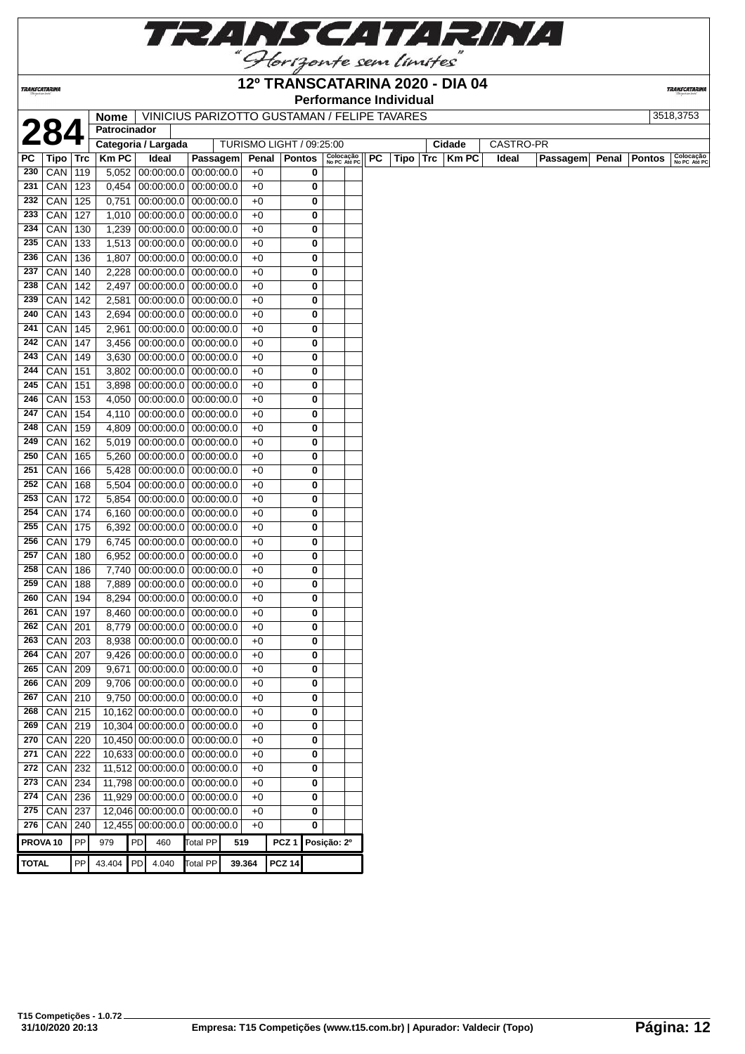

### **12º TRANSCATARINA 2020 - DIA 04**

**Performance Individual**

**TRANSCATARIN** 

| 1 |  |
|---|--|

**TRANSCATARINA** 

**TOTAL** PP 43.404 PD 4.040 Total PP **39.364 PCZ 14**

| <b>Nome</b>         | VINICIUS PARIZOTTO GUSTAMAN / FELIPE TAVARES |        |           | 3518.3753 |
|---------------------|----------------------------------------------|--------|-----------|-----------|
| <b>Patrocinador</b> |                                              |        |           |           |
| Categoria / Largada | TURISMO LIGHT / 09:25:00                     | Cidade | CASTRO-PR |           |

| LV                  |               |     |             | Categoria / Largada           |                 | TURISMO LIGHT / 09:25:00 |                   |   |                           |    |      | Cidade      | CASTRO-PR |          |       |               |                           |
|---------------------|---------------|-----|-------------|-------------------------------|-----------------|--------------------------|-------------------|---|---------------------------|----|------|-------------|-----------|----------|-------|---------------|---------------------------|
| РC                  | Tipo          | Trc | <b>KmPC</b> | Ideal                         | Passagem        | Penal                    | Pontos            |   | Colocação<br>No PC Até PC | PC | Tipo | Trc   Km PC | Ideal     | Passagem | Penal | <b>Pontos</b> | Colocação<br>No PC Até PC |
| 230                 | CAN           | 119 | 5,052       | 00:00:00.0                    | 00:00:00.0      | $+0$                     |                   | 0 |                           |    |      |             |           |          |       |               |                           |
| 231                 | CAN           | 123 | 0,454       | 00:00:00.0                    | 00:00:00.0      | $+0$                     |                   | 0 |                           |    |      |             |           |          |       |               |                           |
| 232                 | CAN           | 125 | 0,751       | $00:00:00.0$   $00:00:00.0$   |                 | $+0$                     |                   | 0 |                           |    |      |             |           |          |       |               |                           |
| 233                 | CAN           | 127 | 1,010       | $00:00:00.0$ 00:00:00.0       |                 | $+0$                     |                   | 0 |                           |    |      |             |           |          |       |               |                           |
| 234                 | CAN           | 130 | 1,239       | $00:00:00.0$   $00:00:00.0$   |                 | $+0$                     |                   | 0 |                           |    |      |             |           |          |       |               |                           |
| 235                 | CAN           | 133 | 1,513       | 00:00:00.0 00:00:00.0         |                 | $+0$                     |                   | 0 |                           |    |      |             |           |          |       |               |                           |
|                     | $236$ CAN     | 136 | 1,807       | $00:00:00.0$ 00:00:00.0       |                 | $+0$                     |                   | 0 |                           |    |      |             |           |          |       |               |                           |
| 237                 | CAN           | 140 | 2,228       | $00:00:00.0$   $00:00:00.0$   |                 | $+0$                     |                   | 0 |                           |    |      |             |           |          |       |               |                           |
| 238                 | CAN           | 142 | 2,497       | $00:00:00.0$ 00:00:00.0       |                 | $+0$                     |                   | 0 |                           |    |      |             |           |          |       |               |                           |
| 239                 | CAN           | 142 | 2,581       | 00:00:00.0 00:00:00.0         |                 | $+0$                     |                   | 0 |                           |    |      |             |           |          |       |               |                           |
| 240                 | CAN           | 143 | 2,694       | $00:00:00.0$   $00:00:00.0$   |                 | $+0$                     |                   | 0 |                           |    |      |             |           |          |       |               |                           |
| 241                 | CAN           | 145 | 2,961       | $00:00:00.0$   $00:00:00.0$   |                 | $+0$                     |                   | 0 |                           |    |      |             |           |          |       |               |                           |
| 242                 | CAN           | 147 | 3,456       | $00:00:00.0$ 00:00:00.0       |                 | $+0$                     |                   | 0 |                           |    |      |             |           |          |       |               |                           |
| 243                 | CAN           | 149 | 3,630       | $00:00:00.0$   $00:00:00.0$   |                 | $+0$                     |                   | 0 |                           |    |      |             |           |          |       |               |                           |
| 244                 | CAN           | 151 | 3,802       | 00:00:00.0 00:00:00.0         |                 | $+0$                     |                   | 0 |                           |    |      |             |           |          |       |               |                           |
|                     | $245$ CAN     | 151 | 3,898       | $00:00:00.0$ 00:00:00.0       |                 | $+0$                     |                   | 0 |                           |    |      |             |           |          |       |               |                           |
| 246                 | CAN           | 153 | 4,050       | $00:00:00.0$ 00:00:00.0       |                 | $+0$                     |                   | 0 |                           |    |      |             |           |          |       |               |                           |
| 247                 | CAN           | 154 | 4,110       | $00:00:00.0$ 00:00:00.0       |                 | $+0$                     |                   | 0 |                           |    |      |             |           |          |       |               |                           |
| 248                 | CAN           | 159 | 4,809       | $00:00:00.0$ 00:00:00.0       |                 | $+0$                     |                   | 0 |                           |    |      |             |           |          |       |               |                           |
| 249                 | CAN           | 162 | 5,019       | $00:00:00.0$ 00:00:00.0       |                 | $+0$                     |                   | 0 |                           |    |      |             |           |          |       |               |                           |
| 250                 | CAN           | 165 | 5,260       | $00:00:00.0$ 00:00:00.0       |                 | $+0$                     |                   | 0 |                           |    |      |             |           |          |       |               |                           |
| 251                 | CAN           | 166 | 5,428       | $00:00:00.0$ 00:00:00.0       |                 | $+0$                     |                   | 0 |                           |    |      |             |           |          |       |               |                           |
| 252                 | CAN           | 168 | 5,504       | $00:00:00.0$ 00:00:00.0       |                 | $+0$                     |                   | 0 |                           |    |      |             |           |          |       |               |                           |
| 253                 | CAN           | 172 | 5,854       | $00:00:00.0$ 00:00:00.0       |                 | $+0$                     |                   | 0 |                           |    |      |             |           |          |       |               |                           |
| 254                 | CAN           | 174 | 6,160       | $00:00:00.0$ 00:00:00.0       |                 | $+0$                     |                   | 0 |                           |    |      |             |           |          |       |               |                           |
| 255                 | CAN           | 175 | 6,392       | $00:00:00.0$   $00:00:00.0$   |                 | $+0$                     |                   | 0 |                           |    |      |             |           |          |       |               |                           |
| 256                 | CAN           | 179 | 6,745       | $00:00:00.0$ 00:00:00.0       |                 | $+0$                     |                   | 0 |                           |    |      |             |           |          |       |               |                           |
| 257                 | CAN           | 180 | 6,952       | $00:00:00.0$ 00:00:00.0       |                 | $+0$                     |                   | 0 |                           |    |      |             |           |          |       |               |                           |
| 258                 | CAN           | 186 | 7,740       | $00:00:00.0$   $00:00:00.0$   |                 | $+0$                     |                   | 0 |                           |    |      |             |           |          |       |               |                           |
| 259                 | CAN           | 188 | 7,889       | $00:00:00.0$ 00:00:00.0       |                 | $+0$                     |                   | 0 |                           |    |      |             |           |          |       |               |                           |
| 260                 | CAN           | 194 | 8,294       | $00:00:00.0$ 00:00:00.0       |                 | $+0$                     |                   | 0 |                           |    |      |             |           |          |       |               |                           |
| 261                 | CAN           | 197 | 8,460       | 00:00:00.0 00:00:00.0         |                 | $+0$                     |                   | 0 |                           |    |      |             |           |          |       |               |                           |
| 262                 | CAN           | 201 | 8,779       | $00:00:00.0$ 00:00:00.0       |                 | $+0$                     |                   | 0 |                           |    |      |             |           |          |       |               |                           |
|                     | $263$ CAN     | 203 | 8,938       | $00:00:00.0$ 00:00:00.0       |                 | $+0$                     |                   | 0 |                           |    |      |             |           |          |       |               |                           |
| 264                 | CAN           | 207 | 9,426       | $00:00:00.0$ 00:00:00.0       |                 | $+0$                     |                   | 0 |                           |    |      |             |           |          |       |               |                           |
| 265                 | CAN           | 209 | 9,671       | 00:00:00.0 00:00:00.0         |                 | $+0$                     |                   | 0 |                           |    |      |             |           |          |       |               |                           |
|                     | $266$ CAN 209 |     |             | $9,706$ 00:00:00.0 00:00:00.0 |                 | $+0$                     |                   | 0 |                           |    |      |             |           |          |       |               |                           |
|                     | $267$ CAN 210 |     |             | $9,750$ 00:00:00.0 00:00:00.0 |                 | $+0$                     |                   | 0 |                           |    |      |             |           |          |       |               |                           |
| 268                 | $CAN$ 215     |     |             | 10,162 00:00:00.0 00:00:00.0  |                 | $+0$                     |                   | 0 |                           |    |      |             |           |          |       |               |                           |
| 269                 | CAN           | 219 |             | 10,304 00:00:00.0 00:00:00.0  |                 | $+0$                     |                   | 0 |                           |    |      |             |           |          |       |               |                           |
|                     | $270$ CAN     | 220 |             | 10,450 00:00:00.0 00:00:00.0  |                 | $+0$                     |                   | 0 |                           |    |      |             |           |          |       |               |                           |
| 271                 | CAN           | 222 |             | 10,633 00:00:00.0 00:00:00.0  |                 | $+0$                     |                   | 0 |                           |    |      |             |           |          |       |               |                           |
|                     | $272$ CAN     | 232 |             | 11,512 00:00:00.0 00:00:00.0  |                 | $+0$                     |                   | 0 |                           |    |      |             |           |          |       |               |                           |
|                     | $273$ CAN     | 234 |             | 11,798 00:00:00.0 00:00:00.0  |                 | $+0$                     |                   | 0 |                           |    |      |             |           |          |       |               |                           |
| 274                 | CAN           | 236 |             | 11,929 00:00:00.0 00:00:00.0  |                 | $+0$                     |                   | 0 |                           |    |      |             |           |          |       |               |                           |
|                     | 275 CAN 237   |     |             | 12,046 00:00:00.0 00:00:00.0  |                 | $+0$                     |                   | 0 |                           |    |      |             |           |          |       |               |                           |
|                     | $276$ CAN     | 240 |             | 12,455 00:00:00.0 00:00:00.0  |                 | $+0$                     |                   | 0 |                           |    |      |             |           |          |       |               |                           |
| PROVA <sub>10</sub> |               | PP  | 979         | PD<br>460                     | <b>Total PP</b> | 519                      | PCZ 1 Posição: 2º |   |                           |    |      |             |           |          |       |               |                           |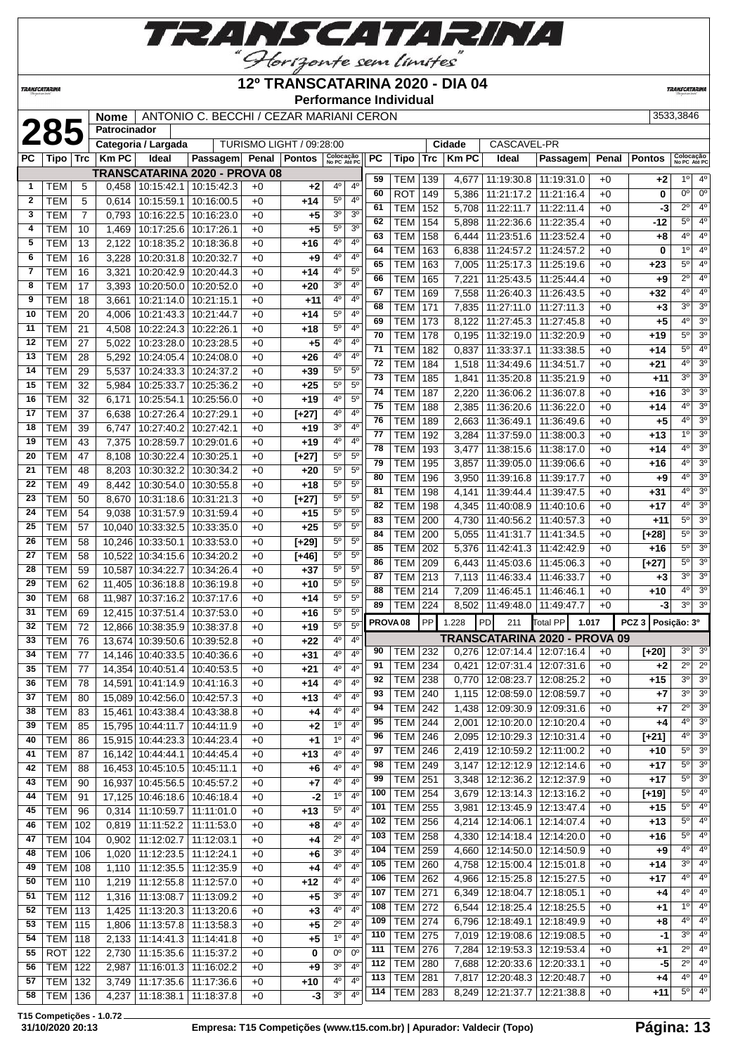

## 'Horizonte sem limites<sup>"</sup>

**12º TRANSCATARINA 2020 - DIA 04**

**TRANSCATARI** 

| "Photograph sea linetes" |                          |                 |                |                          |                                         |              | <b>Performance Individual</b> |                               |                                  |           |                                  |            |                |                                                            |                          |              |                  |                            |                                    |
|--------------------------|--------------------------|-----------------|----------------|--------------------------|-----------------------------------------|--------------|-------------------------------|-------------------------------|----------------------------------|-----------|----------------------------------|------------|----------------|------------------------------------------------------------|--------------------------|--------------|------------------|----------------------------|------------------------------------|
|                          |                          |                 | <b>Nome</b>    |                          | ANTONIO C. BECCHI / CEZAR MARIANI CERON |              |                               |                               |                                  |           |                                  |            |                |                                                            |                          |              |                  | 3533,3846                  |                                    |
|                          | 285                      |                 | Patrocinador   |                          |                                         |              |                               |                               |                                  |           |                                  |            |                |                                                            |                          |              |                  |                            |                                    |
|                          |                          |                 |                | Categoria / Largada      |                                         |              | TURISMO LIGHT / 09:28:00      |                               |                                  |           |                                  |            | Cidade         | CASCAVEL-PR                                                |                          |              |                  |                            |                                    |
| PC                       | Tipo                     | Trc             | <b>KmPC</b>    | Ideal                    | Passagem Penal Pontos                   |              |                               | Colocação<br>No PC Até PC     |                                  | <b>PC</b> | Tipo                             | <b>Trc</b> | <b>Km PC</b>   | Ideal                                                      | Passagem                 | Penal        | <b>Pontos</b>    | Colocação<br>No PC Até PC  |                                    |
|                          |                          |                 |                |                          | TRANSCATARINA 2020 - PROVA 08           |              |                               |                               |                                  | 59        | <b>TEM   139</b>                 |            | 4,677          | 11:19:30.8                                                 | 11:19:31.0               | $+0$         | +2               | $1^{\circ}$                | $4^{\circ}$                        |
| $\mathbf{1}$             | TEM                      | 5               | 0,458          | 10:15:42.1               | 10:15:42.3                              | $+0$         | $+2$                          | 4°                            | $4^{\circ}$                      | 60        | <b>ROT</b>                       | 149        | 5,386          | 11:21:17.2                                                 | 11:21:16.4               | $+0$         | 0                | $0^{\circ}$                | $0^{\circ}$                        |
| $\mathbf{2}$             | <b>TEM</b>               | 5               | 0,614          | 10:15:59.1               | 10:16:00.5                              | $+0$         | $+14$                         | $5^{\circ}$<br>3 <sup>0</sup> | 4 <sup>0</sup><br>3 <sup>0</sup> | 61        | <b>TEM</b>                       | 152        | 5,708          | 11:22:11.7                                                 | 11:22:11.4               | $+0$         | -3               | $2^{\circ}$                | 4 <sup>0</sup>                     |
| 3                        | <b>TEM</b><br><b>TEM</b> | $\overline{7}$  | 0,793          | 10:16:22.5               | 10:16:23.0                              | $+0$<br>$+0$ | $+5$                          | $5^{\circ}$                   | 3 <sup>0</sup>                   | 62        | <b>TEM</b>                       | 154        | 5,898          | 11:22:36.6                                                 | 11:22:35.4               | $+0$         | -12              | $5^{\circ}$                | 4 <sup>0</sup>                     |
| 4<br>5                   | <b>TEM</b>               | 10<br>13        | 1,469<br>2,122 | 10:17:25.6<br>10:18:35.2 | 10:17:26.1<br>10:18:36.8                | $+0$         | $+5$<br>$+16$                 | 40                            | 4 <sup>0</sup>                   | 63        | <b>TEM</b>                       | 158        | 6,444          | 11:23:51.6                                                 | 11:23:52.4               | $+0$         | +8               | $4^{\circ}$                | 4 <sup>0</sup>                     |
| 6                        | <b>TEM</b>               | 16              | 3,228          | 10:20:31.8               | 10:20:32.7                              | $+0$         | $+9$                          | 4 <sup>0</sup>                | 4 <sup>0</sup>                   | 64        | <b>TEM</b>                       | 163        | 6,838          | 11:24:57.2                                                 | 11:24:57.2               | $+0$         | 0                | $1^\circ$                  | $\overline{4^0}$                   |
| $\overline{7}$           | <b>TEM</b>               | 16              | 3,321          | 10:20:42.9               | 10:20:44.3                              | $+0$         | $+14$                         | 4 <sup>o</sup>                | $5^{\rm o}$                      | 65        | TEM                              | 163        | 7,005          | 11:25:17.3                                                 | 11:25:19.6               | $+0$         | $+23$            | $5^{\circ}$                | 4 <sup>0</sup>                     |
| 8                        | <b>TEM</b>               | 17              | 3,393          | 10:20:50.0               | 10:20:52.0                              | $+0$         | $+20$                         | 3 <sup>o</sup>                | $4^{\rm o}$                      | 66        | <b>TEM</b>                       | 165        | 7,221          | 11:25:43.5                                                 | 11:25:44.4               | $+0$         | $+9$             | $2^{\circ}$                | 4 <sup>0</sup>                     |
| 9                        | <b>TEM</b>               | 18              | 3,661          | 10:21:14.0               | 10:21:15.1                              | $+0$         | $+11$                         | 4 <sup>o</sup>                | 4 <sup>0</sup>                   | 67        | <b>TEM</b>                       | 169        | 7,558          | 11:26:40.3                                                 | 11:26:43.5               | $+0$         | $+32$            | $4^{\circ}$                | 4 <sup>0</sup>                     |
| 10                       | <b>TEM</b>               | 20              | 4,006          | 10:21:43.3               | 10:21:44.7                              | $+0$         | $+14$                         | $5^{\circ}$                   | $4^{\rm o}$                      | 68        | <b>TEM</b>                       | 171        | 7,835          | 11:27:11.0                                                 | 11:27:11.3               | $+0$         | $+3$             | 3 <sup>0</sup>             | 3 <sup>o</sup>                     |
| 11                       | <b>TEM</b>               | 21              | 4,508          | 10:22:24.3               | 10:22:26.1                              | $+0$         | $+18$                         | $5^{\circ}$                   | 4 <sup>0</sup>                   | 69        | <b>TEM 173</b>                   |            | 8,122          | 11:27:45.3                                                 | 11:27:45.8               | $+0$         | $+5$             | $4^{\circ}$                | $\overline{3^0}$                   |
| 12                       | <b>TEM</b>               | 27              | 5,022          | 10:23:28.0               | 10:23:28.5                              | $+0$         | $+5$                          | 4°                            | 4°                               | 70        | <b>TEM</b>                       | 178        | 0,195          | 11:32:19.0                                                 | 11:32:20.9               | $+0$         | $+19$            | $5^{\circ}$                | 3 <sup>o</sup>                     |
| 13                       | <b>TEM</b>               | 28              | 5,292          | 10:24:05.4               | 10:24:08.0                              | $+0$         | +26                           | 40                            | 4 <sup>0</sup>                   | 71        | <b>TEM</b>                       | 182        | 0,837          | 11:33:37.1                                                 | 11:33:38.5               | $+0$         | +14              | $5^{\circ}$                | 4 <sup>0</sup>                     |
| 14                       | <b>TEM</b>               | 29              | 5,537          | 10:24:33.3               | 10:24:37.2                              | $+0$         | $+39$                         | $5^{\circ}$                   | $5^{\circ}$                      | 72        | TEM                              | 184        | 1,518          | 11:34:49.6                                                 | 11:34:51.7               | $+0$         | +21              | 40                         | 3 <sup>o</sup>                     |
| 15                       | <b>TEM</b>               | 32              | 5,984          | 10:25:33.7               | 10:25:36.2                              | $+0$         | $+25$                         | $5^{\circ}$                   | 5 <sup>o</sup>                   | 73        | <b>TEM</b>                       | 185        | 1,841          | 11:35:20.8                                                 | 11:35:21.9               | $+0$         | $+11$            | 3 <sup>0</sup>             | $\overline{3^0}$                   |
| 16                       | <b>TEM</b>               | 32              | 6,171          | 10:25:54.1               | 10:25:56.0                              | $+0$         | $+19$                         | 4 <sup>o</sup>                | $5^{\rm o}$                      | 74        | TEM                              | 187        | 2,220          | 11:36:06.2                                                 | 11:36:07.8               | $+0$         | +16              | 3 <sup>0</sup>             | $\overline{3^0}$                   |
| 17                       | <b>TEM</b>               | 37              | 6,638          | 10:27:26.4               | 10:27:29.1                              | $+0$         | $[+27]$                       | 40                            | $4^{\circ}$                      | 75        | <b>TEM</b>                       | 188        | 2,385          | 11:36:20.6                                                 | 11:36:22.0               | $+0$         | $+14$            | 40                         | 3 <sup>o</sup>                     |
| 18                       | <b>TEM</b>               | 39              | 6,747          | 10:27:40.2               | 10:27:42.1                              | $+0$         | +19                           | 3 <sup>o</sup>                | $4^{\circ}$                      | 76        | <b>TEM</b>                       | 189        | 2,663          | 11:36:49.1                                                 | 11:36:49.6               | $+0$         | $+5$             | 4 <sup>0</sup>             | 3 <sup>0</sup>                     |
| 19                       | <b>TEM</b>               | 43              | 7,375          | 10:28:59.7               | 10:29:01.6                              | $+0$         | $+19$                         | 4 <sup>0</sup>                | $4^{\rm o}$                      | 77        | <b>TEM</b>                       | 192        | 3,284          | 11:37:59.0                                                 | 11:38:00.3               | $+0$         | $+13$            | 1 <sup>0</sup>             | 3 <sup>o</sup>                     |
| 20                       | <b>TEM</b>               | 47              | 8,108          | 10:30:22.4               | 10:30:25.1                              | $+0$         | $[+27]$                       | $5^{\rm o}$                   | 5 <sup>0</sup>                   | 78        | <b>TEM</b>                       | 193        | 3,477          | 11:38:15.6                                                 | 11:38:17.0               | $+0$         | $+14$            | 4 <sup>o</sup>             | 3 <sup>o</sup>                     |
| 21                       | <b>TEM</b>               | 48              | 8,203          | 10:30:32.2               | 10:30:34.2                              | $+0$         | $+20$                         | $5^{\circ}$                   | $5^{\circ}$                      | 79        | <b>TEM</b>                       | 195        | 3,857          | 11:39:05.0                                                 | 11:39:06.6               | $+0$         | +16              | $4^{\circ}$                | 3 <sup>o</sup>                     |
| 22                       | <b>TEM</b>               | 49              | 8,442          | 10:30:54.0               | 10:30:55.8                              | $+0$         | $+18$                         | $5^{\circ}$                   | $5^{\circ}$                      | 80        | <b>TEM</b>                       | 196        | 3,950          | 11:39:16.8                                                 | 11:39:17.7               | $+0$         | $+9$             | $4^{\circ}$                | 3 <sup>o</sup>                     |
| 23                       | <b>TEM</b>               | 50              | 8,670          | 10:31:18.6               | 10:31:21.3                              | $+0$         | $[+27]$                       | $5^{\circ}$                   | $5^{\rm o}$                      | 81        | <b>TEM</b>                       | 198        | 4,141          | 11:39:44.4                                                 | 11:39:47.5               | $+0$         | +31              | 40<br>4 <sup>0</sup>       | 3 <sup>o</sup><br>$\overline{3^0}$ |
| 24                       | <b>TEM</b>               | 54              | 9,038          | 10:31:57.9               | 10:31:59.4                              | $+0$         | $+15$                         | $5^{\circ}$                   | 5 <sup>0</sup>                   | 82        | <b>TEM</b>                       | 198        | 4,345          | 11:40:08.9                                                 | 11:40:10.6               | $+0$         | +17              |                            |                                    |
| 25                       | <b>TEM</b>               | 57              | 10,040         | 10:33:32.5               | 10:33:35.0                              | $+0$         | $+25$                         | $5^{\circ}$                   | $5^{\circ}$                      | 83        | TEM                              | 200        |                | 4,730   11:40:56.2                                         | 11:40:57.3               | $+0$         | $+11$            | $5^{\circ}$                | 3 <sup>o</sup><br>3 <sup>0</sup>   |
| 26                       | <b>TEM</b>               | 58              | 10,246         | 10:33:50.1               | 10:33:53.0                              | $+0$         | $[+29]$                       | $5^{\circ}$                   | $5^{\circ}$                      | 84        | <b>TEM</b>                       | 200        | 5,055          | 11:41:31.7                                                 | 11:41:34.5               | $+0$         | $[+28]$          | $5^{\circ}$<br>$5^{\circ}$ | 3 <sup>o</sup>                     |
| 27                       | <b>TEM</b>               | 58              | 10,522         | 10:34:15.6               | 10:34:20.2                              | $+0$         | $[+46]$                       | $5^{\circ}$                   | $5^{\rm o}$                      | 85<br>86  | <b>TEM</b><br>TEM                | 202        | 5,376          | 11:42:41.3                                                 | 11:42:42.9               | $+0$         | +16              | $5^{\circ}$                | 3 <sup>o</sup>                     |
| 28                       | <b>TEM</b>               | 59              | 10,587         | 10:34:22.7               | 10:34:26.4                              | $+0$         | $+37$                         | $5^{\circ}$                   | $5^{\circ}$                      | 87        | <b>TEM 213</b>                   | 209        | 6,443          | 11:45:03.6<br>11:46:33.4                                   | 11:45:06.3               | $+0$         | $[+27]$          | 3 <sup>0</sup>             | $\overline{3^0}$                   |
| 29                       | <b>TEM</b>               | 62              | 11,405         | 10:36:18.8               | 10:36:19.8                              | $+0$         | +10                           | $5^{\circ}$                   | 5 <sup>0</sup>                   | 88        |                                  |            | 7,113          |                                                            | 11:46:33.7               | $+0$         | $+3$             | 4 <sup>0</sup>             | 3 <sup>o</sup>                     |
| 30                       | <b>TEM</b>               | 68              | 11,987         | 10:37:16.2               | 10:37:17.6                              | $+0$         | $+14$                         | $5^{\circ}$                   | $5^{\rm o}$                      | 89        | <b>TEM   214</b><br>TEM          | 224        | 7,209          | 11:46:45.1<br>$8.502$   11:49:48.0                         | 11:46:46.1<br>11:49:47.7 | $+0$<br>$+0$ | +10<br>-3        | $3^{\circ}$                | $\overline{3^0}$                   |
| 31                       | <b>TEM</b>               | 69              | 12,415         | 10:37:51.4               | 10:37:53.0                              | $+0$         | $+16$                         | $5^{\circ}$                   | $5^{\rm o}$                      |           |                                  |            |                |                                                            |                          |              |                  |                            |                                    |
| 32                       | <b>TEM</b>               | 72              | 12,866         | 10:38:35.9               | 10:38:37.8                              | $+0$         | $+19$                         | $5^{\circ}$                   | 5 <sup>0</sup>                   |           | PROVA <sub>08</sub>              | <b>PP</b>  | 1.228          | PD<br>211                                                  | <b>Total PP</b>          | 1.017        | PCZ <sub>3</sub> | Posição: 3º                |                                    |
| 33                       | <b>TEM</b>               | 76              |                |                          | 13,674 10:39:50.6 10:39:52.8            | $+0$         | $+22$                         | 4 <sup>0</sup>                | 4 <sup>0</sup>                   |           |                                  |            |                | TRANSCATARINA 2020 - PROVA 09                              |                          |              |                  |                            |                                    |
| 34                       | <b>TEM</b>               | $\overline{77}$ |                |                          | 14,146 10:40:33.5 10:40:36.6            | $+0$         | $+31$                         | $4^{\circ}$                   | 4 <sup>0</sup>                   |           |                                  |            |                | 90   TEM   232   0,276   12:07:14.4   12:07:16.4   +0      |                          |              | $[+20]$          |                            | $3^0$ 3 <sup>0</sup>               |
| 35                       | <b>TEM</b>               | 77              |                |                          | 14,354 10:40:51.4 10:40:53.5            | $+0$         | +21                           | $4^{\circ}$                   | $4^{\circ}$                      | 91        | <b>TEM 234</b>                   |            | 0,421          | 12:07:31.4   12:07:31.6                                    |                          | $+0$         | $+2$             | $2^{\circ}$                | $2^{\circ}$<br>3 <sup>o</sup>      |
| 36                       | <b>TEM</b>               | 78              |                |                          | 14,591 10:41:14.9 10:41:16.3            | +0           | +14                           | 4°                            | 4°                               | 92        | <b>TEM 238</b>                   |            | 0,770          | 12:08:23.7                                                 | 12:08:25.2               | $+0$         | +15              | $3^{\circ}$<br>$3^{\circ}$ | 3 <sup>o</sup>                     |
| 37                       | <b>TEM</b>               | 80              |                |                          | 15,089 10:42:56.0 10:42:57.3            | $+0$         | $+13$                         | 4°                            | 4 <sup>0</sup>                   | 93        | <b>TEM 240</b>                   |            | 1,115          | $12:08:59.0$   12:08:59.7                                  |                          | $+0$         | +7               | $2^{\circ}$                | 3 <sup>o</sup>                     |
| 38                       | <b>TEM</b>               | 83              |                |                          | 15,461 10:43:38.4 10:43:38.8            | $+0$         | $+4$                          | 4 <sup>0</sup>                | 4 <sup>0</sup>                   | 94        | <b>TEM 242</b>                   |            |                | 1,438   12:09:30.9   12:09:31.6                            |                          | $+0$         | +7               | $4^{\circ}$                | 3 <sup>o</sup>                     |
| 39                       | <b>TEM</b>               | 85              |                | 15,795 10:44:11.7        | 10:44:11.9                              | $+0$         | $+2$                          | $1^{\circ}$                   | $4^{\circ}$                      | 95        | <b>TEM 244</b>                   |            | 2,001          | 12:10:20.0   12:10:20.4                                    |                          | $+0$         | +4               | $4^{\circ}$                | 3 <sup>o</sup>                     |
| 40                       | <b>TEM</b>               | 86              |                |                          | 15,915 10:44:23.3 10:44:23.4            | $+0$         | $+1$                          | $1^{\circ}$                   | $4^{\circ}$                      | 96        | <b>TEM 246</b>                   |            |                | 2,095   12:10:29.3   12:10:31.4                            |                          | $+0$         | $[+21]$          | $5^{\circ}$                | 3 <sup>o</sup>                     |
| 41                       | <b>TEM</b>               | 87              |                |                          | 16,142 10:44:44.1 10:44:45.4            | +0           | +13                           | 4°                            | $4^{\circ}$                      | 97        | <b>TEM 246</b>                   |            |                | 2,419   12:10:59.2   12:11:00.2                            |                          | $+0$         | +10              | $5^{\circ}$                | 3 <sup>o</sup>                     |
| 42                       | <b>TEM</b>               | 88              |                |                          | 16,453 10:45:10.5 10:45:11.1            | +0           | $+6$                          | 4 <sup>0</sup>                | 4 <sup>o</sup>                   | 98        | <b>TEM 249</b>                   |            |                | 3,147   12:12:12.9   12:12:14.6                            |                          | $+0$         | $+17$            | $5^{\circ}$                | 3 <sup>o</sup>                     |
| 43                       | <b>TEM</b>               | 90              |                |                          | 16,937 10:45:56.5 10:45:57.2            | $+0$         | $+7$                          | 4 <sup>0</sup>                | 4 <sup>0</sup>                   | 99<br>100 | <b>TEM 251</b>                   |            |                | 3,348   12:12:36.2   12:12:37.9                            |                          | $+0$         | $+17$            | $5^{\circ}$                | $4^{\circ}$                        |
| 44                       | TEM                      | 91              |                |                          | 17,125 10:46:18.6 10:46:18.4            | $+0$         | $-2$                          | 1 <sup>0</sup>                | $4^{\circ}$                      | 101       | <b>TEM 254</b><br><b>TEM 255</b> |            |                | 3,679   12:13:14.3   12:13:16.2                            | 12:13:45.9   12:13:47.4  | $+0$<br>$+0$ | $[+19]$          | $5^{\circ}$                | $4^{\circ}$                        |
| 45                       | <b>TEM</b>               | 96              |                |                          | $0,314$   11:10:59.7   11:11:01.0       | $+0$         | +13                           | $5^{\circ}$                   | 4 <sup>0</sup>                   | 102       | <b>TEM 256</b>                   |            | 3,981          |                                                            |                          |              | +15              | $5^{\circ}$                | $4^{\circ}$                        |
| 46                       | <b>TEM</b>               | 102             |                |                          | $0,819$ 11:11:52.2 11:11:53.0           | $+0$         | $+8$                          | $4^{\circ}$                   | 4 <sup>0</sup>                   | 103       | <b>TEM 258</b>                   |            | 4,214<br>4,330 | 12:14:06.1   12:14:07.4<br>12:14:18.4   12:14:20.0         |                          | $+0$<br>$+0$ | +13<br>+16       | $5^{\circ}$                | 4 <sup>0</sup>                     |
| 47                       | <b>TEM 104</b>           |                 |                | $0,902$ 11:12:02.7       | 11:12:03.1                              | +0           | $+4$                          | $2^{\circ}$                   | 4°                               | 104       |                                  |            |                |                                                            |                          |              |                  | $4^{\circ}$                | 4 <sup>0</sup>                     |
| 48                       | <b>TEM   106</b>         |                 |                |                          | 1,020   11:12:23.5   11:12:24.1         | $+0$         | $+6$                          | 3 <sup>o</sup>                | 4°                               | 105       | TEM 259<br><b>TEM 260</b>        |            | 4,660          | $12:14:50.0$ 12:14:50.9<br>4,758   12:15:00.4   12:15:01.8 |                          | $+0$<br>$+0$ | +9<br>+14        | $3^{\circ}$                | $4^{\circ}$                        |
| 49                       | <b>TEM</b>               | 108             |                |                          | 1,110   11:12:35.5   11:12:35.9         | $+0$         | +4                            | $4^{\circ}$                   | $4^{\circ}$                      | 106       | <b>TEM 262</b>                   |            |                | 4,966   12:15:25.8   12:15:27.5                            |                          | $+0$         | $+17$            | $4^{\circ}$                | $4^{\circ}$                        |
| 50                       | <b>TEM</b>               | 110             |                |                          | 1,219   11:12:55.8   11:12:57.0         | $+0$         | $+12$                         | $4^{\circ}$                   | $4^{\circ}$                      | 107       | <b>TEM 271</b>                   |            |                | $6,349$   12:18:04.7   12:18:05.1                          |                          |              | $+4$             | $4^{\circ}$                | 4 <sup>0</sup>                     |
| 51                       | <b>TEM</b>               | 112             |                | 1,316 11:13:08.7         | 11:13:09.2                              | $+0$         | $+5$                          | 3 <sup>o</sup>                | 4 <sup>0</sup>                   | 108       | <b>TEM 272</b>                   |            |                | 6,544   12:18:25.4   12:18:25.5                            |                          | $+0$<br>$+0$ | +1               | 10                         | 4 <sup>0</sup>                     |
| 52                       | <b>TEM 113</b>           |                 |                |                          | 1,425   11:13:20.3   11:13:20.6         | $+0$         | $+3$                          | 4 <sup>0</sup>                | 4 <sup>0</sup>                   | 109       | <b>TEM 274</b>                   |            |                | 6,796   12:18:49.1   12:18:49.9                            |                          | $+0$         | +8               | $4^{\circ}$                | $4^{\circ}$                        |
| 53                       | <b>TEM 115</b>           |                 |                |                          | 1,806 11:13:57.8 11:13:58.3             | $+0$         | $+5$                          | $2^{\circ}$                   | 4 <sup>0</sup>                   | 110       | <b>TEM 275</b>                   |            |                | 7,019   12:19:08.6   12:19:08.5                            |                          | $+0$         | $-1$             | $3^{\circ}$                | 4 <sup>0</sup>                     |
| 54                       | <b>TEM 118</b>           |                 |                |                          | 2,133   11:14:41.3   11:14:41.8         | $+0$         | $+5$                          | 1 <sup>o</sup>                | 4 <sup>o</sup>                   | 111       | <b>TEM 276</b>                   |            |                | 7,284   12:19:53.3   12:19:53.4                            |                          | $+0$         | $+1$             |                            | $2^0$ 4 <sup>0</sup>               |
|                          | $55$ ROT 122             |                 |                |                          | $2730$ $11.15356$ $11.15372$            | $+0$         | $\mathsf{O}$                  | 0 <sup>0</sup>                | 0 <sup>o</sup>                   |           |                                  |            |                |                                                            |                          |              |                  |                            |                                    |

 ROT 122 2,730 11:15:35.6 11:15:37.2 +0 **0** 0º 0º TEM 122 2,987 11:16:01.3 11:16:02.2 +0 **+9** 3º 4º TEM 132 3,749 11:17:35.6 11:17:36.6 +0 **+10** 4<sup>c</sup><br>**58** TEM 136 4.237 11:18:38.1 11:18:37.8 +0 -3 3<sup>9</sup> TEM 136 4,237 11:18:38.1 11:18:37.8 +0 **-3** 3º 4º

 TEM 280 7,688 12:20:33.6 12:20:33.1 +0 **-5** 2º 4º TEM 281 7,817 12:20:48.3 12:20:48.7 +0 **+4** 4º 4º TEM 283 8,249 12:21:37.7 12:21:38.8 +0 **+11** 5º 4º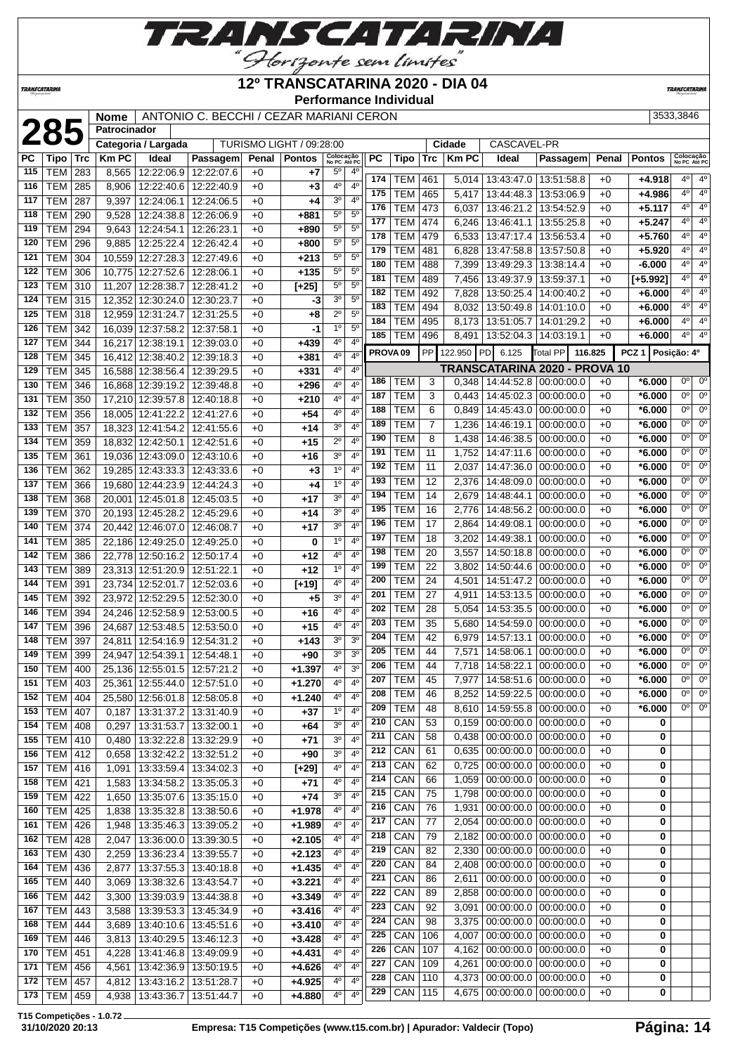

## <u>"Glorizonte sem limites"</u><br>12º TRANSCATARINA 2020 - DIA 04

| TRANSCATARINA |                 |     |                     |                   |                                         |       | I INAINUUMI AINIINA 4040        | <b>Performance Individual</b>    |     |                     |                 |                |                                   |                                                    |       |                  | <b>TRANSCATARINA</b>      |                             |
|---------------|-----------------|-----|---------------------|-------------------|-----------------------------------------|-------|---------------------------------|----------------------------------|-----|---------------------|-----------------|----------------|-----------------------------------|----------------------------------------------------|-------|------------------|---------------------------|-----------------------------|
|               |                 |     | <b>Nome</b>         |                   | ANTONIO C. BECCHI / CEZAR MARIANI CERON |       |                                 |                                  |     |                     |                 |                |                                   |                                                    |       |                  | 3533,3846                 |                             |
|               | 285             |     | <b>Patrocinador</b> |                   |                                         |       |                                 |                                  |     |                     |                 |                |                                   |                                                    |       |                  |                           |                             |
|               |                 |     | Categoria / Largada |                   |                                         |       | <b>TURISMO LIGHT / 09:28:00</b> |                                  |     |                     |                 | Cidade         | <b>CASCAVEL-PR</b>                |                                                    |       |                  |                           |                             |
| РC            | Tipo            | Trc | <b>Km PC</b>        | Ideal             | Passagem                                | Penal | <b>Pontos</b>                   | Colocação<br>No PC Até PC        | PC  | Tipo                | Trc             | <b>Km PC</b>   | Ideal                             | Passagem                                           | Penal | <b>Pontos</b>    | Colocação<br>No PC Até PO |                             |
| 115           | <b>TEM</b>      | 283 | 8,565               | 12:22:06.9        | 12:22:07.6                              | $+0$  | +7                              | 5°<br>$4^{\circ}$                | 174 | TEM                 | 461             | 5,014          | 13:43:47.0                        | 13:51:58.8                                         | $+0$  | +4.918           | 40                        | $4^\circ$                   |
| 116           | <b>TEM</b>      | 285 | 8,906               | 12:22:40.6        | 12:22:40.9                              | $+0$  | $+3$                            | 4 <sup>0</sup><br>4 <sup>0</sup> | 175 | TEM                 | 465             | 5,417          | 13:44:48.3                        | 13:53:06.9                                         | $+0$  | +4.986           | 4 <sup>0</sup>            | $4^\circ$                   |
| 117           | <b>TEM</b>      | 287 | 9,397               | 12:24:06.1        | 12:24:06.5                              | $+0$  | +4                              | 3 <sup>o</sup><br>$4^{\circ}$    | 176 | <b>TEM</b>          | 473             | 6,037          | 13:46:21.2                        | 13:54:52.9                                         | $+0$  | $+5.117$         | 40                        | $4^\circ$                   |
| 118           | TEM             | 290 | 9,528               | 12:24:38.8        | 12:26:06.9                              | $+0$  | +881                            | $5^{\circ}$<br>$5^{\circ}$       | 177 | <b>TEM</b>          | 474             | 6,246          | 13:46:41.1                        | 13:55:25.8                                         | $+0$  | $+5.247$         | 4 <sup>0</sup>            | $4^\circ$                   |
| 119           | TEM             | 294 | 9,643               | 12:24:54.1        | 12:26:23.1                              | $+0$  | +890                            | $5^{\circ}$<br>5 <sup>0</sup>    | 178 | <b>TEM</b>          | 479             | 6,533          | 13:47:17.4                        | 13:56:53.4                                         | $+0$  | $+5.760$         | 4 <sup>0</sup>            | $4^\circ$                   |
| 120           | TEM             | 296 | 9,885               | 12:25:22.4        | 12:26:42.4                              | $+0$  | +800                            | 5 <sup>0</sup><br>5 <sup>o</sup> | 179 | <b>TEM</b>          | 481             | 6,828          | 13:47:58.8                        | 13:57:50.8                                         | $+0$  | $+5.920$         | 4 <sup>0</sup>            | $4^\circ$                   |
| 121           | TEM             | 304 | 10,559              | 12:27:28.3        | 12:27:49.6                              | $+0$  | +213                            | $5^{\circ}$<br>$5^{\circ}$       | 180 | <b>TEM</b>          | 488             | 7,399          | 13:49:29.3                        | 13:38:14.4                                         | $+0$  | $-6.000$         | 4 <sup>0</sup>            | $4^\circ$                   |
| 122           | <b>TEM</b>      | 306 | 10,775              | 12:27:52.6        | 12:28:06.1                              | $+0$  | $+135$                          | 5 <sup>0</sup><br>$5^{\circ}$    | 181 | <b>TEM</b>          | 489             | 7,456          | 13:49:37.9                        | 13:59:37.1                                         | $+0$  | $[+5.992]$       | 4 <sup>0</sup>            | $4^\circ$                   |
| 123           | <b>TEM</b>      | 310 | 11,207              | 12:28:38.7        | 12:28:41.2                              | $+0$  | $[+25]$                         | $5^{\circ}$<br>$5^{\circ}$       | 182 | <b>TEM</b>          | 492             | 7,828          | 13:50:25.4                        | 14:00:40.2                                         | $+0$  | $+6.000$         | 4 <sup>0</sup>            | $4^\circ$                   |
| 124           | <b>TEM</b>      | 315 | 12,352              | 12:30:24.0        | 12:30:23.7                              | $+0$  | -3                              | 3 <sup>o</sup><br>$5^{\circ}$    | 183 | <b>TEM</b>          | 494             | 8,032          | 13:50:49.8                        | 14:01:10.0                                         | $+0$  | $+6.000$         | 4 <sup>0</sup>            | $4^\circ$                   |
| 125           | <b>TEM</b>      | 318 | 12,959              | 12:31:24.7        | 12:31:25.5                              | $+0$  | +8                              | $2^{\circ}$<br>$5^{\circ}$       | 184 | <b>TEM</b>          | 495             | 8,173          | 13:51:05.7                        | 14:01:29.2                                         | $+0$  | $+6.000$         | $4^{\circ}$               | $4^\circ$                   |
| 126           | TEM             | 342 | 16,039              | 12:37:58.2        | 12:37:58.1                              | $+0$  | -1                              | $5^{\circ}$<br>1 <sup>0</sup>    | 185 | <b>TEM</b>          | 496             | 8,491          | 13:52:04.3                        | 14:03:19.1                                         | $+0$  | $+6.000$         | $4^{\circ}$               | $4^\circ$                   |
| 127           | TEM             | 344 | 16,217              | 12:38:19.1        | 12:39:03.0                              | $+0$  | +439                            | 4 <sup>0</sup><br>4 <sup>0</sup> |     | PROVA <sub>09</sub> | PP              | 122.950        | 6.125<br><b>PD</b>                | <b>Total PP</b><br>116.825                         |       | PCZ <sub>1</sub> | Posição: 4º               |                             |
| 128           | TEM             | 345 | 16,412              | 12:38:40.2        | 12:39:18.3                              | $+0$  | +381                            | 4 <sup>0</sup><br>4°             |     |                     |                 |                |                                   |                                                    |       |                  |                           |                             |
| 129           | <b>TEM</b>      | 345 | 16,588              | 12:38:56.4        | 12:39:29.5                              | $+0$  | +331                            | 4 <sup>0</sup><br>4 <sup>0</sup> | 186 | <b>TEM</b>          | 3               | 0.348          | 14:44:52.8                        | <b>TRANSCATARINA 2020 - PROVA 10</b><br>00:00:00.0 | $+0$  | $*6.000$         | $0^{\circ}$               | 0 <sup>o</sup>              |
| 130           | TEM             | 346 | 16,868              | 12:39:19.2        | 12:39:48.8                              | $+0$  | +296                            | $4^{\circ}$<br>4 <sup>0</sup>    | 187 | <b>TEM</b>          | 3               | 0,443          | 14:45:02.3                        | 00:00:00.0                                         | $+0$  | *6.000           | 0°                        | $0^{\circ}$                 |
| 131           | <b>TEM</b>      | 350 | 17,210              | 12:39:57.8        | 12:40:18.8                              | $+0$  | $+210$                          | 4 <sup>0</sup><br>4 <sup>0</sup> | 188 | <b>TEM</b>          | 6               | 0,849          | 14:45:43.0                        | 00:00:00.0                                         | $+0$  | $*6.000$         | $0^{\circ}$               | 0 <sup>c</sup>              |
| 132           | <b>TEM</b>      | 356 | 18,005              | 12:41:22.2        | 12:41:27.6                              | $+0$  | $+54$                           | 4°<br>4 <sup>0</sup>             | 189 | <b>TEM</b>          | $\overline{7}$  | 1,236          | 14:46:19.1                        | 00:00:00.0                                         | $+0$  | *6.000           | $0^{\circ}$               | $0^{\circ}$                 |
| 133           | <b>TEM</b>      | 357 | 18,323              | 12:41:54.2        | 12:41:55.6                              | $+0$  | +14                             | 4 <sup>0</sup><br>3 <sup>o</sup> | 190 | <b>TEM</b>          | 8               | 1,438          | 14:46:38.5                        | 00:00:00.0                                         | $+0$  | $*6.000$         | $0^{\circ}$               | 0 <sup>c</sup>              |
| 134           | <b>TEM</b>      | 359 | 18,832              | 12:42:50.1        | 12:42:51.6                              | $+0$  | $+15$                           | $2^{\circ}$<br>4 <sup>0</sup>    | 191 | TEM                 | 11              | 1,752          | 14:47:11.6                        | 00:00:00.0                                         | $+0$  | *6.000           | $0^{\circ}$               | 0 <sup>c</sup>              |
| 135           | TEM             | 361 | 19,036 12:43:09.0   |                   | 12:43:10.6                              | $+0$  | +16                             | 3 <sup>o</sup><br>$4^{\circ}$    | 192 | <b>TEM</b>          | 11              | 2,037          | 14:47:36.0                        | 00:00:00.0                                         | $+0$  | *6.000           | $0^{\circ}$               | $0^{\circ}$                 |
| 136           | TEM             | 362 | 19,285              | 12:43:33.3        | 12:43:33.6                              | $+0$  | +3                              | 1 <sup>0</sup><br>$4^{\circ}$    | 193 | <b>TEM</b>          | 12              | 2,376          | 14:48:09.0                        | 00:00:00.0                                         | $+0$  | $*6.000$         | $0^{\circ}$               | 0 <sup>o</sup>              |
| 137           | <b>TEM</b>      | 366 |                     | 19,680 12:44:23.9 | 12:44:24.3                              | $+0$  | +4                              | 4 <sup>0</sup><br>1 <sup>0</sup> | 194 | <b>TEM</b>          | 14              | 2,679          | 14:48:44.1                        | 00:00:00.0                                         | $+0$  | $*6.000$         | $0^{\circ}$               | $0^{\circ}$                 |
| 138           | <b>TEM</b>      | 368 | 20,001              | 12:45:01.8        | 12:45:03.5                              | $+0$  | +17                             | 4 <sup>0</sup><br>3 <sup>0</sup> | 195 | <b>TEM</b>          | 16              | 2,776          | 14:48:56.2                        | 00:00:00.0                                         | $+0$  | $*6.000$         | $0^{\circ}$               | 0 <sup>c</sup>              |
| 139           | <b>TEM</b>      | 370 | 20,193              | 12:45:28.2        | 12:45:29.6                              | $+0$  | +14                             | 4 <sup>0</sup><br>3 <sup>o</sup> | 196 | <b>TEM</b>          | 17              | 2,864          | 14:49:08.1                        | 00:00:00.0                                         | $+0$  | *6.000           | $0^{\circ}$               | $0^{\circ}$                 |
| 140           | <b>TEM</b>      | 374 | 20,442              | 12:46:07.0        | 12:46:08.7                              | $+0$  | $+17$                           | 3 <sup>o</sup><br>4 <sup>0</sup> | 197 | <b>TEM</b>          | 18              | 3,202          | 14:49:38.1                        | 00:00:00.0                                         | $+0$  | *6.000           | $0^{\circ}$               | 0 <sup>c</sup>              |
| 141           | <b>TEM</b>      | 385 | 22,186 12:49:25.0   |                   | 12:49:25.0                              | $+0$  | 0                               | 1 <sup>0</sup><br>4 <sup>0</sup> | 198 | <b>TEM</b>          | 20              | 3,557          | 14:50:18.8                        | 00:00:00.0                                         | $+0$  | *6.000           | $0^{\circ}$               | $0^{\circ}$                 |
| 142           | <b>TEM</b>      | 386 | 22,778              | 12:50:16.2        | 12:50:17.4                              | $+0$  | $+12$                           | $4^{\circ}$<br>4 <sup>0</sup>    | 199 | <b>TEM</b>          | 22              | 3,802          | 14:50:44.6                        | 00:00:00.0                                         | $+0$  | $*6.000$         | $0^{\circ}$               | 0 <sup>c</sup>              |
| 143           | <b>TEM</b>      | 389 | 23,313              | 12:51:20.9        | 12:51:22.1                              | $+0$  | $+12$                           | 1 <sup>0</sup><br>4 <sup>0</sup> | 200 | <b>TEM</b>          | $\overline{24}$ | 4,501          | 14:51:47.2                        | 00:00:00.0                                         | $+0$  | *6.000           | $0^{\circ}$               | 0 <sup>c</sup>              |
| 144           | TEM             | 391 | 23,734              | 12:52:01.7        | 12:52:03.6                              | $+0$  | $[+19]$                         | 4°<br>$4^{\circ}$                | 201 | <b>TEM</b>          | 27              | 4,911          | 14:53:13.5                        | 00:00:00.0                                         | $+0$  | *6.000           | $0^{\circ}$               | $0^{\circ}$                 |
| 145           | TEM             | 392 | 23,972              | 12:52:29.5        | 12:52:30.0                              | $+0$  | +5                              | 3 <sup>o</sup><br>$4^{\circ}$    | 202 | <b>TEM</b>          | 28              |                | 14:53:35.5                        | 00:00:00.0                                         | $+0$  | $*6.000$         | $0^{\circ}$               | 0 <sup>o</sup>              |
| 146           | <b>TEM</b>      | 394 | 24,246              | 12:52:58.9        | 12:53:00.5                              | $+0$  | +16                             | 4 <sup>0</sup><br>4°             | 203 | <b>TEM</b>          | 35              | 5,054<br>5,680 | 14:54:59.0                        | 00:00:00.0                                         | $+0$  | $*6.000$         | $0^{\circ}$               | $0^{\circ}$                 |
| 147           | <b>TEM</b>      | 396 | 24,687              | 12:53:48.5        | 12:53:50.0                              | $+0$  | +15                             | 4 <sup>0</sup><br>4 <sup>0</sup> | 204 | <b>TEM</b>          | 42              | 6,979          | 14:57:13.1                        | 00:00:00.0                                         | $+0$  | $*6.000$         | $\overline{0^{\circ}}$    | $\overline{0}$ <sup>c</sup> |
| 148           | <b>TEM</b>      | 397 | 24,811              | 12:54:16.9        | 12:54:31.2                              | $+0$  | $+143$                          | 3 <sup>o</sup><br>3 <sup>o</sup> |     |                     |                 |                |                                   |                                                    |       |                  | $0^{\circ}$               | $0^{\circ}$                 |
|               | 149 TEM 399     |     |                     |                   | 24,947 12:54:39.1 12:54:48.1            | $+0$  | +90                             | 3 <sup>o</sup><br>3 <sup>o</sup> | 205 | TEM                 | 44              |                | 7,571   14:58:06.1   00:00:00.0   |                                                    | $+0$  | $*6.000$         | $0^{\circ}$               | $0^{\circ}$                 |
|               | 150   TEM   400 |     |                     |                   | 25,136 12:55:01.5 12:57:21.2            | $+0$  | $+1.397$                        | 4°<br>3 <sup>o</sup>             | 206 | <b>TEM</b>          | 44              |                | 7,718   14:58:22.1   00:00:00.0   |                                                    | $+0$  | $*6.000$         | 0°                        | $0^{\circ}$                 |
| 151           | TEM 403         |     |                     |                   | 25,361 12:55:44.0 12:57:51.0            | $+0$  | $+1.270$                        | $4^{\circ}$<br>4 <sup>0</sup>    | 207 | <b>TEM</b>          | 45              | 7,977          |                                   | 14:58:51.6 00:00:00.0                              | $+0$  | $*6.000$         | $0^{\circ}$               | $0^{\circ}$                 |
| 152           | TEM             | 404 |                     |                   | 25,580 12:56:01.8 12:58:05.8            | $+0$  | $+1.240$                        | $4^{\circ}$<br>4 <sup>0</sup>    | 208 | <b>TEM</b>          | 46              |                | 8,252   14:59:22.5   00:00:00.0   |                                                    | $+0$  | $*6.000$         |                           |                             |
| 153           | TEM             | 407 | 0,187               |                   | 13:31:37.2 13:31:40.9                   | $+0$  | +37                             | 1 <sup>0</sup><br>$4^{\circ}$    | 209 | <b>TEM</b>          | 48              |                | 8,610   14:59:55.8   00:00:00.0   |                                                    | $+0$  | $*6.000$         | $0^{\circ}$               | $0^{\circ}$                 |
|               | 154   TEM   408 |     | 0,297               |                   | 13:31:53.7   13:32:00.1                 | $+0$  | $+64$                           | 3 <sup>o</sup><br>$4^{\circ}$    | 210 | CAN                 | 53              |                | 0,159   00:00:00.0   00:00:00.0   |                                                    | $+0$  | 0                |                           |                             |
|               | 155   TEM   410 |     |                     |                   | 0,480   13:32:22.8   13:32:29.9         | $+0$  | $+71$                           | 3 <sup>o</sup><br>$4^{\circ}$    | 211 | CAN                 | 58              |                | $0,438$   00:00:00.0   00:00:00.0 |                                                    | $+0$  | 0                |                           |                             |
|               | 156   TEM   412 |     |                     |                   | 0,658   13:32:42.2   13:32:51.2         | $+0$  | $+90$                           | 3 <sup>o</sup><br>$4^{\circ}$    | 212 | CAN                 | 61              |                | 0,635   00:00:00.0   00:00:00.0   |                                                    | $+0$  | 0                |                           |                             |
|               | 157 TEM 416     |     |                     |                   | 1,091   13:33:59.4   13:34:02.3         | $+0$  | $[+29]$                         | 4 <sup>o</sup><br>4 <sup>0</sup> |     | $213$ CAN           | 62              |                | $0.725$ 00:00:00.0 00:00:00.0     |                                                    | $+0$  | 0                |                           |                             |

 $\vec{r}$ 

 TEM 421 1,583 13:34:58.2 13:35:05.3 +0 **+71** 4º 4º TEM 422 1,650 13:35:07.6 13:35:15.0 +0 **+74** 3º 4º TEM 425 1,838 13:35:32.8 13:38:50.6 +0 **+1.978** 4º 4º TEM 426 1,948 13:35:46.3 13:39:05.2 +0 **+1.989** 4º 4º TEM 428 2,047 13:36:00.0 13:39:30.5 +0 **+2.105** 4º 4º TEM 430 2,259 13:36:23.4 13:39:55.7 +0 **+2.123** 4º 4º TEM 436 2,877 13:37:55.3 13:40:18.8 +0 **+1.435** 4º 4º TEM 440 3,069 13:38:32.6 13:43:54.7 +0 **+3.221** 4º 4º TEM 442 3,300 13:39:03.9 13:44:38.8 +0 **+3.349** 4º 4º TEM 443 3,588 13:39:53.3 13:45:34.9 +0 **+3.416** 4º 4º TEM 444 3,689 13:40:10.6 13:45:51.6 +0 **+3.410** 4º 4º TEM 446 3,813 13:40:29.5 13:46:12.3 +0 **+3.428** 4º 4º TEM 451 4,228 13:41:46.8 13:49:09.9 +0 **+4.431** 4º 4º TEM 456 4,561 13:42:36.9 13:50:19.5 +0 **+4.626** 4º 4º TEM 457 4,812 13:43:16.2 13:51:28.7 +0 +4.925 4 TEM 459 4,938 13:43:36.7 13:51:44.7 +0 **+4.880** 4º 4º

 CAN 66 1,059 00:00:00.0 00:00:00.0 +0 **0** CAN 75 1,798 00:00:00.0 00:00:00.0 +0 **0** CAN 76 1,931 00:00:00.0 00:00:00.0 +0 **0** CAN 77 2,054 00:00:00.0 00:00:00.0 +0 **0** CAN 79 2,182 00:00:00.0 00:00:00.0 +0 **0** CAN 82 2,330 00:00:00.0 00:00:00.0 +0 **0** CAN 84 2,408 00:00:00.0 00:00:00.0 +0 **0**  CAN 86 2,611 00:00:00.0 00:00:00.0 +0 **0** CAN 89 2,858 00:00:00.0 00:00:00.0 +0 **0** CAN 92 3,091 00:00:00.0 00:00:00.0 +0 **0** CAN 98 3,375 00:00:00.0 00:00:00.0 +0 **0** CAN 106 4,007 00:00:00.0 00:00:00.0 +0 **0** CAN 107 4,162 00:00:00.0 00:00:00.0 +0 **0** CAN 109 4,261 00:00:00.0 00:00:00.0 +0 **0** CAN 110 4,373 00:00:00.0 00:00:00.0 +0 **0** CAN 115 4,675 00:00:00.0 00:00:00.0 +0 **0**